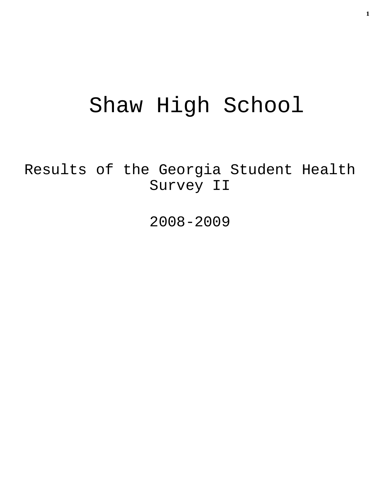# Shaw High School

Results of the Georgia Student Health Survey II

2008-2009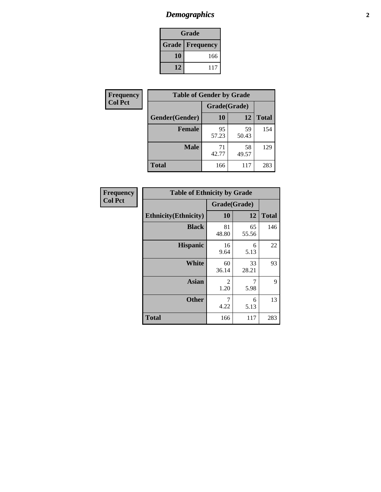### *Demographics* **2**

| Grade                    |     |  |  |  |
|--------------------------|-----|--|--|--|
| <b>Grade   Frequency</b> |     |  |  |  |
| 10                       | 166 |  |  |  |
| 12                       | 117 |  |  |  |

| <b>Frequency</b> | <b>Table of Gender by Grade</b> |              |             |              |  |  |
|------------------|---------------------------------|--------------|-------------|--------------|--|--|
| <b>Col Pct</b>   |                                 | Grade(Grade) |             |              |  |  |
|                  | Gender(Gender)                  | 10           | 12          | <b>Total</b> |  |  |
|                  | <b>Female</b>                   | 95<br>57.23  | 59<br>50.43 | 154          |  |  |
|                  | <b>Male</b>                     | 71<br>42.77  | 58<br>49.57 | 129          |  |  |
|                  | <b>Total</b>                    | 166          | 117         | 283          |  |  |

| <b>Frequency</b> |
|------------------|
| <b>Col Pct</b>   |

| <b>Table of Ethnicity by Grade</b> |              |             |              |  |  |  |  |
|------------------------------------|--------------|-------------|--------------|--|--|--|--|
|                                    | Grade(Grade) |             |              |  |  |  |  |
| <b>Ethnicity</b> (Ethnicity)       | 10           | 12          | <b>Total</b> |  |  |  |  |
| <b>Black</b>                       | 81<br>48.80  | 65<br>55.56 | 146          |  |  |  |  |
| <b>Hispanic</b>                    | 16<br>9.64   | 6<br>5.13   | 22           |  |  |  |  |
| White                              | 60<br>36.14  | 33<br>28.21 | 93           |  |  |  |  |
| <b>Asian</b>                       | 2<br>1.20    | 7<br>5.98   | 9            |  |  |  |  |
| <b>Other</b>                       | 7<br>4.22    | 6<br>5.13   | 13           |  |  |  |  |
| <b>Total</b>                       | 166          | 117         | 283          |  |  |  |  |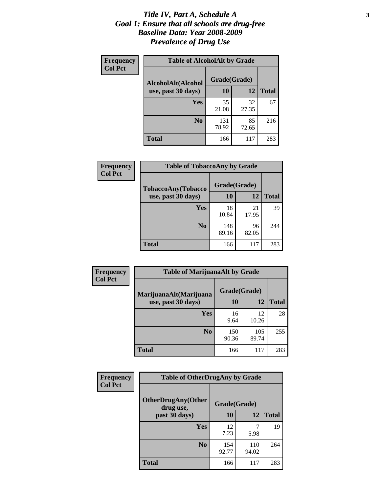#### *Title IV, Part A, Schedule A* **3** *Goal 1: Ensure that all schools are drug-free Baseline Data: Year 2008-2009 Prevalence of Drug Use*

| Frequency<br><b>Col Pct</b> | <b>Table of AlcoholAlt by Grade</b> |              |             |              |  |  |
|-----------------------------|-------------------------------------|--------------|-------------|--------------|--|--|
|                             | AlcoholAlt(Alcohol                  | Grade(Grade) |             |              |  |  |
|                             | use, past 30 days)                  | <b>10</b>    | 12          | <b>Total</b> |  |  |
|                             | Yes                                 | 35<br>21.08  | 32<br>27.35 | 67           |  |  |
|                             | N <sub>0</sub>                      | 131<br>78.92 | 85<br>72.65 | 216          |  |  |
|                             | Total                               | 166          | 117         | 283          |  |  |

| Frequency      | <b>Table of TobaccoAny by Grade</b> |              |             |              |  |
|----------------|-------------------------------------|--------------|-------------|--------------|--|
| <b>Col Pct</b> | TobaccoAny(Tobacco                  | Grade(Grade) |             |              |  |
|                | use, past 30 days)                  | 10           | 12          | <b>Total</b> |  |
|                | Yes                                 | 18<br>10.84  | 21<br>17.95 | 39           |  |
|                | N <sub>0</sub>                      | 148<br>89.16 | 96<br>82.05 | 244          |  |
|                | <b>Total</b>                        | 166          | 117         | 283          |  |

| Frequency<br><b>Col Pct</b> | <b>Table of MarijuanaAlt by Grade</b> |              |              |              |  |
|-----------------------------|---------------------------------------|--------------|--------------|--------------|--|
|                             | MarijuanaAlt(Marijuana                | Grade(Grade) |              |              |  |
|                             | use, past 30 days)                    | <b>10</b>    | 12           | <b>Total</b> |  |
|                             | <b>Yes</b>                            | 16<br>9.64   | 12<br>10.26  | 28           |  |
|                             | N <sub>0</sub>                        | 150<br>90.36 | 105<br>89.74 | 255          |  |
|                             | <b>Total</b>                          | 166          | 117          | 283          |  |

| <b>Frequency</b> | <b>Table of OtherDrugAny by Grade</b>  |              |              |              |  |
|------------------|----------------------------------------|--------------|--------------|--------------|--|
| <b>Col Pct</b>   | <b>OtherDrugAny(Other</b><br>drug use, | Grade(Grade) |              |              |  |
|                  | past 30 days)                          | 10           | 12           | <b>Total</b> |  |
|                  | Yes                                    | 12<br>7.23   | 5.98         | 19           |  |
|                  | N <sub>0</sub>                         | 154<br>92.77 | 110<br>94.02 | 264          |  |
|                  | <b>Total</b>                           | 166          | 117          | 283          |  |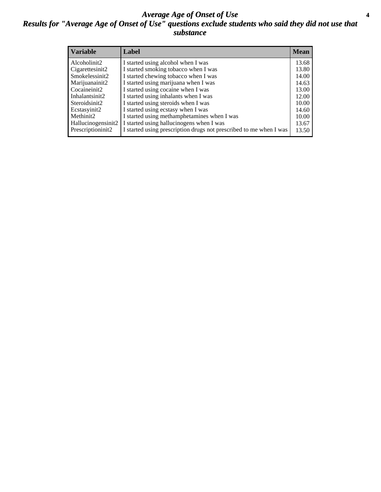#### *Average Age of Onset of Use* **4** *Results for "Average Age of Onset of Use" questions exclude students who said they did not use that substance*

| <b>Variable</b>    | Label                                                              | Mean  |
|--------------------|--------------------------------------------------------------------|-------|
| Alcoholinit2       | I started using alcohol when I was                                 | 13.68 |
| Cigarettesinit2    | I started smoking tobacco when I was                               | 13.80 |
| Smokelessinit2     | I started chewing tobacco when I was                               | 14.00 |
| Marijuanainit2     | I started using marijuana when I was                               | 14.63 |
| Cocaineinit2       | I started using cocaine when I was                                 | 13.00 |
| Inhalantsinit2     | I started using inhalants when I was                               | 12.00 |
| Steroidsinit2      | I started using steroids when I was                                | 10.00 |
| Ecstasyinit2       | I started using ecstasy when I was                                 | 14.60 |
| Methinit2          | I started using methamphetamines when I was                        | 10.00 |
| Hallucinogensinit2 | I started using hallucinogens when I was                           | 13.67 |
| Prescriptioninit2  | I started using prescription drugs not prescribed to me when I was | 13.50 |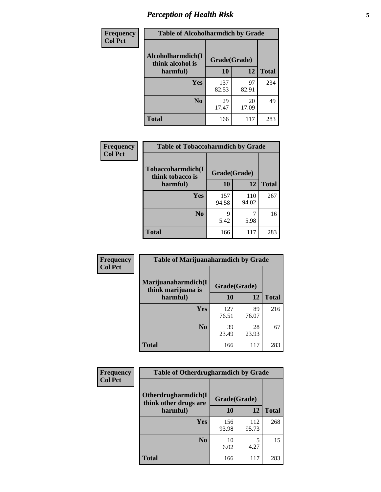### *Perception of Health Risk* **5**

| Frequency      | <b>Table of Alcoholharmdich by Grade</b> |              |             |              |  |
|----------------|------------------------------------------|--------------|-------------|--------------|--|
| <b>Col Pct</b> | Alcoholharmdich(I<br>think alcohol is    | Grade(Grade) |             |              |  |
|                | harmful)                                 | 10           | 12          | <b>Total</b> |  |
|                | <b>Yes</b>                               | 137<br>82.53 | 97<br>82.91 | 234          |  |
|                | N <sub>0</sub>                           | 29<br>17.47  | 20<br>17.09 | 49           |  |
|                | <b>Total</b>                             | 166          | 117         | 283          |  |

| Frequency      | <b>Table of Tobaccoharmdich by Grade</b> |              |              |              |  |
|----------------|------------------------------------------|--------------|--------------|--------------|--|
| <b>Col Pct</b> | Tobaccoharmdich(I<br>think tobacco is    | Grade(Grade) |              |              |  |
|                | harmful)                                 | 10           | 12           | <b>Total</b> |  |
|                | Yes                                      | 157<br>94.58 | 110<br>94.02 | 267          |  |
|                | N <sub>0</sub>                           | q<br>5.42    | 5.98         | 16           |  |
|                | <b>Total</b>                             | 166          | 117          | 283          |  |

| <b>Frequency</b> | <b>Table of Marijuanaharmdich by Grade</b> |              |             |              |  |  |
|------------------|--------------------------------------------|--------------|-------------|--------------|--|--|
| <b>Col Pct</b>   | Marijuanaharmdich(I<br>think marijuana is  | Grade(Grade) |             |              |  |  |
|                  | harmful)                                   | 10           | 12          | <b>Total</b> |  |  |
|                  | Yes                                        | 127<br>76.51 | 89<br>76.07 | 216          |  |  |
|                  | N <sub>0</sub>                             | 39<br>23.49  | 28<br>23.93 | 67           |  |  |
|                  | <b>Total</b>                               | 166          | 117         | 283          |  |  |

| Frequency      | <b>Table of Otherdrugharmdich by Grade</b>   |              |              |              |  |  |  |  |
|----------------|----------------------------------------------|--------------|--------------|--------------|--|--|--|--|
| <b>Col Pct</b> | Otherdrugharmdich(I<br>think other drugs are | Grade(Grade) |              |              |  |  |  |  |
|                | harmful)                                     | <b>10</b>    | 12           | <b>Total</b> |  |  |  |  |
|                | <b>Yes</b>                                   | 156<br>93.98 | 112<br>95.73 | 268          |  |  |  |  |
|                | N <sub>0</sub>                               | 10<br>6.02   | 5<br>4.27    | 15           |  |  |  |  |
|                | <b>Total</b>                                 | 166          | 117          | 283          |  |  |  |  |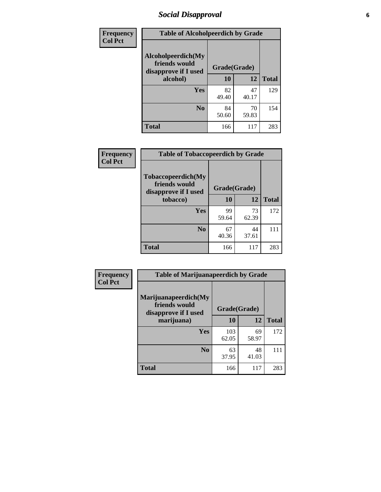### *Social Disapproval* **6**

| <b>Frequency</b> | <b>Table of Alcoholpeerdich by Grade</b>                    |              |             |              |
|------------------|-------------------------------------------------------------|--------------|-------------|--------------|
| <b>Col Pct</b>   | Alcoholpeerdich(My<br>friends would<br>disapprove if I used | Grade(Grade) |             |              |
|                  | alcohol)                                                    |              | 12          | <b>Total</b> |
|                  | Yes                                                         | 82<br>49.40  | 47<br>40.17 | 129          |
|                  | N <sub>0</sub>                                              | 84<br>50.60  | 70<br>59.83 | 154          |
|                  | <b>Total</b>                                                | 166          | 117         | 283          |

| <b>Frequency</b> |
|------------------|
| <b>Col Pct</b>   |

| <b>Table of Tobaccopeerdich by Grade</b>                            |              |             |              |  |  |  |  |
|---------------------------------------------------------------------|--------------|-------------|--------------|--|--|--|--|
| <b>Tobaccopeerdich</b> (My<br>friends would<br>disapprove if I used | Grade(Grade) |             |              |  |  |  |  |
| tobacco)                                                            | 10           | 12          | <b>Total</b> |  |  |  |  |
| Yes                                                                 | 99<br>59.64  | 73<br>62.39 | 172          |  |  |  |  |
| N <sub>0</sub>                                                      | 67<br>40.36  | 44<br>37.61 | 111          |  |  |  |  |
| <b>Total</b>                                                        | 166          | 117         | 283          |  |  |  |  |

| Frequency      | <b>Table of Marijuanapeerdich by Grade</b>                    |              |             |              |  |  |  |  |
|----------------|---------------------------------------------------------------|--------------|-------------|--------------|--|--|--|--|
| <b>Col Pct</b> | Marijuanapeerdich(My<br>friends would<br>disapprove if I used | Grade(Grade) |             |              |  |  |  |  |
|                | marijuana)                                                    | 10           | 12          | <b>Total</b> |  |  |  |  |
|                | <b>Yes</b>                                                    | 103<br>62.05 | 69<br>58.97 | 172          |  |  |  |  |
|                | N <sub>0</sub>                                                | 63<br>37.95  | 48<br>41.03 | 111          |  |  |  |  |
|                | <b>Total</b>                                                  | 166          | 117         | 283          |  |  |  |  |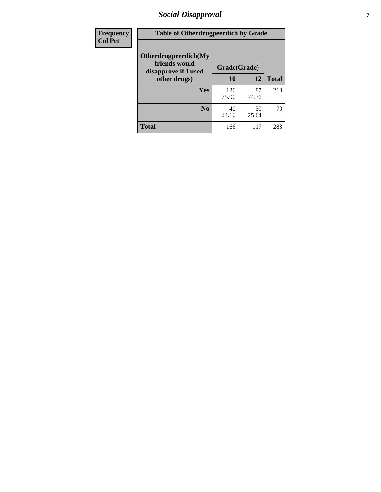### *Social Disapproval* **7**

| Frequency      | <b>Table of Otherdrugpeerdich by Grade</b>                    |              |             |              |  |  |  |
|----------------|---------------------------------------------------------------|--------------|-------------|--------------|--|--|--|
| <b>Col Pct</b> | Otherdrugpeerdich(My<br>friends would<br>disapprove if I used | Grade(Grade) |             |              |  |  |  |
|                | other drugs)                                                  | 10           | 12          | <b>Total</b> |  |  |  |
|                | Yes                                                           | 126<br>75.90 | 87<br>74.36 | 213          |  |  |  |
|                | N <sub>0</sub>                                                | 40<br>24.10  | 30<br>25.64 | 70           |  |  |  |
|                | <b>Total</b>                                                  | 166          | 117         | 283          |  |  |  |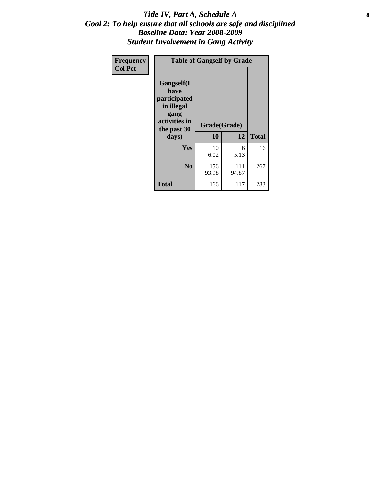#### Title IV, Part A, Schedule A **8** *Goal 2: To help ensure that all schools are safe and disciplined Baseline Data: Year 2008-2009 Student Involvement in Gang Activity*

| Frequency      | <b>Table of Gangself by Grade</b>                                                                 |                    |              |              |
|----------------|---------------------------------------------------------------------------------------------------|--------------------|--------------|--------------|
| <b>Col Pct</b> | Gangself(I<br>have<br>participated<br>in illegal<br>gang<br>activities in<br>the past 30<br>days) | Grade(Grade)<br>10 | 12           | <b>Total</b> |
|                | Yes                                                                                               | 10<br>6.02         | 6<br>5.13    | 16           |
|                | N <sub>0</sub>                                                                                    | 156<br>93.98       | 111<br>94.87 | 267          |
|                | Total                                                                                             | 166                | 117          | 283          |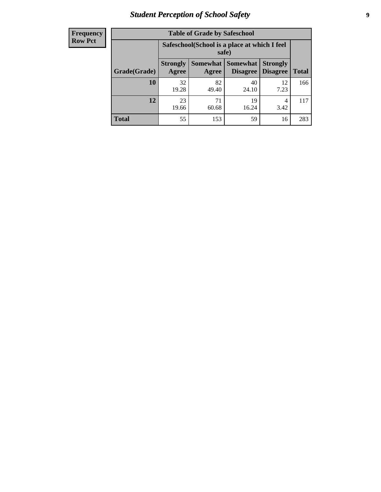### *Student Perception of School Safety* **9**

| <b>Frequency</b><br>Row Pct |
|-----------------------------|
|                             |

| <b>Table of Grade by Safeschool</b> |                                                        |                   |                             |                                    |              |  |  |
|-------------------------------------|--------------------------------------------------------|-------------------|-----------------------------|------------------------------------|--------------|--|--|
|                                     | Safeschool (School is a place at which I feel<br>safe) |                   |                             |                                    |              |  |  |
| Grade(Grade)                        | <b>Strongly</b><br>Agree                               | Somewhat<br>Agree | <b>Somewhat</b><br>Disagree | <b>Strongly</b><br><b>Disagree</b> | <b>Total</b> |  |  |
| 10                                  | 32<br>19.28                                            | 82<br>49.40       | 40<br>24.10                 | 12<br>7.23                         | 166          |  |  |
| 12                                  | 23<br>19.66                                            | 71<br>60.68       | 19<br>16.24                 | 4<br>3.42                          | 117          |  |  |
| Total                               | 55                                                     | 153               | 59                          | 16                                 | 283          |  |  |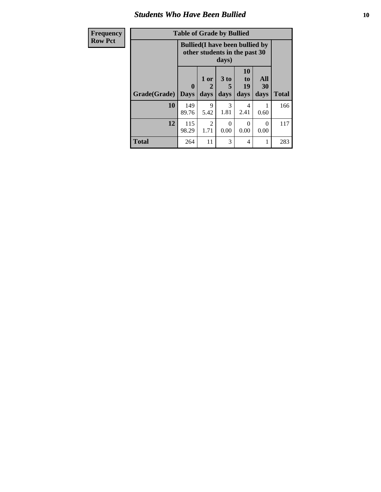#### *Students Who Have Been Bullied* **10**

| Frequency      |  |
|----------------|--|
| <b>Row Pct</b> |  |

## **Table of Grade by Bullied**

┑

| -y | Lavic VI Grauc Dy Dunicu |                         |                                                                                  |                   |                        |                   |              |  |
|----|--------------------------|-------------------------|----------------------------------------------------------------------------------|-------------------|------------------------|-------------------|--------------|--|
|    |                          |                         | <b>Bullied</b> (I have been bullied by<br>other students in the past 30<br>days) |                   |                        |                   |              |  |
|    | Grade(Grade)             | $\bf{0}$<br><b>Days</b> | 1 or<br>2<br>days                                                                | 3 to<br>5<br>days | 10<br>to<br>19<br>days | All<br>30<br>days | <b>Total</b> |  |
|    | 10                       | 149<br>89.76            | 9<br>5.42                                                                        | 3<br>1.81         | 4<br>2.41              | 0.60              | 166          |  |
|    | 12                       | 115<br>98.29            | 2<br>1.71                                                                        | 0<br>0.00         | 0<br>0.00              | 0<br>0.00         | 117          |  |
|    | <b>Total</b>             | 264                     | 11                                                                               | 3                 | 4                      | 1                 | 283          |  |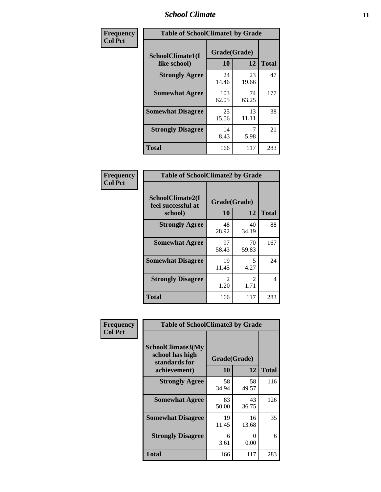### *School Climate* **11**

| Frequency      | <b>Table of SchoolClimate1 by Grade</b> |                    |             |              |  |  |  |
|----------------|-----------------------------------------|--------------------|-------------|--------------|--|--|--|
| <b>Col Pct</b> | SchoolClimate1(I<br>like school)        | Grade(Grade)<br>10 | 12          | <b>Total</b> |  |  |  |
|                | <b>Strongly Agree</b>                   | 24<br>14.46        | 23<br>19.66 | 47           |  |  |  |
|                | <b>Somewhat Agree</b>                   | 103<br>62.05       | 74<br>63.25 | 177          |  |  |  |
|                | <b>Somewhat Disagree</b>                | 25<br>15.06        | 13<br>11.11 | 38           |  |  |  |
|                | <b>Strongly Disagree</b>                | 14<br>8.43         | 5.98        | 21           |  |  |  |
|                | <b>Total</b>                            | 166                | 117         | 283          |  |  |  |

| Frequency      | <b>Table of SchoolClimate2 by Grade</b>           |                        |                        |              |
|----------------|---------------------------------------------------|------------------------|------------------------|--------------|
| <b>Col Pct</b> | SchoolClimate2(I<br>feel successful at<br>school) | Grade(Grade)<br>10     | 12                     | <b>Total</b> |
|                | <b>Strongly Agree</b>                             | 48<br>28.92            | 40<br>34.19            | 88           |
|                | <b>Somewhat Agree</b>                             | 97<br>58.43            | 70<br>59.83            | 167          |
|                | <b>Somewhat Disagree</b>                          | 19<br>11.45            | 5<br>4.27              | 24           |
|                | <b>Strongly Disagree</b>                          | $\mathfrak{D}$<br>1.20 | $\mathfrak{D}$<br>1.71 | 4            |
|                | <b>Total</b>                                      | 166                    | 117                    | 283          |

| Frequency      | <b>Table of SchoolClimate3 by Grade</b>                      |              |             |              |  |
|----------------|--------------------------------------------------------------|--------------|-------------|--------------|--|
| <b>Col Pct</b> | <b>SchoolClimate3(My</b><br>school has high<br>standards for | Grade(Grade) |             |              |  |
|                | achievement)                                                 | 10           | 12          | <b>Total</b> |  |
|                | <b>Strongly Agree</b>                                        | 58<br>34.94  | 58<br>49.57 | 116          |  |
|                | <b>Somewhat Agree</b>                                        | 83<br>50.00  | 43<br>36.75 | 126          |  |
|                | <b>Somewhat Disagree</b>                                     | 19<br>11.45  | 16<br>13.68 | 35           |  |
|                | <b>Strongly Disagree</b>                                     | 6<br>3.61    | 0<br>0.00   | 6            |  |
|                | Total                                                        | 166          | 117         | 283          |  |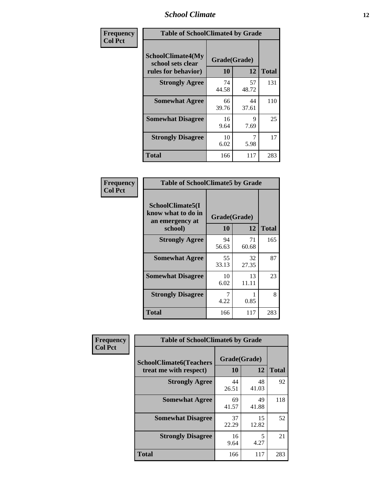### *School Climate* **12**

| Frequency      | <b>Table of SchoolClimate4 by Grade</b>                              |                    |             |              |
|----------------|----------------------------------------------------------------------|--------------------|-------------|--------------|
| <b>Col Pct</b> | <b>SchoolClimate4(My</b><br>school sets clear<br>rules for behavior) | Grade(Grade)<br>10 | 12          | <b>Total</b> |
|                | <b>Strongly Agree</b>                                                | 74<br>44.58        | 57<br>48.72 | 131          |
|                | <b>Somewhat Agree</b>                                                | 66<br>39.76        | 44<br>37.61 | 110          |
|                | <b>Somewhat Disagree</b>                                             | 16<br>9.64         | 9<br>7.69   | 25           |
|                | <b>Strongly Disagree</b>                                             | 10<br>6.02         | 7<br>5.98   | 17           |
|                | <b>Total</b>                                                         | 166                | 117         | 283          |

| <b>Table of SchoolClimate5 by Grade</b>                   |              |             |              |  |  |
|-----------------------------------------------------------|--------------|-------------|--------------|--|--|
| SchoolClimate5(I<br>know what to do in<br>an emergency at | Grade(Grade) |             |              |  |  |
| school)                                                   | 10           | 12          | <b>Total</b> |  |  |
| <b>Strongly Agree</b>                                     | 94<br>56.63  | 71<br>60.68 | 165          |  |  |
| <b>Somewhat Agree</b>                                     | 55<br>33.13  | 32<br>27.35 | 87           |  |  |
| <b>Somewhat Disagree</b>                                  | 10<br>6.02   | 13<br>11.11 | 23           |  |  |
| <b>Strongly Disagree</b>                                  | 4.22         | 0.85        | 8            |  |  |
| Total                                                     | 166          | 117         | 283          |  |  |

| Frequency      | <b>Table of SchoolClimate6 by Grade</b>                  |                    |             |              |  |
|----------------|----------------------------------------------------------|--------------------|-------------|--------------|--|
| <b>Col Pct</b> | <b>SchoolClimate6(Teachers</b><br>treat me with respect) | Grade(Grade)<br>10 | 12          | <b>Total</b> |  |
|                | <b>Strongly Agree</b>                                    | 44<br>26.51        | 48<br>41.03 | 92           |  |
|                | <b>Somewhat Agree</b>                                    | 69<br>41.57        | 49<br>41.88 | 118          |  |
|                | <b>Somewhat Disagree</b>                                 | 37<br>22.29        | 15<br>12.82 | 52           |  |
|                | <b>Strongly Disagree</b>                                 | 16<br>9.64         | 5<br>4.27   | 21           |  |
|                | <b>Total</b>                                             | 166                | 117         | 283          |  |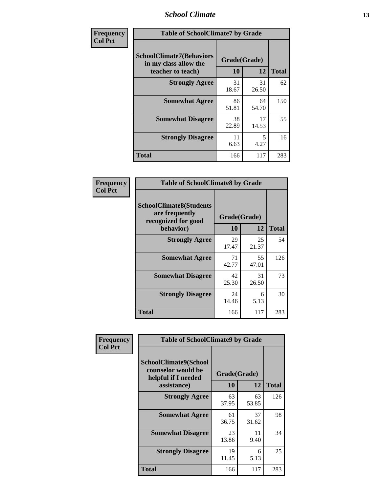### *School Climate* **13**

| Frequency      | <b>Table of SchoolClimate7 by Grade</b>                                       |                           |             |              |
|----------------|-------------------------------------------------------------------------------|---------------------------|-------------|--------------|
| <b>Col Pct</b> | <b>SchoolClimate7(Behaviors</b><br>in my class allow the<br>teacher to teach) | Grade(Grade)<br><b>10</b> | 12          | <b>Total</b> |
|                | <b>Strongly Agree</b>                                                         | 31<br>18.67               | 31<br>26.50 | 62           |
|                | <b>Somewhat Agree</b>                                                         | 86<br>51.81               | 64<br>54.70 | 150          |
|                | <b>Somewhat Disagree</b>                                                      | 38<br>22.89               | 17<br>14.53 | 55           |
|                | <b>Strongly Disagree</b>                                                      | 11<br>6.63                | 5<br>4.27   | 16           |
|                | <b>Total</b>                                                                  | 166                       | 117         | 283          |

| Frequency      | <b>Table of SchoolClimate8 by Grade</b>                                 |                    |             |              |
|----------------|-------------------------------------------------------------------------|--------------------|-------------|--------------|
| <b>Col Pct</b> | <b>SchoolClimate8(Students</b><br>are frequently<br>recognized for good | Grade(Grade)<br>10 | 12          | <b>Total</b> |
|                | behavior)                                                               |                    |             |              |
|                | <b>Strongly Agree</b>                                                   | 29<br>17.47        | 25<br>21.37 | 54           |
|                | <b>Somewhat Agree</b>                                                   | 71<br>42.77        | 55<br>47.01 | 126          |
|                | <b>Somewhat Disagree</b>                                                | 42<br>25.30        | 31<br>26.50 | 73           |
|                | <b>Strongly Disagree</b>                                                | 24<br>14.46        | 6<br>5.13   | 30           |
|                | <b>Total</b>                                                            | 166                | 117         | 283          |

| Frequency      | <b>Table of SchoolClimate9 by Grade</b>                                           |                    |             |              |
|----------------|-----------------------------------------------------------------------------------|--------------------|-------------|--------------|
| <b>Col Pct</b> | SchoolClimate9(School<br>counselor would be<br>helpful if I needed<br>assistance) | Grade(Grade)<br>10 | 12          | <b>Total</b> |
|                | <b>Strongly Agree</b>                                                             | 63<br>37.95        | 63<br>53.85 | 126          |
|                | <b>Somewhat Agree</b>                                                             | 61<br>36.75        | 37<br>31.62 | 98           |
|                | <b>Somewhat Disagree</b>                                                          | 23<br>13.86        | 11<br>9.40  | 34           |
|                | <b>Strongly Disagree</b>                                                          | 19<br>11.45        | 6<br>5.13   | 25           |
|                | Total                                                                             | 166                | 117         | 283          |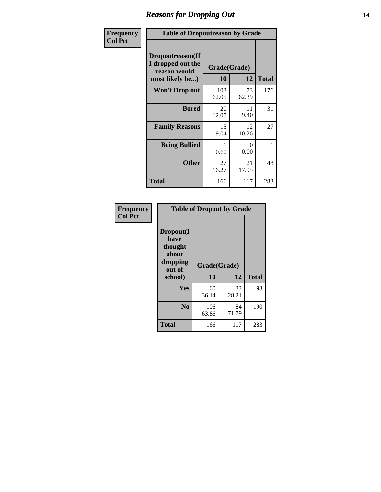### *Reasons for Dropping Out* **14**

| <b>Frequency</b> | <b>Table of Dropoutreason by Grade</b>                                   |                    |                  |              |
|------------------|--------------------------------------------------------------------------|--------------------|------------------|--------------|
| <b>Col Pct</b>   | Dropoutreason(If<br>I dropped out the<br>reason would<br>most likely be) | Grade(Grade)<br>10 | 12               | <b>Total</b> |
|                  | <b>Won't Drop out</b>                                                    | 103<br>62.05       | 73<br>62.39      | 176          |
|                  | <b>Bored</b>                                                             | 20<br>12.05        | 11<br>9.40       | 31           |
|                  | <b>Family Reasons</b>                                                    | 15<br>9.04         | 12<br>10.26      | 27           |
|                  | <b>Being Bullied</b>                                                     | 0.60               | $\Omega$<br>0.00 | 1            |
|                  | <b>Other</b>                                                             | 27<br>16.27        | 21<br>17.95      | 48           |
|                  | <b>Total</b>                                                             | 166                | 117              | 283          |

| Frequency      | <b>Table of Dropout by Grade</b>                                       |                    |             |              |  |
|----------------|------------------------------------------------------------------------|--------------------|-------------|--------------|--|
| <b>Col Pct</b> | Dropout(I<br>have<br>thought<br>about<br>dropping<br>out of<br>school) | Grade(Grade)<br>10 | 12          | <b>Total</b> |  |
|                | Yes                                                                    | 60<br>36.14        | 33<br>28.21 | 93           |  |
|                | N <sub>0</sub>                                                         | 106<br>63.86       | 84<br>71.79 | 190          |  |
|                | <b>Total</b>                                                           | 166                | 117         | 283          |  |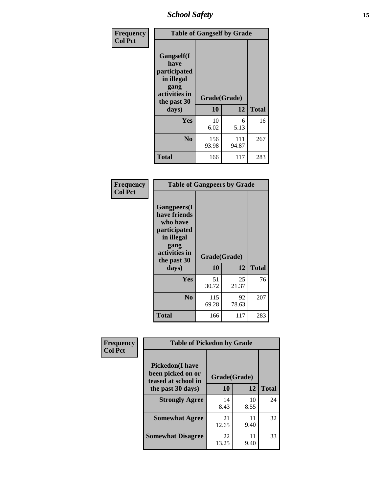*School Safety* **15**

| Frequency      | <b>Table of Gangself by Grade</b>                                                                 |                    |              |              |
|----------------|---------------------------------------------------------------------------------------------------|--------------------|--------------|--------------|
| <b>Col Pct</b> | Gangself(I<br>have<br>participated<br>in illegal<br>gang<br>activities in<br>the past 30<br>days) | Grade(Grade)<br>10 | 12           | <b>Total</b> |
|                | Yes                                                                                               | 10<br>6.02         | 6<br>5.13    | 16           |
|                | N <sub>0</sub>                                                                                    | 156<br>93.98       | 111<br>94.87 | 267          |
|                | <b>Total</b>                                                                                      | 166                | 117          | 283          |

| Frequency<br><b>Col Pct</b> | <b>Table of Gangpeers by Grade</b>                                                                                             |                    |             |              |
|-----------------------------|--------------------------------------------------------------------------------------------------------------------------------|--------------------|-------------|--------------|
|                             | <b>Gangpeers</b> (I<br>have friends<br>who have<br>participated<br>in illegal<br>gang<br>activities in<br>the past 30<br>days) | Grade(Grade)<br>10 | 12          | <b>Total</b> |
|                             | Yes                                                                                                                            | 51<br>30.72        | 25<br>21.37 | 76           |
|                             | N <sub>0</sub>                                                                                                                 | 115<br>69.28       | 92<br>78.63 | 207          |
|                             | Total                                                                                                                          | 166                | 117         | 283          |

| Frequency      |                                                                                          | <b>Table of Pickedon by Grade</b> |              |    |  |  |  |  |  |  |  |
|----------------|------------------------------------------------------------------------------------------|-----------------------------------|--------------|----|--|--|--|--|--|--|--|
| <b>Col Pct</b> | <b>Pickedon</b> (I have<br>been picked on or<br>teased at school in<br>the past 30 days) | Grade(Grade)<br>10                | <b>Total</b> |    |  |  |  |  |  |  |  |
|                | <b>Strongly Agree</b>                                                                    | 14<br>8.43                        | 10<br>8.55   | 24 |  |  |  |  |  |  |  |
|                | <b>Somewhat Agree</b>                                                                    | 21<br>12.65                       | 11<br>9.40   | 32 |  |  |  |  |  |  |  |
|                | <b>Somewhat Disagree</b>                                                                 | 22<br>13.25                       | 11<br>9.40   | 33 |  |  |  |  |  |  |  |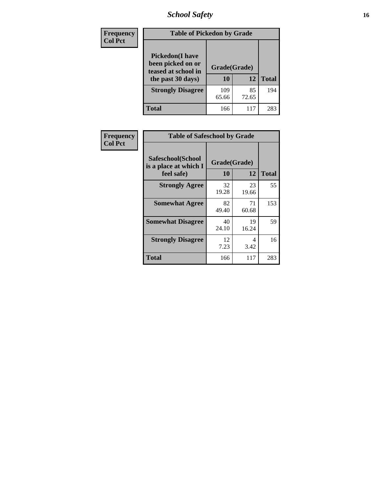### *School Safety* **16**

| <b>Frequency</b> | <b>Table of Pickedon by Grade</b>                                                       |                    |             |              |
|------------------|-----------------------------------------------------------------------------------------|--------------------|-------------|--------------|
| <b>Col Pct</b>   | <b>Pickedon(I have</b><br>been picked on or<br>teased at school in<br>the past 30 days) | Grade(Grade)<br>10 | 12          | <b>Total</b> |
|                  | <b>Strongly Disagree</b>                                                                | 109<br>65.66       | 85<br>72.65 | 194          |
|                  | Total                                                                                   | 166                | 117         | 283          |

| Frequency      | <b>Table of Safeschool by Grade</b>                      |                    |             |              |
|----------------|----------------------------------------------------------|--------------------|-------------|--------------|
| <b>Col Pct</b> | Safeschool(School<br>is a place at which I<br>feel safe) | Grade(Grade)<br>10 | 12          | <b>Total</b> |
|                | <b>Strongly Agree</b>                                    | 32<br>19.28        | 23<br>19.66 | 55           |
|                | <b>Somewhat Agree</b>                                    | 82<br>49.40        | 71<br>60.68 | 153          |
|                | <b>Somewhat Disagree</b>                                 | 40<br>24.10        | 19<br>16.24 | 59           |
|                | <b>Strongly Disagree</b>                                 | 12<br>7.23         | 4<br>3.42   | 16           |
|                | Total                                                    | 166                | 117         | 283          |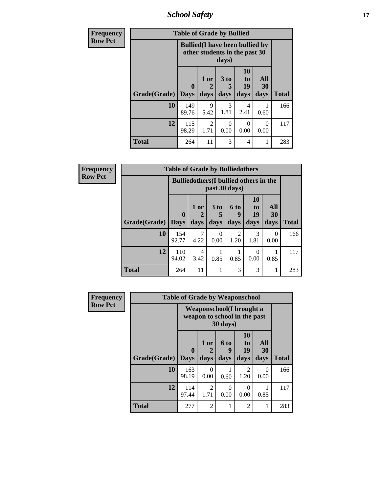*School Safety* **17**

| <b>Frequency</b> | <b>Table of Grade by Bullied</b> |                                                                         |                   |                              |                        |                   |              |  |
|------------------|----------------------------------|-------------------------------------------------------------------------|-------------------|------------------------------|------------------------|-------------------|--------------|--|
| <b>Row Pct</b>   |                                  | <b>Bullied</b> (I have been bullied by<br>other students in the past 30 |                   |                              |                        |                   |              |  |
|                  | Grade(Grade)                     | 0<br><b>Days</b>                                                        | 1 or<br>2<br>days | 3 <sub>to</sub><br>5<br>days | 10<br>to<br>19<br>days | All<br>30<br>days | <b>Total</b> |  |
|                  | 10                               | 149<br>89.76                                                            | 9<br>5.42         | 3<br>1.81                    | 4<br>2.41              | 0.60              | 166          |  |
|                  | 12                               | 115<br>98.29                                                            | 2<br>1.71         | $\Omega$<br>0.00             | $\Omega$<br>0.00       | 0<br>0.00         | 117          |  |
|                  | <b>Total</b>                     | 264                                                                     | 11                | 3                            | 4                      |                   | 283          |  |

| <b>Frequency</b> | <b>Table of Grade by Bulliedothers</b> |              |                                                                |              |                          |                        |                   |              |  |
|------------------|----------------------------------------|--------------|----------------------------------------------------------------|--------------|--------------------------|------------------------|-------------------|--------------|--|
| <b>Row Pct</b>   |                                        |              | <b>Bulliedothers</b> (I bullied others in the<br>past 30 days) |              |                          |                        |                   |              |  |
|                  | <b>Grade</b> (Grade) Days              | $\mathbf{0}$ | 1 or<br>days                                                   | 3 to<br>days | <b>6 to</b><br>9<br>days | 10<br>to<br>19<br>days | All<br>30<br>days | <b>Total</b> |  |
|                  | 10                                     | 154<br>92.77 | 7<br>4.22                                                      | ∩<br>0.00    | $\mathfrak{D}$<br>1.20   | 3<br>1.81              | $\Omega$<br>0.00  | 166          |  |
|                  | 12                                     | 110<br>94.02 | $\overline{4}$<br>3.42                                         | 0.85         | 0.85                     | 0<br>0.00              | 0.85              | 117          |  |
|                  | <b>Total</b>                           | 264          | 11                                                             |              | 3                        | 3                      | 1                 | 283          |  |

| <b>Frequency</b> | <b>Table of Grade by Weaponschool</b> |                                                          |                   |                   |                               |                   |              |  |  |  |
|------------------|---------------------------------------|----------------------------------------------------------|-------------------|-------------------|-------------------------------|-------------------|--------------|--|--|--|
| <b>Row Pct</b>   |                                       | Weaponschool(I brought a<br>weapon to school in the past |                   |                   |                               |                   |              |  |  |  |
|                  | Grade(Grade)                          | $\mathbf 0$<br><b>Days</b>                               | 1 or<br>2<br>days | 6 to<br>9<br>days | <b>10</b><br>to<br>19<br>days | All<br>30<br>days | <b>Total</b> |  |  |  |
|                  | 10                                    | 163<br>98.19                                             | 0<br>0.00         | 0.60              | 2<br>1.20                     | 0<br>0.00         | 166          |  |  |  |
|                  | 12                                    | 114<br>97.44                                             | 2<br>1.71         | 0<br>0.00         | $\Omega$<br>0.00              | 0.85              | 117          |  |  |  |
|                  | <b>Total</b>                          | 277                                                      | $\overline{2}$    |                   | 2                             |                   | 283          |  |  |  |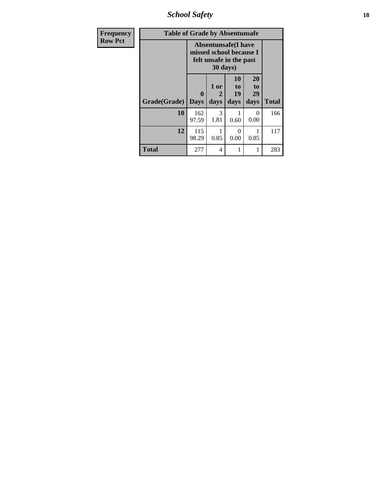*School Safety* **18**

| <b>Frequency</b> | <b>Table of Grade by Absentunsafe</b> |                  |                                                                                              |                        |                        |              |  |  |  |  |  |
|------------------|---------------------------------------|------------------|----------------------------------------------------------------------------------------------|------------------------|------------------------|--------------|--|--|--|--|--|
| <b>Row Pct</b>   |                                       |                  | <b>Absentunsafe(I have</b><br>missed school because I<br>felt unsafe in the past<br>30 days) |                        |                        |              |  |  |  |  |  |
|                  | Grade(Grade)                          | 0<br><b>Days</b> | 1 or<br>2<br>days                                                                            | 10<br>to<br>19<br>days | 20<br>to<br>29<br>days | <b>Total</b> |  |  |  |  |  |
|                  | 10                                    | 162<br>97.59     | 3<br>1.81                                                                                    | 1<br>0.60              | 0<br>0.00              | 166          |  |  |  |  |  |
|                  | 12                                    | 115<br>98.29     | 0.85                                                                                         | $\Omega$<br>0.00       | 0.85                   | 117          |  |  |  |  |  |
|                  | <b>Total</b>                          | 277              | $\overline{4}$                                                                               | 1                      | 1                      | 283          |  |  |  |  |  |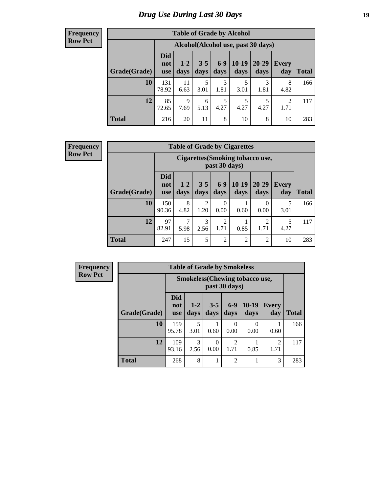### *Drug Use During Last 30 Days* **19**

#### **Frequency Row Pct**

| <b>Table of Grade by Alcohol</b> |                                 |                                    |                 |               |                 |                   |              |              |  |  |
|----------------------------------|---------------------------------|------------------------------------|-----------------|---------------|-----------------|-------------------|--------------|--------------|--|--|
|                                  |                                 | Alcohol(Alcohol use, past 30 days) |                 |               |                 |                   |              |              |  |  |
| Grade(Grade)                     | <b>Did</b><br>not<br><b>use</b> | $1-2$<br>days                      | $3 - 5$<br>days | $6-9$<br>days | $10-19$<br>days | $20 - 29$<br>days | Every<br>day | <b>Total</b> |  |  |
| 10                               | 131<br>78.92                    | 11<br>6.63                         | 5<br>3.01       | 3<br>1.81     | 5<br>3.01       | 3<br>1.81         | 8<br>4.82    | 166          |  |  |
| 12                               | 85<br>72.65                     | 9<br>7.69                          | 6<br>5.13       | 5<br>4.27     | 5<br>4.27       | 5<br>4.27         | 2<br>1.71    | 117          |  |  |
| <b>Total</b>                     | 216                             | 20                                 | 11              | 8             | 10              | 8                 | 10           | 283          |  |  |

#### **Frequency Row Pct**

| <b>Table of Grade by Cigarettes</b> |                                 |                                                          |                 |                        |                 |                        |                     |       |  |  |
|-------------------------------------|---------------------------------|----------------------------------------------------------|-----------------|------------------------|-----------------|------------------------|---------------------|-------|--|--|
|                                     |                                 | <b>Cigarettes (Smoking tobacco use,</b><br>past 30 days) |                 |                        |                 |                        |                     |       |  |  |
| Grade(Grade)                        | <b>Did</b><br>not<br><b>use</b> | $1 - 2$<br>days                                          | $3 - 5$<br>days | $6 - 9$<br>days        | $10-19$<br>days | 20-29<br>days          | <b>Every</b><br>day | Total |  |  |
| 10                                  | 150<br>90.36                    | 8<br>4.82                                                | 2<br>1.20       | $\Omega$<br>0.00       | 0.60            | $\Omega$<br>0.00       | 5<br>3.01           | 166   |  |  |
| 12                                  | 97<br>82.91                     | 7<br>5.98                                                | 3<br>2.56       | $\overline{2}$<br>1.71 | 0.85            | $\overline{2}$<br>1.71 | 5<br>4.27           | 117   |  |  |
| <b>Total</b>                        | 247                             | 15                                                       | 5               | $\overline{2}$         | $\overline{2}$  | $\overline{2}$         | 10                  | 283   |  |  |

**Frequency Row Pct**

| <b>Table of Grade by Smokeless</b> |                                 |                                                        |                 |                        |                 |                        |              |  |  |  |
|------------------------------------|---------------------------------|--------------------------------------------------------|-----------------|------------------------|-----------------|------------------------|--------------|--|--|--|
|                                    |                                 | <b>Smokeless</b> (Chewing tobaccouse,<br>past 30 days) |                 |                        |                 |                        |              |  |  |  |
| Grade(Grade)                       | <b>Did</b><br>not<br><b>use</b> | $1 - 2$<br>days                                        | $3 - 5$<br>days | $6-9$<br>days          | $10-19$<br>days | <b>Every</b><br>day    | <b>Total</b> |  |  |  |
| 10                                 | 159<br>95.78                    | 5<br>3.01                                              | 0.60            | 0.00                   | 0.00            | 0.60                   | 166          |  |  |  |
| 12                                 | 109<br>93.16                    | 3<br>2.56                                              | 0<br>0.00       | $\mathfrak{D}$<br>1.71 | 0.85            | $\overline{2}$<br>1.71 | 117          |  |  |  |
| <b>Total</b>                       | 268                             | 8                                                      |                 | $\overline{2}$         |                 | 3                      | 283          |  |  |  |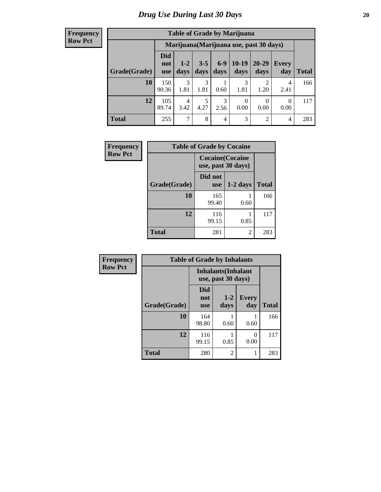#### **Frequency Row Pct**

| <b>Table of Grade by Marijuana</b> |                                 |                                         |                 |                |                 |                |                |       |  |  |
|------------------------------------|---------------------------------|-----------------------------------------|-----------------|----------------|-----------------|----------------|----------------|-------|--|--|
|                                    |                                 | Marijuana (Marijuana use, past 30 days) |                 |                |                 |                |                |       |  |  |
| Grade(Grade)                       | <b>Did</b><br>not<br><b>use</b> | $1 - 2$<br>days                         | $3 - 5$<br>days | $6-9$<br>days  | $10-19$<br>days | 20-29<br>days  | Every<br>day   | Total |  |  |
| 10                                 | 150<br>90.36                    | 3<br>1.81                               | 3<br>1.81       | 0.60           | 3<br>1.81       | ∍<br>1.20      | 4<br>2.41      | 166   |  |  |
| 12                                 | 105<br>89.74                    | 4<br>3.42                               | 5<br>4.27       | 3<br>2.56      | 0<br>0.00       | 0<br>0.00      | 0<br>0.00      | 117   |  |  |
| <b>Total</b>                       | 255                             | $\tau$                                  | 8               | $\overline{4}$ | 3               | $\overline{2}$ | $\overline{4}$ | 283   |  |  |

| Frequency      | <b>Table of Grade by Cocaine</b> |                                               |            |              |
|----------------|----------------------------------|-----------------------------------------------|------------|--------------|
| <b>Row Pct</b> |                                  | <b>Cocaine</b> (Cocaine<br>use, past 30 days) |            |              |
|                | Grade(Grade)                     | Did not<br><b>use</b>                         | $1-2$ days | <b>Total</b> |
|                | 10                               | 165<br>99.40                                  | 0.60       | 166          |
|                | 12                               | 116<br>99.15                                  | 0.85       | 117          |
|                | <b>Total</b>                     | 281                                           | 2          | 283          |

| Frequency      | <b>Table of Grade by Inhalants</b> |                                                  |                 |                     |              |
|----------------|------------------------------------|--------------------------------------------------|-----------------|---------------------|--------------|
| <b>Row Pct</b> |                                    | <b>Inhalants</b> (Inhalant<br>use, past 30 days) |                 |                     |              |
|                | Grade(Grade)                       | Did<br>not<br><b>use</b>                         | $1 - 2$<br>days | <b>Every</b><br>day | <b>Total</b> |
|                | 10                                 | 164<br>98.80                                     | 0.60            | 0.60                | 166          |
|                | 12                                 | 116<br>99.15                                     | 0.85            | 0<br>0.00           | 117          |
|                | <b>Total</b>                       | 280                                              | 2               | 1                   | 283          |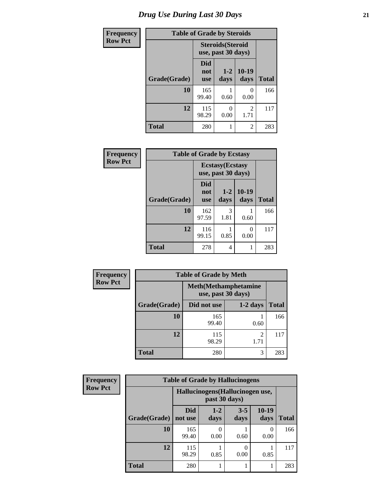| <b>Frequency</b> | <b>Table of Grade by Steroids</b> |                          |                                                |                           |              |
|------------------|-----------------------------------|--------------------------|------------------------------------------------|---------------------------|--------------|
| <b>Row Pct</b>   |                                   |                          | <b>Steroids</b> (Steroid<br>use, past 30 days) |                           |              |
|                  | Grade(Grade)                      | Did<br>not<br><b>use</b> | $1 - 2$<br>days                                | $10-19$<br>days           | <b>Total</b> |
|                  | 10                                | 165<br>99.40             | 0.60                                           | $\mathbf{\Omega}$<br>0.00 | 166          |
|                  | 12                                | 115<br>98.29             | 0<br>0.00                                      | $\overline{2}$<br>1.71    | 117          |
|                  | <b>Total</b>                      | 280                      | 1                                              | $\overline{2}$            | 283          |

| Frequency      | <b>Table of Grade by Ecstasy</b> |                                               |               |                 |              |
|----------------|----------------------------------|-----------------------------------------------|---------------|-----------------|--------------|
| <b>Row Pct</b> |                                  | <b>Ecstasy</b> (Ecstasy<br>use, past 30 days) |               |                 |              |
|                | Grade(Grade)                     | Did<br>not<br><b>use</b>                      | $1-2$<br>days | $10-19$<br>days | <b>Total</b> |
|                | 10                               | 162<br>97.59                                  | 3<br>1.81     | 0.60            | 166          |
|                | 12                               | 116<br>99.15                                  | 0.85          | 0<br>0.00       | 117          |
|                | <b>Total</b>                     | 278                                           | 4             |                 | 283          |

| Frequency      | <b>Table of Grade by Meth</b> |                                                    |            |              |  |  |
|----------------|-------------------------------|----------------------------------------------------|------------|--------------|--|--|
| <b>Row Pct</b> |                               | <b>Meth</b> (Methamphetamine<br>use, past 30 days) |            |              |  |  |
|                | Grade(Grade)                  | Did not use                                        | $1-2$ days | <b>Total</b> |  |  |
|                | 10                            | 165<br>99.40                                       | 0.60       | 166          |  |  |
|                | 12                            | 115<br>98.29                                       | 2<br>1.71  | 117          |  |  |
|                | <b>Total</b>                  | 280                                                | 3          | 283          |  |  |

| <b>Frequency</b> | <b>Table of Grade by Hallucinogens</b> |                                                   |                 |                 |                 |       |
|------------------|----------------------------------------|---------------------------------------------------|-----------------|-----------------|-----------------|-------|
| <b>Row Pct</b>   |                                        | Hallucinogens (Hallucinogen use,<br>past 30 days) |                 |                 |                 |       |
|                  | Grade(Grade)                           | <b>Did</b><br>not use                             | $1 - 2$<br>days | $3 - 5$<br>days | $10-19$<br>days | Total |
|                  | 10                                     | 165<br>99.40                                      | 0.00            | 0.60            | 0<br>0.00       | 166   |
|                  | 12                                     | 115<br>98.29                                      | 0.85            | 0.00            | 0.85            | 117   |
|                  | <b>Total</b>                           | 280                                               |                 |                 |                 | 283   |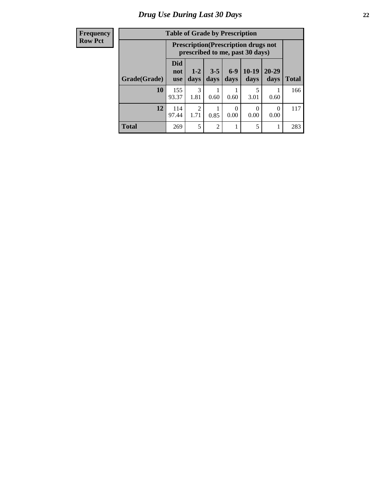| <b>Frequency</b> |  |
|------------------|--|
| <b>Row Pct</b>   |  |

| <b>Table of Grade by Prescription</b> |                          |                                                                                |                 |               |                 |                   |              |
|---------------------------------------|--------------------------|--------------------------------------------------------------------------------|-----------------|---------------|-----------------|-------------------|--------------|
|                                       |                          | <b>Prescription</b> (Prescription drugs not<br>prescribed to me, past 30 days) |                 |               |                 |                   |              |
| Grade(Grade)                          | Did<br>not<br><b>use</b> | $1 - 2$<br>days                                                                | $3 - 5$<br>days | $6-9$<br>days | $10-19$<br>days | $20 - 29$<br>days | <b>Total</b> |
| 10                                    | 155<br>93.37             | 3<br>1.81                                                                      | 0.60            | 0.60          | 5<br>3.01       | 0.60              | 166          |
| 12                                    | 114<br>97.44             | $\overline{2}$<br>1.71                                                         | 0.85            | 0<br>0.00     | 0.00            | 0<br>0.00         | 117          |
| <b>Total</b>                          | 269                      | 5                                                                              | $\overline{2}$  |               | 5               |                   | 283          |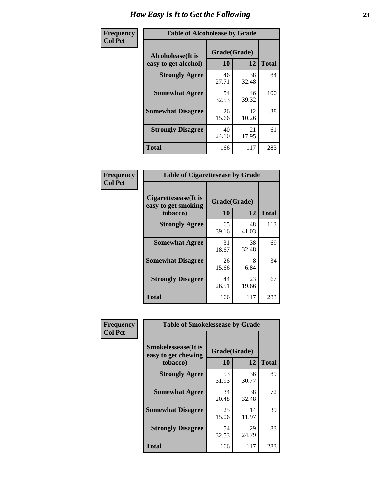| Frequency      | <b>Table of Alcoholease by Grade</b>              |                          |             |              |  |
|----------------|---------------------------------------------------|--------------------------|-------------|--------------|--|
| <b>Col Pct</b> | <b>Alcoholease</b> (It is<br>easy to get alcohol) | Grade(Grade)<br>10<br>12 |             | <b>Total</b> |  |
|                | <b>Strongly Agree</b>                             | 46<br>27.71              | 38<br>32.48 | 84           |  |
|                | <b>Somewhat Agree</b>                             | 54<br>32.53              | 46<br>39.32 | 100          |  |
|                | <b>Somewhat Disagree</b>                          | 26<br>15.66              | 12<br>10.26 | 38           |  |
|                | <b>Strongly Disagree</b>                          | 40<br>24.10              | 21<br>17.95 | 61           |  |
|                | <b>Total</b>                                      | 166                      | 117         | 283          |  |

| Frequency      | <b>Table of Cigarettesease by Grade</b>                 |                    |             |              |
|----------------|---------------------------------------------------------|--------------------|-------------|--------------|
| <b>Col Pct</b> | Cigarettesease(It is<br>easy to get smoking<br>tobacco) | Grade(Grade)<br>10 | 12          | <b>Total</b> |
|                | <b>Strongly Agree</b>                                   | 65<br>39.16        | 48<br>41.03 | 113          |
|                | <b>Somewhat Agree</b>                                   | 31<br>18.67        | 38<br>32.48 | 69           |
|                | <b>Somewhat Disagree</b>                                | 26<br>15.66        | 8<br>6.84   | 34           |
|                | <b>Strongly Disagree</b>                                | 44<br>26.51        | 23<br>19.66 | 67           |
|                | Total                                                   | 166                | 117         | 283          |

| Frequency      | <b>Table of Smokelessease by Grade</b>             |              |             |              |  |  |  |
|----------------|----------------------------------------------------|--------------|-------------|--------------|--|--|--|
| <b>Col Pct</b> | <b>Smokelessease</b> (It is<br>easy to get chewing | Grade(Grade) |             |              |  |  |  |
|                | tobacco)                                           | 10           | 12          | <b>Total</b> |  |  |  |
|                | <b>Strongly Agree</b>                              | 53<br>31.93  | 36<br>30.77 | 89           |  |  |  |
|                | <b>Somewhat Agree</b>                              | 34<br>20.48  | 38<br>32.48 | 72           |  |  |  |
|                | <b>Somewhat Disagree</b>                           | 25<br>15.06  | 14<br>11.97 | 39           |  |  |  |
|                | <b>Strongly Disagree</b>                           | 54<br>32.53  | 29<br>24.79 | 83           |  |  |  |
|                | <b>Total</b>                                       | 166          | 117         | 283          |  |  |  |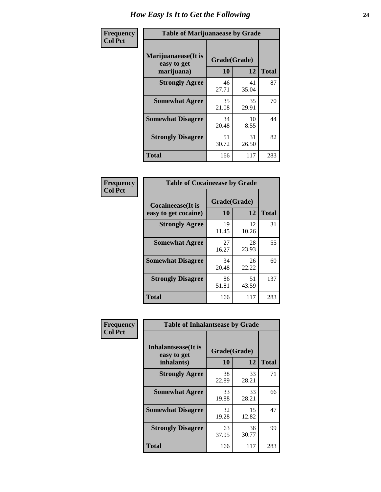| Frequency      | <b>Table of Marijuanaease by Grade</b>           |                           |             |              |  |
|----------------|--------------------------------------------------|---------------------------|-------------|--------------|--|
| <b>Col Pct</b> | Marijuanaease(It is<br>easy to get<br>marijuana) | Grade(Grade)<br><b>10</b> | 12          | <b>Total</b> |  |
|                | <b>Strongly Agree</b>                            | 46<br>27.71               | 41<br>35.04 | 87           |  |
|                | <b>Somewhat Agree</b>                            | 35<br>21.08               | 35<br>29.91 | 70           |  |
|                | <b>Somewhat Disagree</b>                         | 34<br>20.48               | 10<br>8.55  | 44           |  |
|                | <b>Strongly Disagree</b>                         | 51<br>30.72               | 31<br>26.50 | 82           |  |
|                | <b>Total</b>                                     | 166                       | 117         | 283          |  |

| <b>Table of Cocaineease by Grade</b>              |                    |              |     |  |  |
|---------------------------------------------------|--------------------|--------------|-----|--|--|
| <b>Cocaineease</b> (It is<br>easy to get cocaine) | Grade(Grade)<br>10 | <b>Total</b> |     |  |  |
| <b>Strongly Agree</b>                             | 19<br>11.45        | 12<br>10.26  | 31  |  |  |
| <b>Somewhat Agree</b>                             | 27<br>16.27        | 28<br>23.93  | 55  |  |  |
| <b>Somewhat Disagree</b>                          | 34<br>20.48        | 26<br>22.22  | 60  |  |  |
| <b>Strongly Disagree</b>                          | 86<br>51.81        | 51<br>43.59  | 137 |  |  |
| <b>Total</b>                                      | 166                | 117          | 283 |  |  |

| Frequency      | <b>Table of Inhalantsease by Grade</b>                   |                    |              |     |  |  |  |  |  |  |  |
|----------------|----------------------------------------------------------|--------------------|--------------|-----|--|--|--|--|--|--|--|
| <b>Col Pct</b> | <b>Inhalantsease</b> (It is<br>easy to get<br>inhalants) | Grade(Grade)<br>10 | <b>Total</b> |     |  |  |  |  |  |  |  |
|                |                                                          |                    | 12           |     |  |  |  |  |  |  |  |
|                | <b>Strongly Agree</b>                                    | 38<br>22.89        | 33<br>28.21  | 71  |  |  |  |  |  |  |  |
|                | <b>Somewhat Agree</b>                                    | 33<br>19.88        | 33<br>28.21  | 66  |  |  |  |  |  |  |  |
|                | <b>Somewhat Disagree</b>                                 | 32<br>19.28        | 15<br>12.82  | 47  |  |  |  |  |  |  |  |
|                | <b>Strongly Disagree</b>                                 | 63<br>37.95        | 36<br>30.77  | 99  |  |  |  |  |  |  |  |
|                | <b>Total</b>                                             | 166                | 117          | 283 |  |  |  |  |  |  |  |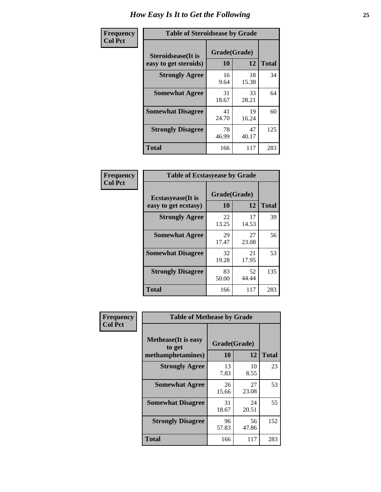| Frequency      | <b>Table of Steroidsease by Grade</b>               |                    |             |              |  |  |  |  |  |  |  |  |
|----------------|-----------------------------------------------------|--------------------|-------------|--------------|--|--|--|--|--|--|--|--|
| <b>Col Pct</b> | <b>Steroidsease</b> (It is<br>easy to get steroids) | Grade(Grade)<br>10 | 12          | <b>Total</b> |  |  |  |  |  |  |  |  |
|                | <b>Strongly Agree</b>                               | 16<br>9.64         | 18<br>15.38 | 34           |  |  |  |  |  |  |  |  |
|                | <b>Somewhat Agree</b>                               | 31<br>18.67        | 33<br>28.21 | 64           |  |  |  |  |  |  |  |  |
|                | <b>Somewhat Disagree</b>                            | 41<br>24.70        | 19<br>16.24 | 60           |  |  |  |  |  |  |  |  |
|                | <b>Strongly Disagree</b>                            | 78<br>46.99        | 47<br>40.17 | 125          |  |  |  |  |  |  |  |  |
|                | <b>Total</b>                                        | 166                | 117         | 283          |  |  |  |  |  |  |  |  |

| Frequency      |                                                   | <b>Table of Ecstasyease by Grade</b> |             |              |  |  |  |  |  |  |  |  |  |
|----------------|---------------------------------------------------|--------------------------------------|-------------|--------------|--|--|--|--|--|--|--|--|--|
| <b>Col Pct</b> | <b>Ecstasyease</b> (It is<br>easy to get ecstasy) | Grade(Grade)<br><b>10</b>            | 12          | <b>Total</b> |  |  |  |  |  |  |  |  |  |
|                | <b>Strongly Agree</b>                             | 22<br>13.25                          | 17<br>14.53 | 39           |  |  |  |  |  |  |  |  |  |
|                | <b>Somewhat Agree</b>                             | 29<br>17.47                          | 27<br>23.08 | 56           |  |  |  |  |  |  |  |  |  |
|                | <b>Somewhat Disagree</b>                          | 32<br>19.28                          | 21<br>17.95 | 53           |  |  |  |  |  |  |  |  |  |
|                | <b>Strongly Disagree</b>                          | 83<br>50.00                          | 52<br>44.44 | 135          |  |  |  |  |  |  |  |  |  |
|                | Total                                             | 166                                  | 117         | 283          |  |  |  |  |  |  |  |  |  |

| Frequency      | <b>Table of Methease by Grade</b>     |              |             |              |
|----------------|---------------------------------------|--------------|-------------|--------------|
| <b>Col Pct</b> | <b>Methease</b> (It is easy<br>to get | Grade(Grade) |             |              |
|                | methamphetamines)                     | 10           | 12          | <b>Total</b> |
|                | <b>Strongly Agree</b>                 | 13<br>7.83   | 10<br>8.55  | 23           |
|                | <b>Somewhat Agree</b>                 | 26<br>15.66  | 27<br>23.08 | 53           |
|                | <b>Somewhat Disagree</b>              | 31<br>18.67  | 24<br>20.51 | 55           |
|                | <b>Strongly Disagree</b>              | 96<br>57.83  | 56<br>47.86 | 152          |
|                | Total                                 | 166          | 117         | 283          |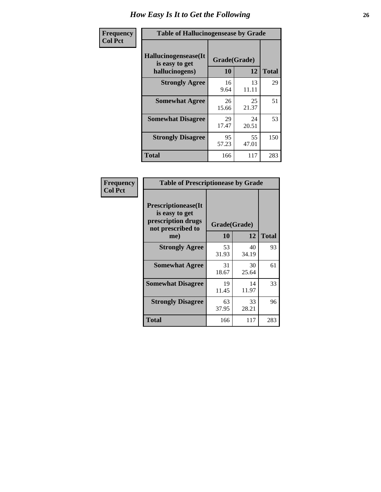| <b>Frequency</b> | <b>Table of Hallucinogensease by Grade</b>               |                    |             |              |  |  |  |  |  |  |  |
|------------------|----------------------------------------------------------|--------------------|-------------|--------------|--|--|--|--|--|--|--|
| <b>Col Pct</b>   | Hallucinogensease(It<br>is easy to get<br>hallucinogens) | Grade(Grade)<br>10 | 12          | <b>Total</b> |  |  |  |  |  |  |  |
|                  | <b>Strongly Agree</b>                                    | 16<br>9.64         | 13<br>11.11 | 29           |  |  |  |  |  |  |  |
|                  | <b>Somewhat Agree</b>                                    | 26<br>15.66        | 25<br>21.37 | 51           |  |  |  |  |  |  |  |
|                  | <b>Somewhat Disagree</b>                                 | 29<br>17.47        | 24<br>20.51 | 53           |  |  |  |  |  |  |  |
|                  | <b>Strongly Disagree</b>                                 | 95<br>57.23        | 55<br>47.01 | 150          |  |  |  |  |  |  |  |
|                  | <b>Total</b>                                             | 166                | 117         | 283          |  |  |  |  |  |  |  |

| Frequency<br>Col Pct |
|----------------------|
|                      |

| <b>Table of Prescriptionease by Grade</b>                                                |             |              |              |  |  |  |  |  |  |
|------------------------------------------------------------------------------------------|-------------|--------------|--------------|--|--|--|--|--|--|
| <b>Prescriptionease</b> (It<br>is easy to get<br>prescription drugs<br>not prescribed to |             | Grade(Grade) |              |  |  |  |  |  |  |
| me)                                                                                      | 10          | 12           | <b>Total</b> |  |  |  |  |  |  |
| <b>Strongly Agree</b>                                                                    | 53<br>31.93 | 40<br>34.19  | 93           |  |  |  |  |  |  |
| <b>Somewhat Agree</b>                                                                    | 31<br>18.67 | 30<br>25.64  | 61           |  |  |  |  |  |  |
| <b>Somewhat Disagree</b>                                                                 | 19<br>11.45 | 14<br>11.97  | 33           |  |  |  |  |  |  |
| <b>Strongly Disagree</b>                                                                 | 63<br>37.95 | 33<br>28.21  | 96           |  |  |  |  |  |  |
| <b>Total</b>                                                                             | 166         | 117          | 283          |  |  |  |  |  |  |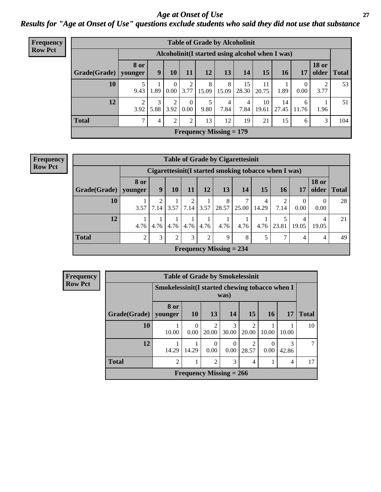*Age at Onset of Use* **27** *Results for "Age at Onset of Use" questions exclude students who said they did not use that substance*

| <b>Frequency</b> | <b>Table of Grade by Alcoholinit</b> |             |                                                  |                      |                        |            |                           |                        |             |             |            |                       |              |
|------------------|--------------------------------------|-------------|--------------------------------------------------|----------------------|------------------------|------------|---------------------------|------------------------|-------------|-------------|------------|-----------------------|--------------|
| <b>Row Pct</b>   |                                      |             | Alcoholinit (I started using alcohol when I was) |                      |                        |            |                           |                        |             |             |            |                       |              |
|                  | Grade(Grade)   younger               | <b>8 or</b> | 9                                                | 10                   | 11                     | 12         | 13                        | 14                     | 15          | 16          | 17         | <b>18 or</b><br>older | <b>Total</b> |
|                  | 10                                   | 9.43        | 1.89                                             | $\theta$<br>$0.00\,$ | $\overline{2}$<br>3.77 | 8<br>15.09 | 8<br>15.09                | 15<br>28.30            | 11<br>20.75 | 1.89        | 0<br>0.00  | 3.77                  | 53           |
|                  | 12                                   | 3.92        | 3<br>5.88                                        | ↑<br>3.92            | $\theta$<br>0.00       | 9.80       | 4<br>7.84                 | $\overline{4}$<br>7.84 | 10<br>19.61 | 14<br>27.45 | 6<br>11.76 | 1.96                  | 51           |
|                  | <b>Total</b>                         | ⇁           | 4                                                | ↑                    | $\overline{2}$         | 13         | 12                        | 19                     | 21          | 15          | 6          | 3                     | 104          |
|                  |                                      |             |                                                  |                      |                        |            | Frequency Missing $= 179$ |                        |             |             |            |                       |              |

| <b>Frequency</b> |  |
|------------------|--|
| <b>Row Pct</b>   |  |

| <b>Table of Grade by Cigarettesinit</b> |                |                                                       |                |                        |      |                           |            |            |       |            |                       |              |
|-----------------------------------------|----------------|-------------------------------------------------------|----------------|------------------------|------|---------------------------|------------|------------|-------|------------|-----------------------|--------------|
|                                         |                | Cigarettesinit (I started smoking tobacco when I was) |                |                        |      |                           |            |            |       |            |                       |              |
| Grade(Grade)   younger                  | <b>8 or</b>    | 9                                                     | 10             | 11                     | 12   | 13                        | 14         | 15         | 16    | 17         | <b>18 or</b><br>older | <b>Total</b> |
| 10                                      | 3.57           | 7.14                                                  | 3.57           | $\overline{2}$<br>7.14 |      | 8<br>$3.57$ 28.57         | ℸ<br>25.00 | 4<br>14.29 | 7.14  | 0<br>0.00  | $\Omega$<br>0.00      | 28           |
| 12                                      | 4.76           | 4.76                                                  | 4.76           | 4.76                   | 4.76 | 4.76                      | 4.76       | 4.76       | 23.81 | 4<br>19.05 | 4<br>19.05            | 21           |
| <b>Total</b>                            | $\overline{2}$ | 3                                                     | $\overline{2}$ | 3                      | 2    | 9                         | 8          | 5          |       | 4          | 4                     | 49           |
|                                         |                |                                                       |                |                        |      | Frequency Missing $= 234$ |            |            |       |            |                       |              |

| Frequency      |              |                 |                                                         | <b>Table of Grade by Smokelessinit</b> |                  |                         |                  |            |              |  |  |  |
|----------------|--------------|-----------------|---------------------------------------------------------|----------------------------------------|------------------|-------------------------|------------------|------------|--------------|--|--|--|
| <b>Row Pct</b> |              |                 | Smokelessinit (I started chewing tobacco when I<br>was) |                                        |                  |                         |                  |            |              |  |  |  |
|                | Grade(Grade) | 8 or<br>vounger | <b>10</b>                                               | 13                                     | 14               | 15                      | <b>16</b>        | <b>17</b>  | <b>Total</b> |  |  |  |
|                | 10           | 10.00           | $\Omega$<br>0.00                                        | $\overline{2}$<br>20.00                | 3<br>30.00       | $\mathfrak{D}$<br>20.00 | 10.00            | 10.00      | 10           |  |  |  |
|                | 12           | 14.29           | 14.29                                                   | 0<br>0.00                              | $\theta$<br>0.00 | ∍<br>28.57              | $\Omega$<br>0.00 | 3<br>42.86 |              |  |  |  |
|                | <b>Total</b> | $\overline{2}$  |                                                         | 2                                      | 3                | $\overline{4}$          |                  | 4          | 17           |  |  |  |
|                |              |                 |                                                         | Frequency Missing $= 266$              |                  |                         |                  |            |              |  |  |  |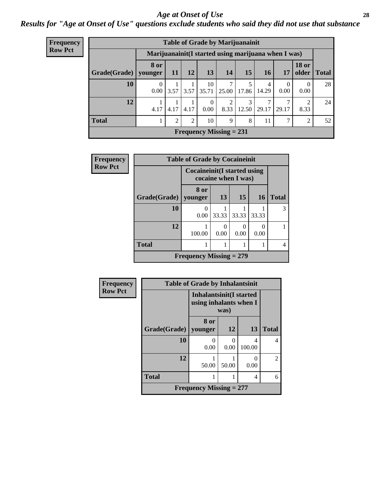#### *Age at Onset of Use* **28**

*Results for "Age at Onset of Use" questions exclude students who said they did not use that substance*

| Frequency      | <b>Table of Grade by Marijuanainit</b>               |                        |                |      |                  |                                |            |                        |                  |                       |              |  |  |  |
|----------------|------------------------------------------------------|------------------------|----------------|------|------------------|--------------------------------|------------|------------------------|------------------|-----------------------|--------------|--|--|--|
| <b>Row Pct</b> | Marijuanainit (I started using marijuana when I was) |                        |                |      |                  |                                |            |                        |                  |                       |              |  |  |  |
|                | Grade(Grade)                                         | <b>8 or</b><br>younger | <b>11</b>      | 12   | 13               | 14                             | 15         | <b>16</b>              | 17               | <b>18 or</b><br>older | <b>Total</b> |  |  |  |
|                | 10                                                   | $\Omega$<br>0.00       | 3.57           | 3.57 | 10<br>35.71      | 25.00                          | 17.86      | 4<br>14.29             | $\Omega$<br>0.00 | $\Omega$<br>0.00      | 28           |  |  |  |
|                | 12                                                   | 4.17                   | 4.17           | 4.17 | $\Omega$<br>0.00 | 2<br>8.33                      | 3<br>12.50 | $\mathcal{I}$<br>29.17 | 29.17            | 2<br>8.33             | 24           |  |  |  |
|                | <b>Total</b>                                         |                        | $\overline{2}$ | 2    | 10               | 9                              | 8          | 11                     | ⇁                | $\overline{2}$        | 52           |  |  |  |
|                |                                                      |                        |                |      |                  | <b>Frequency Missing = 231</b> |            |                        |                  |                       |              |  |  |  |

| Frequency      | <b>Table of Grade by Cocaineinit</b>                  |                           |       |                  |           |              |  |  |
|----------------|-------------------------------------------------------|---------------------------|-------|------------------|-----------|--------------|--|--|
| <b>Row Pct</b> | Cocaine in it (I started using<br>cocaine when I was) |                           |       |                  |           |              |  |  |
|                | Grade(Grade)                                          | 8 or<br>vounger           | 13    | 15               | <b>16</b> | <b>Total</b> |  |  |
|                | 10                                                    | $\Omega$<br>0.00          | 33.33 | 33.33            | 33.33     | 3            |  |  |
|                | 12                                                    | 100.00                    | 0.00  | $\Omega$<br>0.00 | 0.00      |              |  |  |
|                | <b>Total</b>                                          |                           |       |                  |           |              |  |  |
|                |                                                       | Frequency Missing $= 279$ |       |                  |           |              |  |  |

| <b>Frequency</b> | <b>Table of Grade by Inhalantsinit</b>                           |           |       |             |                |  |  |
|------------------|------------------------------------------------------------------|-----------|-------|-------------|----------------|--|--|
| <b>Row Pct</b>   | <b>Inhalantsinit(I started</b><br>using inhalants when I<br>was) |           |       |             |                |  |  |
|                  | Grade(Grade)   younger                                           | 8 or      | 12    | 13          | <b>Total</b>   |  |  |
|                  | 10                                                               | 0<br>0.00 | 0.00  | 4<br>100.00 | 4              |  |  |
|                  | 12                                                               | 50.00     | 50.00 | 0.00        | $\mathfrak{D}$ |  |  |
|                  | <b>Total</b>                                                     |           |       | 4           | 6              |  |  |
|                  | Frequency Missing $= 277$                                        |           |       |             |                |  |  |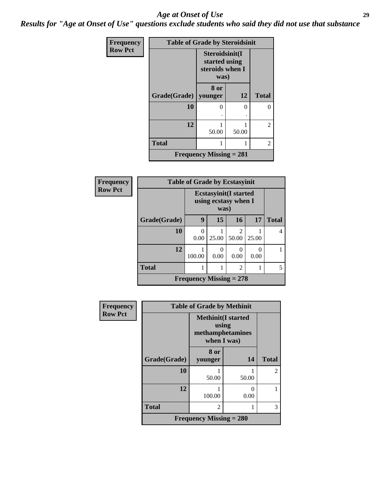#### *Age at Onset of Use* **29**

*Results for "Age at Onset of Use" questions exclude students who said they did not use that substance*

| <b>Frequency</b> | <b>Table of Grade by Steroidsinit</b> |                                                            |           |                |  |  |  |
|------------------|---------------------------------------|------------------------------------------------------------|-----------|----------------|--|--|--|
| <b>Row Pct</b>   |                                       | Steroidsinit(I<br>started using<br>steroids when I<br>was) |           |                |  |  |  |
|                  | Grade(Grade)                          | 8 or<br>younger                                            | <b>12</b> | <b>Total</b>   |  |  |  |
|                  | 10                                    | ∩                                                          | 0         | 0              |  |  |  |
|                  |                                       |                                                            | ٠         |                |  |  |  |
|                  | 12                                    | 50.00                                                      | 50.00     | 2              |  |  |  |
|                  | <b>Total</b>                          |                                                            |           | $\overline{c}$ |  |  |  |
|                  |                                       | Frequency Missing $= 281$                                  |           |                |  |  |  |

| <b>Frequency</b> | <b>Table of Grade by Ecstasyinit</b> |                                                               |       |                |       |              |  |
|------------------|--------------------------------------|---------------------------------------------------------------|-------|----------------|-------|--------------|--|
| <b>Row Pct</b>   |                                      | <b>Ecstasyinit</b> (I started<br>using ecstasy when I<br>was) |       |                |       |              |  |
|                  | Grade(Grade)                         | 9                                                             | 15    | 16             | 17    | <b>Total</b> |  |
|                  | 10                                   | 0<br>0.00                                                     | 25.00 | 50.00          | 25.00 | 4            |  |
|                  | 12                                   | 100.00                                                        | 0.00  | 0<br>0.00      | 0.00  |              |  |
|                  | <b>Total</b>                         |                                                               |       | $\mathfrak{D}$ |       | 5            |  |
|                  | Frequency Missing $= 278$            |                                                               |       |                |       |              |  |

| <b>Frequency</b> | <b>Table of Grade by Methinit</b> |                                                                       |       |                |  |  |
|------------------|-----------------------------------|-----------------------------------------------------------------------|-------|----------------|--|--|
| <b>Row Pct</b>   |                                   | <b>Methinit(I started</b><br>using<br>methamphetamines<br>when I was) |       |                |  |  |
|                  | Grade(Grade)                      | 8 or<br>younger                                                       | 14    | <b>Total</b>   |  |  |
|                  | 10                                | 50.00                                                                 | 50.00 | $\mathfrak{D}$ |  |  |
|                  | 12                                | 100.00                                                                | 0.00  |                |  |  |
|                  | <b>Total</b>                      | $\mathcal{D}_{\mathcal{L}}$                                           |       | 3              |  |  |
|                  | <b>Frequency Missing = 280</b>    |                                                                       |       |                |  |  |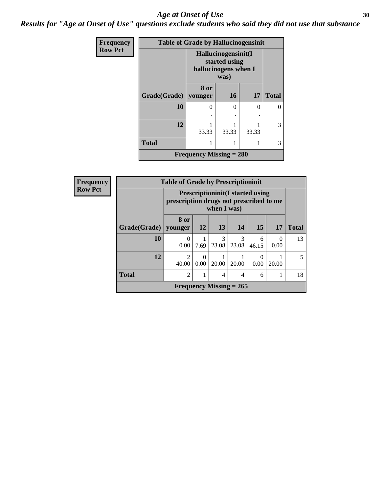#### Age at Onset of Use **30**

*Results for "Age at Onset of Use" questions exclude students who said they did not use that substance*

| Frequency      | <b>Table of Grade by Hallucinogensinit</b> |                                                              |           |          |              |  |  |
|----------------|--------------------------------------------|--------------------------------------------------------------|-----------|----------|--------------|--|--|
| <b>Row Pct</b> |                                            | Hallucinogensinit(I<br>started using<br>hallucinogens when I |           |          |              |  |  |
|                | Grade(Grade)                               | 8 or<br>younger                                              | <b>16</b> | 17       | <b>Total</b> |  |  |
|                | 10                                         | ∩                                                            | $\theta$  | $\Omega$ |              |  |  |
|                | 12                                         | 33.33                                                        | 33.33     | 33.33    | 3            |  |  |
|                | <b>Total</b>                               |                                                              |           | 1        | 3            |  |  |
|                |                                            | <b>Frequency Missing = 280</b>                               |           |          |              |  |  |

| Frequency      | <b>Table of Grade by Prescriptioninit</b> |                                                                                                   |           |                           |       |                 |                  |              |
|----------------|-------------------------------------------|---------------------------------------------------------------------------------------------------|-----------|---------------------------|-------|-----------------|------------------|--------------|
| <b>Row Pct</b> |                                           | <b>Prescriptioninit(I started using</b><br>prescription drugs not prescribed to me<br>when I was) |           |                           |       |                 |                  |              |
|                | Grade(Grade)                              | 8 or<br>vounger                                                                                   | <b>12</b> | 13                        | 14    | 15 <sup>1</sup> | 17               | <b>Total</b> |
|                | 10                                        | $\Omega$<br>0.00                                                                                  | 7.69      | 3<br>23.08                | 23.08 | 6<br>46.15      | $\Omega$<br>0.00 | 13           |
|                | 12                                        | $\mathfrak{D}$<br>40.00                                                                           | 0.00      | 20.00                     | 20.00 | 0.00            | 20.00            | 5            |
|                | <b>Total</b>                              | 2                                                                                                 |           | 4                         | 4     | 6               |                  | 18           |
|                |                                           |                                                                                                   |           | Frequency Missing $= 265$ |       |                 |                  |              |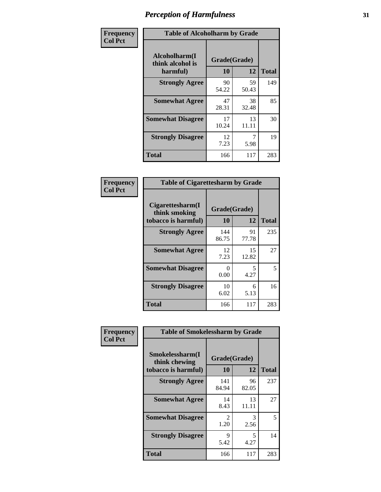| Frequency      | <b>Table of Alcoholharm by Grade</b>          |                    |             |              |  |  |
|----------------|-----------------------------------------------|--------------------|-------------|--------------|--|--|
| <b>Col Pct</b> | Alcoholharm(I<br>think alcohol is<br>harmful) | Grade(Grade)<br>10 | 12          | <b>Total</b> |  |  |
|                | <b>Strongly Agree</b>                         | 90<br>54.22        | 59<br>50.43 | 149          |  |  |
|                | <b>Somewhat Agree</b>                         | 47<br>28.31        | 38<br>32.48 | 85           |  |  |
|                | <b>Somewhat Disagree</b>                      | 17<br>10.24        | 13<br>11.11 | 30           |  |  |
|                | <b>Strongly Disagree</b>                      | 12<br>7.23         | 7<br>5.98   | 19           |  |  |
|                | <b>Total</b>                                  | 166                | 117         | 283          |  |  |

| <b>Table of Cigarettesharm by Grade</b>                  |                    |             |              |  |  |  |  |
|----------------------------------------------------------|--------------------|-------------|--------------|--|--|--|--|
| Cigarettesharm(I<br>think smoking<br>tobacco is harmful) | Grade(Grade)<br>10 | 12          | <b>Total</b> |  |  |  |  |
| <b>Strongly Agree</b>                                    | 144<br>86.75       | 91<br>77.78 | 235          |  |  |  |  |
| <b>Somewhat Agree</b>                                    | 12<br>7.23         | 15<br>12.82 | 27           |  |  |  |  |
| <b>Somewhat Disagree</b>                                 | 0<br>0.00          | 5<br>4.27   | 5            |  |  |  |  |
| <b>Strongly Disagree</b>                                 | 10<br>6.02         | 6<br>5.13   | 16           |  |  |  |  |
| Total                                                    | 166                | 117         | 283          |  |  |  |  |

| Frequency      | <b>Table of Smokelessharm by Grade</b>                  |                        |             |              |  |  |  |
|----------------|---------------------------------------------------------|------------------------|-------------|--------------|--|--|--|
| <b>Col Pct</b> | Smokelessharm(I<br>think chewing<br>tobacco is harmful) | Grade(Grade)<br>10     | 12          | <b>Total</b> |  |  |  |
|                | <b>Strongly Agree</b>                                   | 141<br>84.94           | 96<br>82.05 | 237          |  |  |  |
|                | <b>Somewhat Agree</b>                                   | 14<br>8.43             | 13<br>11.11 | 27           |  |  |  |
|                | <b>Somewhat Disagree</b>                                | $\mathfrak{D}$<br>1.20 | 3<br>2.56   | 5            |  |  |  |
|                | <b>Strongly Disagree</b>                                | 9<br>5.42              | 5<br>4.27   | 14           |  |  |  |
|                | <b>Total</b>                                            | 166                    | 117         | 283          |  |  |  |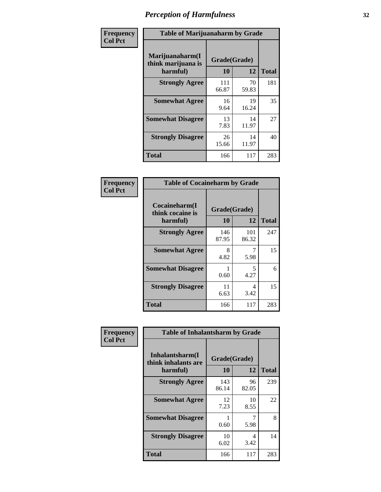| Frequency      | <b>Table of Marijuanaharm by Grade</b>            |                    |             |              |  |  |
|----------------|---------------------------------------------------|--------------------|-------------|--------------|--|--|
| <b>Col Pct</b> | Marijuanaharm(I<br>think marijuana is<br>harmful) | Grade(Grade)<br>10 | 12          | <b>Total</b> |  |  |
|                | <b>Strongly Agree</b>                             | 111<br>66.87       | 70<br>59.83 | 181          |  |  |
|                | <b>Somewhat Agree</b>                             | 16<br>9.64         | 19<br>16.24 | 35           |  |  |
|                | <b>Somewhat Disagree</b>                          | 13<br>7.83         | 14<br>11.97 | 27           |  |  |
|                | <b>Strongly Disagree</b>                          | 26<br>15.66        | 14<br>11.97 | 40           |  |  |
|                | <b>Total</b>                                      | 166                | 117         | 283          |  |  |

| <b>Table of Cocaineharm by Grade</b>          |                    |              |     |  |  |  |  |
|-----------------------------------------------|--------------------|--------------|-----|--|--|--|--|
| Cocaineharm(I<br>think cocaine is<br>harmful) | Grade(Grade)<br>10 | <b>Total</b> |     |  |  |  |  |
| <b>Strongly Agree</b>                         | 146<br>87.95       | 101<br>86.32 | 247 |  |  |  |  |
| <b>Somewhat Agree</b>                         | 8<br>4.82          | 5.98         | 15  |  |  |  |  |
| <b>Somewhat Disagree</b>                      | 1<br>0.60          | 5<br>4.27    | 6   |  |  |  |  |
| <b>Strongly Disagree</b>                      | 11<br>6.63         | 4<br>3.42    | 15  |  |  |  |  |
| Total                                         | 166                | 117          | 283 |  |  |  |  |

| Frequency      | <b>Table of Inhalantsharm by Grade</b>             |                           |             |              |
|----------------|----------------------------------------------------|---------------------------|-------------|--------------|
| <b>Col Pct</b> | Inhalantsharm(I<br>think inhalants are<br>harmful) | Grade(Grade)<br><b>10</b> | 12          | <b>Total</b> |
|                | <b>Strongly Agree</b>                              | 143<br>86.14              | 96<br>82.05 | 239          |
|                | <b>Somewhat Agree</b>                              | 12<br>7.23                | 10<br>8.55  | 22           |
|                | <b>Somewhat Disagree</b>                           | 0.60                      | 5.98        | 8            |
|                | <b>Strongly Disagree</b>                           | 10<br>6.02                | 4<br>3.42   | 14           |
|                | Total                                              | 166                       | 117         | 283          |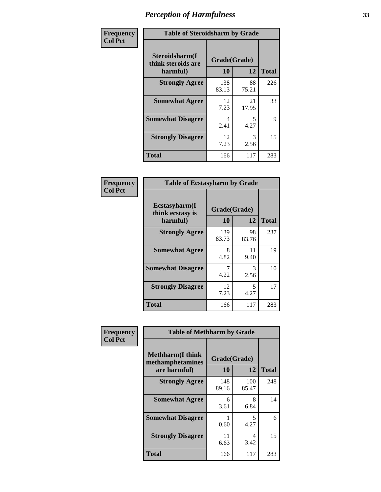| Frequency      | <b>Table of Steroidsharm by Grade</b>            |                    |             |              |
|----------------|--------------------------------------------------|--------------------|-------------|--------------|
| <b>Col Pct</b> | Steroidsharm(I<br>think steroids are<br>harmful) | Grade(Grade)<br>10 | 12          | <b>Total</b> |
|                | <b>Strongly Agree</b>                            | 138<br>83.13       | 88<br>75.21 | 226          |
|                | <b>Somewhat Agree</b>                            | 12<br>7.23         | 21<br>17.95 | 33           |
|                | <b>Somewhat Disagree</b>                         | 4<br>2.41          | 5<br>4.27   | 9            |
|                | <b>Strongly Disagree</b>                         | 12<br>7.23         | 3<br>2.56   | 15           |
|                | <b>Total</b>                                     | 166                | 117         | 283          |

| <b>Table of Ecstasyharm by Grade</b>          |                    |             |              |  |  |
|-----------------------------------------------|--------------------|-------------|--------------|--|--|
| Ecstasyharm(I<br>think ecstasy is<br>harmful) | Grade(Grade)<br>10 | 12          | <b>Total</b> |  |  |
| <b>Strongly Agree</b>                         | 139<br>83.73       | 98<br>83.76 | 237          |  |  |
| <b>Somewhat Agree</b>                         | 8<br>4.82          | 11<br>9.40  | 19           |  |  |
| <b>Somewhat Disagree</b>                      | 7<br>4.22          | 3<br>2.56   | 10           |  |  |
| <b>Strongly Disagree</b>                      | 12<br>7.23         | 5<br>4.27   | 17           |  |  |
| Total                                         | 166                | 117         | 283          |  |  |

| Frequency      | <b>Table of Methharm by Grade</b>                            |                    |                                  |              |
|----------------|--------------------------------------------------------------|--------------------|----------------------------------|--------------|
| <b>Col Pct</b> | <b>Methharm</b> (I think<br>methamphetamines<br>are harmful) | Grade(Grade)<br>10 | 12                               | <b>Total</b> |
|                | <b>Strongly Agree</b>                                        | 148<br>89.16       | 100<br>85.47                     | 248          |
|                | <b>Somewhat Agree</b>                                        | 6<br>3.61          | 8<br>6.84                        | 14           |
|                | <b>Somewhat Disagree</b>                                     | 0.60               | $\overline{\phantom{0}}$<br>4.27 | 6            |
|                | <b>Strongly Disagree</b>                                     | 11<br>6.63         | 4<br>3.42                        | 15           |
|                | Total                                                        | 166                | 117                              | 283          |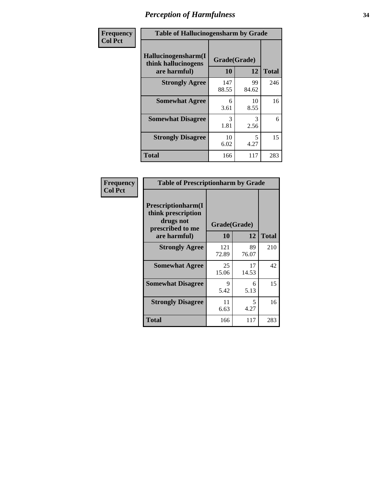| Frequency      | <b>Table of Hallucinogensharm by Grade</b>                 |                    |                                  |              |
|----------------|------------------------------------------------------------|--------------------|----------------------------------|--------------|
| <b>Col Pct</b> | Hallucinogensharm(I<br>think hallucinogens<br>are harmful) | Grade(Grade)<br>10 | 12                               | <b>Total</b> |
|                | <b>Strongly Agree</b>                                      | 147<br>88.55       | 99<br>84.62                      | 246          |
|                | <b>Somewhat Agree</b>                                      | 6<br>3.61          | 10<br>8.55                       | 16           |
|                | <b>Somewhat Disagree</b>                                   | 3<br>1.81          | 3<br>2.56                        | 6            |
|                | <b>Strongly Disagree</b>                                   | 10<br>6.02         | $\overline{\phantom{0}}$<br>4.27 | 15           |
|                | <b>Total</b>                                               | 166                | 117                              | 283          |

| <b>Table of Prescriptionharm by Grade</b>                                         |              |             |              |  |  |
|-----------------------------------------------------------------------------------|--------------|-------------|--------------|--|--|
| <b>Prescriptionharm</b> (I<br>think prescription<br>drugs not<br>prescribed to me | Grade(Grade) |             |              |  |  |
| are harmful)                                                                      | 10           | 12          | <b>Total</b> |  |  |
| <b>Strongly Agree</b>                                                             | 121<br>72.89 | 89<br>76.07 | 210          |  |  |
| <b>Somewhat Agree</b>                                                             | 25<br>15.06  | 17<br>14.53 | 42           |  |  |
| <b>Somewhat Disagree</b>                                                          | 9<br>5.42    | 6<br>5.13   | 15           |  |  |
| <b>Strongly Disagree</b>                                                          | 11<br>6.63   | 5<br>4.27   | 16           |  |  |
| <b>Total</b>                                                                      | 166          | 117         | 283          |  |  |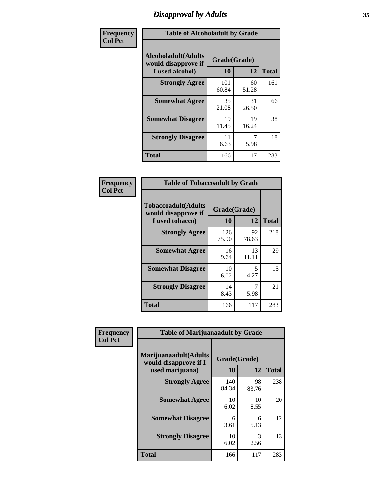### *Disapproval by Adults* **35**

| Frequency      | <b>Table of Alcoholadult by Grade</b>                                 |                    |             |              |
|----------------|-----------------------------------------------------------------------|--------------------|-------------|--------------|
| <b>Col Pct</b> | <b>Alcoholadult</b> (Adults<br>would disapprove if<br>I used alcohol) | Grade(Grade)<br>10 | 12          | <b>Total</b> |
|                | <b>Strongly Agree</b>                                                 | 101<br>60.84       | 60<br>51.28 | 161          |
|                | <b>Somewhat Agree</b>                                                 | 35<br>21.08        | 31<br>26.50 | 66           |
|                | <b>Somewhat Disagree</b>                                              | 19<br>11.45        | 19<br>16.24 | 38           |
|                | <b>Strongly Disagree</b>                                              | 11<br>6.63         | 5.98        | 18           |
|                | <b>Total</b>                                                          | 166                | 117         | 283          |

| <b>Table of Tobaccoadult by Grade</b>                         |              |                    |              |  |  |
|---------------------------------------------------------------|--------------|--------------------|--------------|--|--|
| Tobaccoadult(Adults<br>would disapprove if<br>I used tobacco) | 10           | Grade(Grade)<br>12 | <b>Total</b> |  |  |
| <b>Strongly Agree</b>                                         | 126<br>75.90 | 92<br>78.63        | 218          |  |  |
| <b>Somewhat Agree</b>                                         | 16<br>9.64   | 13<br>11.11        | 29           |  |  |
| <b>Somewhat Disagree</b>                                      | 10<br>6.02   | 5<br>4.27          | 15           |  |  |
| <b>Strongly Disagree</b>                                      | 14<br>8.43   | 5.98               | 21           |  |  |
| <b>Total</b>                                                  | 166          | 117                | 283          |  |  |

| Frequency<br><b>Col Pct</b> | <b>Table of Marijuanaadult by Grade</b>                           |                    |             |              |  |
|-----------------------------|-------------------------------------------------------------------|--------------------|-------------|--------------|--|
|                             | Marijuanaadult(Adults<br>would disapprove if I<br>used marijuana) | Grade(Grade)<br>10 | 12          | <b>Total</b> |  |
|                             | <b>Strongly Agree</b>                                             | 140<br>84.34       | 98<br>83.76 | 238          |  |
|                             | <b>Somewhat Agree</b>                                             | 10<br>6.02         | 10<br>8.55  | 20           |  |
|                             | <b>Somewhat Disagree</b>                                          | 6<br>3.61          | 6<br>5.13   | 12           |  |
|                             | <b>Strongly Disagree</b>                                          | 10<br>6.02         | 3<br>2.56   | 13           |  |
|                             | <b>Total</b>                                                      | 166                | 117         | 283          |  |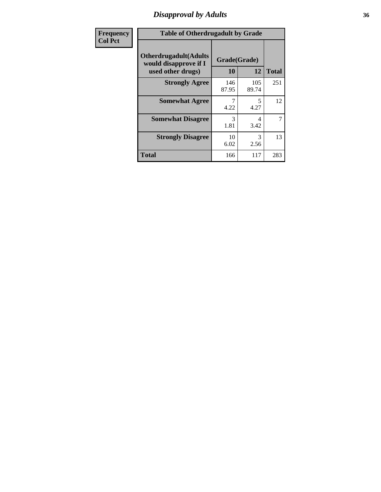### *Disapproval by Adults* **36**

| Frequency      | <b>Table of Otherdrugadult by Grade</b>                                     |                    |              |              |
|----------------|-----------------------------------------------------------------------------|--------------------|--------------|--------------|
| <b>Col Pct</b> | <b>Otherdrugadult</b> (Adults<br>would disapprove if I<br>used other drugs) | Grade(Grade)<br>10 | 12           | <b>Total</b> |
|                | <b>Strongly Agree</b>                                                       | 146<br>87.95       | 105<br>89.74 | 251          |
|                | <b>Somewhat Agree</b>                                                       | 4.22               | 5<br>4.27    | 12           |
|                | <b>Somewhat Disagree</b>                                                    | 3<br>1.81          | 4<br>3.42    | 7            |
|                | <b>Strongly Disagree</b>                                                    | 10<br>6.02         | 3<br>2.56    | 13           |
|                | <b>Total</b>                                                                | 166                | 117          | 283          |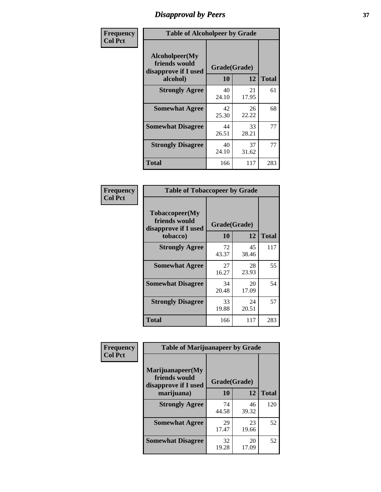# *Disapproval by Peers* **37**

| Frequency      | <b>Table of Alcoholpeer by Grade</b>                    |              |             |              |  |
|----------------|---------------------------------------------------------|--------------|-------------|--------------|--|
| <b>Col Pct</b> | Alcoholpeer(My<br>friends would<br>disapprove if I used | Grade(Grade) |             |              |  |
|                | alcohol)                                                | 10           | 12          | <b>Total</b> |  |
|                | <b>Strongly Agree</b>                                   | 40<br>24.10  | 21<br>17.95 | 61           |  |
|                | <b>Somewhat Agree</b>                                   | 42<br>25.30  | 26<br>22.22 | 68           |  |
|                | <b>Somewhat Disagree</b>                                | 44<br>26.51  | 33<br>28.21 | 77           |  |
|                | <b>Strongly Disagree</b>                                | 40<br>24.10  | 37<br>31.62 | 77           |  |
|                | Total                                                   | 166          | 117         | 283          |  |

| Frequency      | <b>Table of Tobaccopeer by Grade</b>                                |                    |             |              |  |
|----------------|---------------------------------------------------------------------|--------------------|-------------|--------------|--|
| <b>Col Pct</b> | Tobaccopeer(My<br>friends would<br>disapprove if I used<br>tobacco) | Grade(Grade)<br>10 | 12          | <b>Total</b> |  |
|                | <b>Strongly Agree</b>                                               | 72<br>43.37        | 45<br>38.46 | 117          |  |
|                | <b>Somewhat Agree</b>                                               | 27<br>16.27        | 28<br>23.93 | 55           |  |
|                | <b>Somewhat Disagree</b>                                            | 34<br>20.48        | 20<br>17.09 | 54           |  |
|                | <b>Strongly Disagree</b>                                            | 33<br>19.88        | 24<br>20.51 | 57           |  |
|                | Total                                                               | 166                | 117         | 283          |  |

| Frequency<br><b>Col Pct</b> | <b>Table of Marijuanapeer by Grade</b>                    |              |             |              |
|-----------------------------|-----------------------------------------------------------|--------------|-------------|--------------|
|                             | Marijuanapeer(My<br>friends would<br>disapprove if I used | Grade(Grade) |             |              |
|                             | marijuana)                                                | 10           | 12          | <b>Total</b> |
|                             | <b>Strongly Agree</b>                                     | 74<br>44.58  | 46<br>39.32 | 120          |
|                             | <b>Somewhat Agree</b>                                     | 29<br>17.47  | 23<br>19.66 | 52           |
|                             | <b>Somewhat Disagree</b>                                  | 32<br>19.28  | 20<br>17.09 | 52           |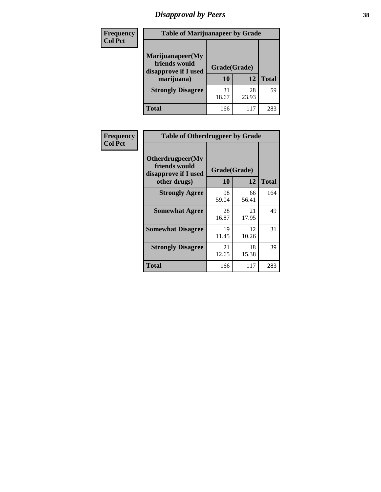# *Disapproval by Peers* **38**

| <b>Frequency</b> | <b>Table of Marijuanapeer by Grade</b>                                  |                           |             |              |  |
|------------------|-------------------------------------------------------------------------|---------------------------|-------------|--------------|--|
| <b>Col Pct</b>   | Marijuanapeer(My<br>friends would<br>disapprove if I used<br>marijuana) | Grade(Grade)<br><b>10</b> | 12          | <b>Total</b> |  |
|                  | <b>Strongly Disagree</b>                                                | 31<br>18.67               | 28<br>23.93 | 59           |  |
|                  | <b>Total</b>                                                            | 166                       | 117         | 283          |  |

| <b>Frequency</b> | <b>Table of Otherdrugpeer by Grade</b>                                    |                           |             |              |
|------------------|---------------------------------------------------------------------------|---------------------------|-------------|--------------|
| <b>Col Pct</b>   | Otherdrugpeer(My<br>friends would<br>disapprove if I used<br>other drugs) | Grade(Grade)<br><b>10</b> | 12          | <b>Total</b> |
|                  | <b>Strongly Agree</b>                                                     | 98<br>59.04               | 66<br>56.41 | 164          |
|                  | <b>Somewhat Agree</b>                                                     | 28<br>16.87               | 21<br>17.95 | 49           |
|                  | <b>Somewhat Disagree</b>                                                  | 19<br>11.45               | 12<br>10.26 | 31           |
|                  | <b>Strongly Disagree</b>                                                  | 21<br>12.65               | 18<br>15.38 | 39           |
|                  | <b>Total</b>                                                              | 166                       | 117         | 283          |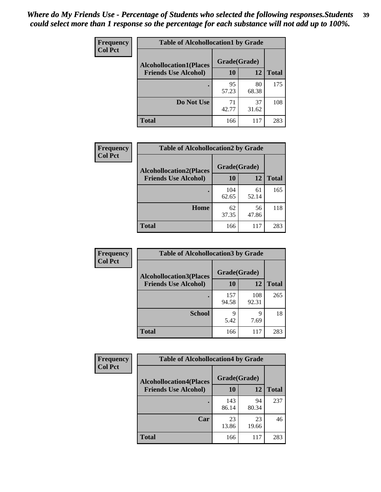| Frequency      | <b>Table of Alcohollocation1 by Grade</b> |              |             |              |
|----------------|-------------------------------------------|--------------|-------------|--------------|
| <b>Col Pct</b> | <b>Alcohollocation1(Places</b>            | Grade(Grade) |             |              |
|                | <b>Friends Use Alcohol)</b>               | 10           | 12          | <b>Total</b> |
|                |                                           | 95<br>57.23  | 80<br>68.38 | 175          |
|                | Do Not Use                                | 71<br>42.77  | 37<br>31.62 | 108          |
|                | <b>Total</b>                              | 166          | 117         | 283          |

| <b>Frequency</b> | <b>Table of Alcohollocation2 by Grade</b>                     |                    |             |              |
|------------------|---------------------------------------------------------------|--------------------|-------------|--------------|
| <b>Col Pct</b>   | <b>Alcohollocation2(Places</b><br><b>Friends Use Alcohol)</b> | Grade(Grade)<br>10 | 12          | <b>Total</b> |
|                  |                                                               | 104<br>62.65       | 61<br>52.14 | 165          |
|                  | Home                                                          | 62<br>37.35        | 56<br>47.86 | 118          |
|                  | <b>Total</b>                                                  | 166                | 117         | 283          |

| <b>Frequency</b> | <b>Table of Alcohollocation 3 by Grade</b> |              |              |              |
|------------------|--------------------------------------------|--------------|--------------|--------------|
| <b>Col Pct</b>   | <b>Alcohollocation3(Places</b>             | Grade(Grade) |              |              |
|                  | <b>Friends Use Alcohol)</b>                | <b>10</b>    | 12           | <b>Total</b> |
|                  |                                            | 157<br>94.58 | 108<br>92.31 | 265          |
|                  | <b>School</b>                              | 9<br>5.42    | 9<br>7.69    | 18           |
|                  | <b>Total</b>                               | 166          | 117          | 283          |

| <b>Frequency</b> | <b>Table of Alcohollocation4 by Grade</b> |              |             |              |  |
|------------------|-------------------------------------------|--------------|-------------|--------------|--|
| <b>Col Pct</b>   | <b>Alcohollocation4(Places</b>            | Grade(Grade) |             |              |  |
|                  | <b>Friends Use Alcohol)</b>               | 10           | 12          | <b>Total</b> |  |
|                  |                                           | 143<br>86.14 | 94<br>80.34 | 237          |  |
|                  | Car                                       | 23<br>13.86  | 23<br>19.66 | 46           |  |
|                  | <b>Total</b>                              | 166          | 117         | 283          |  |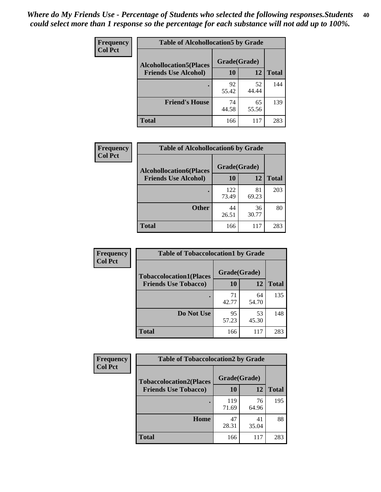| Frequency<br><b>Col Pct</b> | <b>Table of Alcohollocation5 by Grade</b> |              |             |              |
|-----------------------------|-------------------------------------------|--------------|-------------|--------------|
|                             | <b>Alcohollocation5(Places</b>            | Grade(Grade) |             |              |
|                             | <b>Friends Use Alcohol)</b>               | 10           | 12          | <b>Total</b> |
|                             |                                           | 92<br>55.42  | 52<br>44.44 | 144          |
|                             | <b>Friend's House</b>                     | 74<br>44.58  | 65<br>55.56 | 139          |
|                             | <b>Total</b>                              | 166          | 117         | 283          |

| <b>Frequency</b> | <b>Table of Alcohollocation6 by Grade</b> |              |             |              |
|------------------|-------------------------------------------|--------------|-------------|--------------|
| <b>Col Pct</b>   | <b>Alcohollocation6(Places</b>            | Grade(Grade) |             |              |
|                  | <b>Friends Use Alcohol)</b>               | 10           | 12          | <b>Total</b> |
|                  |                                           | 122<br>73.49 | 81<br>69.23 | 203          |
|                  | <b>Other</b>                              | 44<br>26.51  | 36<br>30.77 | 80           |
|                  | <b>Total</b>                              | 166          | 117         | 283          |

| Frequency      | <b>Table of Tobaccolocation1 by Grade</b> |              |             |              |
|----------------|-------------------------------------------|--------------|-------------|--------------|
| <b>Col Pct</b> | <b>Tobaccolocation1(Places</b>            | Grade(Grade) |             |              |
|                | <b>Friends Use Tobacco)</b>               | <b>10</b>    | 12          | <b>Total</b> |
|                |                                           | 71<br>42.77  | 64<br>54.70 | 135          |
|                | Do Not Use                                | 95<br>57.23  | 53<br>45.30 | 148          |
|                | <b>Total</b>                              | 166          | 117         | 283          |

| <b>Frequency</b> | <b>Table of Tobaccolocation2 by Grade</b> |              |             |              |
|------------------|-------------------------------------------|--------------|-------------|--------------|
| <b>Col Pct</b>   | <b>Tobaccolocation2(Places</b>            | Grade(Grade) |             |              |
|                  | <b>Friends Use Tobacco)</b>               | 10           | 12          | <b>Total</b> |
|                  |                                           | 119<br>71.69 | 76<br>64.96 | 195          |
|                  | Home                                      | 47<br>28.31  | 41<br>35.04 | 88           |
|                  | <b>Total</b>                              | 166          | 117         | 283          |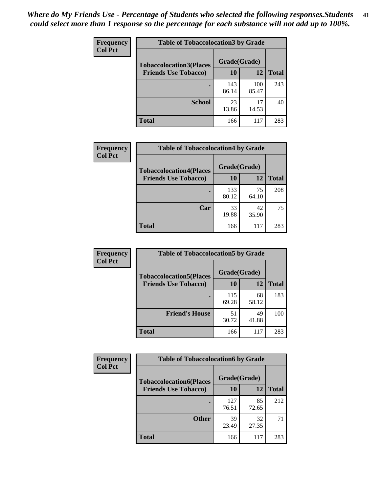| Frequency      | <b>Table of Tobaccolocation 3 by Grade</b> |              |              |              |  |
|----------------|--------------------------------------------|--------------|--------------|--------------|--|
| <b>Col Pct</b> | <b>Tobaccolocation3(Places</b>             | Grade(Grade) |              |              |  |
|                | <b>Friends Use Tobacco)</b>                | 10           | <b>12</b>    | <b>Total</b> |  |
|                |                                            | 143<br>86.14 | 100<br>85.47 | 243          |  |
|                | <b>School</b>                              | 23<br>13.86  | 17<br>14.53  | 40           |  |
|                | <b>Total</b>                               | 166          | 117          | 283          |  |

| Frequency<br><b>Col Pct</b> | <b>Table of Tobaccolocation4 by Grade</b> |              |             |              |
|-----------------------------|-------------------------------------------|--------------|-------------|--------------|
|                             | <b>Tobaccolocation4(Places</b>            | Grade(Grade) |             |              |
|                             | <b>Friends Use Tobacco)</b>               | 10           | 12          | <b>Total</b> |
|                             |                                           | 133<br>80.12 | 75<br>64.10 | 208          |
|                             | Car                                       | 33<br>19.88  | 42<br>35.90 | 75           |
|                             | <b>Total</b>                              | 166          | 117         | 283          |

| Frequency      | <b>Table of Tobaccolocation5 by Grade</b> |              |             |              |
|----------------|-------------------------------------------|--------------|-------------|--------------|
| <b>Col Pct</b> | <b>Tobaccolocation5(Places</b>            | Grade(Grade) |             |              |
|                | <b>Friends Use Tobacco)</b>               | 10           | 12          | <b>Total</b> |
|                |                                           | 115<br>69.28 | 68<br>58.12 | 183          |
|                | <b>Friend's House</b>                     | 51<br>30.72  | 49<br>41.88 | 100          |
|                | <b>Total</b>                              | 166          | 117         | 283          |

| Frequency      | <b>Table of Tobaccolocation6 by Grade</b> |              |             |              |  |
|----------------|-------------------------------------------|--------------|-------------|--------------|--|
| <b>Col Pct</b> | <b>Tobaccolocation6(Places</b>            | Grade(Grade) |             |              |  |
|                | <b>Friends Use Tobacco)</b>               | 10           | 12          | <b>Total</b> |  |
|                |                                           | 127<br>76.51 | 85<br>72.65 | 212          |  |
|                | <b>Other</b>                              | 39<br>23.49  | 32<br>27.35 | 71           |  |
|                | <b>Total</b>                              | 166          | 117         | 283          |  |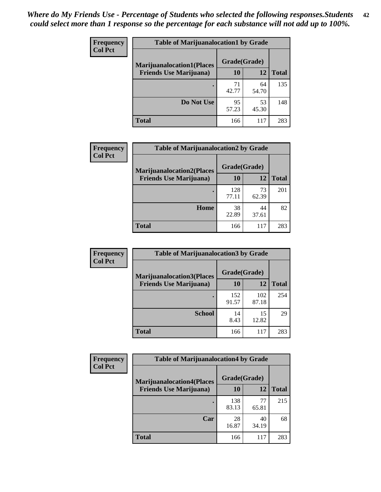| <b>Frequency</b> | <b>Table of Marijuanalocation1 by Grade</b> |              |             |              |
|------------------|---------------------------------------------|--------------|-------------|--------------|
| <b>Col Pct</b>   | <b>Marijuanalocation1(Places</b>            | Grade(Grade) |             |              |
|                  | <b>Friends Use Marijuana</b> )              | 10           | 12          | <b>Total</b> |
|                  |                                             | 71<br>42.77  | 64<br>54.70 | 135          |
|                  | Do Not Use                                  | 95<br>57.23  | 53<br>45.30 | 148          |
|                  | <b>Total</b>                                | 166          | 117         | 283          |

| <b>Frequency</b> | <b>Table of Marijuanalocation2 by Grade</b>                        |                    |             |              |
|------------------|--------------------------------------------------------------------|--------------------|-------------|--------------|
| <b>Col Pct</b>   | <b>Marijuanalocation2(Places</b><br><b>Friends Use Marijuana</b> ) | Grade(Grade)<br>10 | 12          | <b>Total</b> |
|                  |                                                                    | 128<br>77.11       | 73<br>62.39 | 201          |
|                  | Home                                                               | 38<br>22.89        | 44<br>37.61 | 82           |
|                  | <b>Total</b>                                                       | 166                | 117         | 283          |

| Frequency<br><b>Col Pct</b> | <b>Table of Marijuanalocation3 by Grade</b> |              |              |              |
|-----------------------------|---------------------------------------------|--------------|--------------|--------------|
|                             | <b>Marijuanalocation3(Places</b>            | Grade(Grade) |              |              |
|                             | <b>Friends Use Marijuana</b> )              | 10           | 12           | <b>Total</b> |
|                             |                                             | 152<br>91.57 | 102<br>87.18 | 254          |
|                             | <b>School</b>                               | 14<br>8.43   | 15<br>12.82  | 29           |
|                             | <b>Total</b>                                | 166          | 117          | 283          |

| <b>Frequency</b> | <b>Table of Marijuanalocation4 by Grade</b> |              |             |              |  |
|------------------|---------------------------------------------|--------------|-------------|--------------|--|
| <b>Col Pct</b>   | <b>Marijuanalocation4(Places</b>            | Grade(Grade) |             |              |  |
|                  | <b>Friends Use Marijuana</b> )              | <b>10</b>    | 12          | <b>Total</b> |  |
|                  |                                             | 138<br>83.13 | 77<br>65.81 | 215          |  |
|                  | Car                                         | 28<br>16.87  | 40<br>34.19 | 68           |  |
|                  | <b>Total</b>                                | 166          | 117         | 283          |  |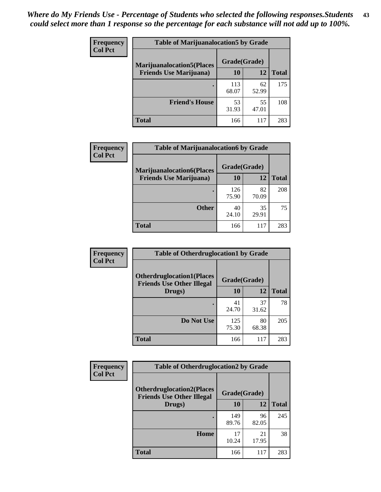| <b>Frequency</b> | <b>Table of Marijuanalocation5 by Grade</b> |              |             |              |
|------------------|---------------------------------------------|--------------|-------------|--------------|
| <b>Col Pct</b>   | <b>Marijuanalocation5</b> (Places           | Grade(Grade) |             |              |
|                  | <b>Friends Use Marijuana</b> )              | 10           | 12          | <b>Total</b> |
|                  |                                             | 113<br>68.07 | 62<br>52.99 | 175          |
|                  | <b>Friend's House</b>                       | 53<br>31.93  | 55<br>47.01 | 108          |
|                  | <b>Total</b>                                | 166          | 117         | 283          |

| Frequency      | <b>Table of Marijuanalocation6 by Grade</b>                        |                    |             |              |
|----------------|--------------------------------------------------------------------|--------------------|-------------|--------------|
| <b>Col Pct</b> | <b>Marijuanalocation6(Places</b><br><b>Friends Use Marijuana</b> ) | Grade(Grade)<br>10 | 12          | <b>Total</b> |
|                |                                                                    |                    |             |              |
|                |                                                                    | 126<br>75.90       | 82<br>70.09 | 208          |
|                | <b>Other</b>                                                       | 40<br>24.10        | 35<br>29.91 | 75           |
|                | <b>Total</b>                                                       | 166                | 117         | 283          |

| <b>Frequency</b> | <b>Table of Otherdruglocation1 by Grade</b>                          |              |             |              |
|------------------|----------------------------------------------------------------------|--------------|-------------|--------------|
| <b>Col Pct</b>   | <b>Otherdruglocation1(Places</b><br><b>Friends Use Other Illegal</b> | Grade(Grade) |             |              |
|                  | Drugs)                                                               | 10           | 12          | <b>Total</b> |
|                  |                                                                      | 41<br>24.70  | 37<br>31.62 | 78           |
|                  | Do Not Use                                                           | 125<br>75.30 | 80<br>68.38 | 205          |
|                  | <b>Total</b>                                                         | 166          | 117         | 283          |

| <b>Frequency</b> | <b>Table of Otherdruglocation2 by Grade</b>                           |              |             |              |
|------------------|-----------------------------------------------------------------------|--------------|-------------|--------------|
| <b>Col Pct</b>   | <b>Otherdruglocation2(Places)</b><br><b>Friends Use Other Illegal</b> | Grade(Grade) |             |              |
|                  | Drugs)                                                                | 10           | 12          | <b>Total</b> |
|                  |                                                                       | 149<br>89.76 | 96<br>82.05 | 245          |
|                  | Home                                                                  | 17<br>10.24  | 21<br>17.95 | 38           |
|                  | <b>Total</b>                                                          | 166          | 117         | 283          |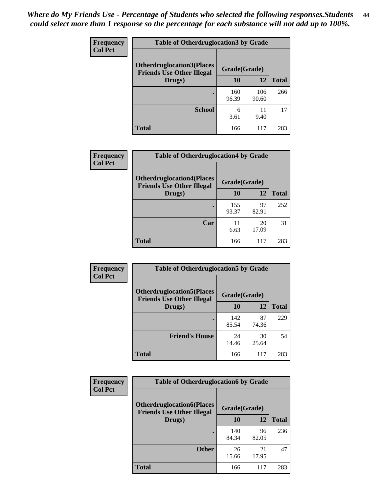| <b>Frequency</b> | <b>Table of Otherdruglocation 3 by Grade</b>                         |              |              |              |
|------------------|----------------------------------------------------------------------|--------------|--------------|--------------|
| <b>Col Pct</b>   | <b>Otherdruglocation3(Places</b><br><b>Friends Use Other Illegal</b> | Grade(Grade) |              |              |
|                  | Drugs)                                                               | 10           | 12           | <b>Total</b> |
|                  |                                                                      | 160<br>96.39 | 106<br>90.60 | 266          |
|                  | <b>School</b>                                                        | 6<br>3.61    | 11<br>9.40   | 17           |
|                  | <b>Total</b>                                                         | 166          | 117          | 283          |

| Frequency      | <b>Table of Otherdruglocation4 by Grade</b>                          |              |             |              |
|----------------|----------------------------------------------------------------------|--------------|-------------|--------------|
| <b>Col Pct</b> | <b>Otherdruglocation4(Places</b><br><b>Friends Use Other Illegal</b> | Grade(Grade) |             |              |
|                | Drugs)                                                               | 10           | 12          | <b>Total</b> |
|                |                                                                      | 155<br>93.37 | 97<br>82.91 | 252          |
|                | Car                                                                  | 11<br>6.63   | 20<br>17.09 | 31           |
|                | <b>Total</b>                                                         | 166          | 117         | 283          |

| Frequency      | <b>Table of Otherdruglocation5 by Grade</b>                          |              |             |              |
|----------------|----------------------------------------------------------------------|--------------|-------------|--------------|
| <b>Col Pct</b> | <b>Otherdruglocation5(Places</b><br><b>Friends Use Other Illegal</b> | Grade(Grade) |             |              |
|                | Drugs)                                                               | 10           | 12          | <b>Total</b> |
|                |                                                                      | 142<br>85.54 | 87<br>74.36 | 229          |
|                | <b>Friend's House</b>                                                | 24<br>14.46  | 30<br>25.64 | 54           |
|                | <b>Total</b>                                                         | 166          | 117         | 283          |

| <b>Frequency</b> | <b>Table of Otherdruglocation6 by Grade</b>                          |              |             |              |
|------------------|----------------------------------------------------------------------|--------------|-------------|--------------|
| <b>Col Pct</b>   | <b>Otherdruglocation6(Places</b><br><b>Friends Use Other Illegal</b> | Grade(Grade) |             |              |
|                  | Drugs)                                                               | <b>10</b>    | 12          | <b>Total</b> |
|                  |                                                                      | 140<br>84.34 | 96<br>82.05 | 236          |
|                  | <b>Other</b>                                                         | 26<br>15.66  | 21<br>17.95 | 47           |
|                  | Total                                                                | 166          | 117         | 283          |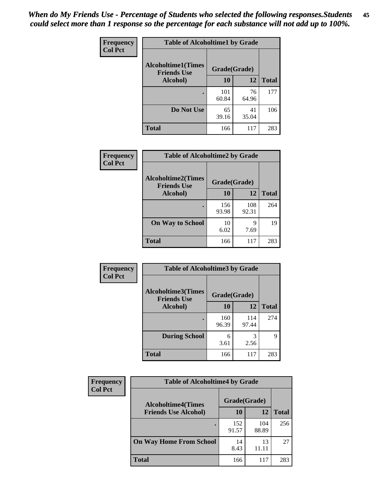| Frequency      | <b>Table of Alcoholtime1 by Grade</b>           |              |             |              |
|----------------|-------------------------------------------------|--------------|-------------|--------------|
| <b>Col Pct</b> | <b>Alcoholtime1(Times</b><br><b>Friends Use</b> | Grade(Grade) |             |              |
|                | Alcohol)                                        | 10           | 12          | <b>Total</b> |
|                |                                                 | 101<br>60.84 | 76<br>64.96 | 177          |
|                | Do Not Use                                      | 65<br>39.16  | 41<br>35.04 | 106          |
|                | <b>Total</b>                                    | 166          | 117         | 283          |

| Frequency<br><b>Col Pct</b> | <b>Table of Alcoholtime2 by Grade</b>           |              |              |              |
|-----------------------------|-------------------------------------------------|--------------|--------------|--------------|
|                             | <b>Alcoholtime2(Times</b><br><b>Friends Use</b> | Grade(Grade) |              |              |
|                             | Alcohol)                                        | 10           | 12           | <b>Total</b> |
|                             |                                                 | 156<br>93.98 | 108<br>92.31 | 264          |
|                             | <b>On Way to School</b>                         | 10<br>6.02   | 9<br>7.69    | 19           |
|                             | <b>Total</b>                                    | 166          | 117          | 283          |

| Frequency<br><b>Col Pct</b> | <b>Table of Alcoholtime3 by Grade</b>                    |              |              |              |
|-----------------------------|----------------------------------------------------------|--------------|--------------|--------------|
|                             | Alcoholtime3(Times<br>Grade(Grade)<br><b>Friends Use</b> |              |              |              |
|                             | Alcohol)                                                 | 10           | 12           | <b>Total</b> |
|                             |                                                          | 160<br>96.39 | 114<br>97.44 | 274          |
|                             | <b>During School</b>                                     | 6<br>3.61    | 3<br>2.56    | 9            |
|                             | Total                                                    | 166          | 117          | 283          |

| <b>Frequency</b> | <b>Table of Alcoholtime4 by Grade</b> |              |              |              |
|------------------|---------------------------------------|--------------|--------------|--------------|
| <b>Col Pct</b>   | <b>Alcoholtime4(Times</b>             | Grade(Grade) |              |              |
|                  | <b>Friends Use Alcohol)</b>           | 10           | 12           | <b>Total</b> |
|                  |                                       | 152<br>91.57 | 104<br>88.89 | 256          |
|                  | <b>On Way Home From School</b>        | 14<br>8.43   | 13<br>11.11  | 27           |
|                  | <b>Total</b>                          | 166          | 117          | 283          |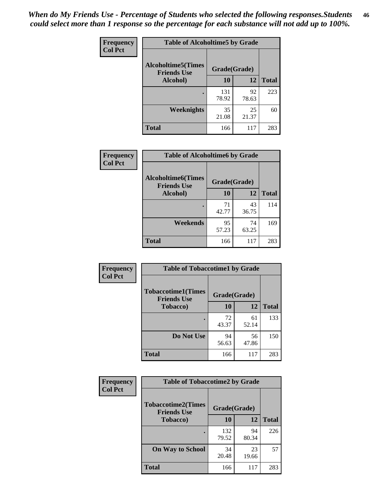*When do My Friends Use - Percentage of Students who selected the following responses.Students could select more than 1 response so the percentage for each substance will not add up to 100%.* **46**

| <b>Frequency</b> | <b>Table of Alcoholtime5 by Grade</b>           |              |             |              |
|------------------|-------------------------------------------------|--------------|-------------|--------------|
| <b>Col Pct</b>   | <b>Alcoholtime5(Times</b><br><b>Friends Use</b> | Grade(Grade) |             |              |
|                  | Alcohol)                                        | 10           | 12          | <b>Total</b> |
|                  |                                                 | 131<br>78.92 | 92<br>78.63 | 223          |
|                  | Weeknights                                      | 35<br>21.08  | 25<br>21.37 | 60           |
|                  | <b>Total</b>                                    | 166          | 117         | 283          |

| Frequency      | <b>Table of Alcoholtime6 by Grade</b>           |              |             |              |
|----------------|-------------------------------------------------|--------------|-------------|--------------|
| <b>Col Pct</b> | <b>Alcoholtime6(Times</b><br><b>Friends Use</b> | Grade(Grade) |             |              |
|                | Alcohol)                                        | 10           | 12          | <b>Total</b> |
|                |                                                 | 71<br>42.77  | 43<br>36.75 | 114          |
|                | Weekends                                        | 95<br>57.23  | 74<br>63.25 | 169          |
|                | <b>Total</b>                                    | 166          | 117         | 283          |

| Frequency<br><b>Col Pct</b> | <b>Table of Tobaccotime1 by Grade</b><br><b>Tobaccotime1(Times</b><br>Grade(Grade)<br><b>Friends Use</b> |             |             |              |
|-----------------------------|----------------------------------------------------------------------------------------------------------|-------------|-------------|--------------|
|                             |                                                                                                          |             |             |              |
|                             | <b>Tobacco</b> )                                                                                         | 10          | 12          | <b>Total</b> |
|                             |                                                                                                          | 72<br>43.37 | 61<br>52.14 | 133          |
|                             | Do Not Use                                                                                               | 94<br>56.63 | 56<br>47.86 | 150          |
|                             | <b>Total</b>                                                                                             | 166         | 117         | 283          |

| <b>Frequency</b> | <b>Table of Tobaccotime2 by Grade</b>           |              |             |              |
|------------------|-------------------------------------------------|--------------|-------------|--------------|
| <b>Col Pct</b>   | <b>Tobaccotime2(Times</b><br><b>Friends Use</b> | Grade(Grade) |             |              |
|                  | <b>Tobacco</b> )                                |              | 12          | <b>Total</b> |
|                  |                                                 | 132<br>79.52 | 94<br>80.34 | 226          |
|                  | <b>On Way to School</b>                         | 34<br>20.48  | 23<br>19.66 | 57           |
|                  | <b>Total</b>                                    | 166          | 117         | 283          |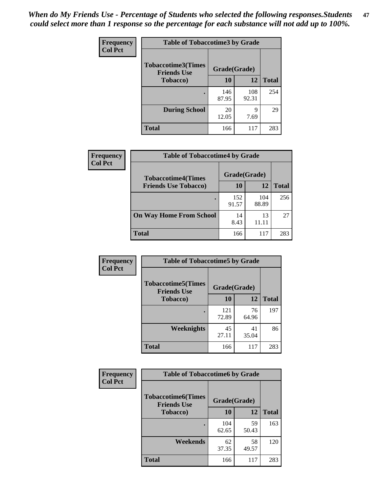*When do My Friends Use - Percentage of Students who selected the following responses.Students could select more than 1 response so the percentage for each substance will not add up to 100%.* **47**

| <b>Frequency</b> | <b>Table of Tobaccotime3 by Grade</b>           |              |              |              |  |
|------------------|-------------------------------------------------|--------------|--------------|--------------|--|
| <b>Col Pct</b>   | <b>Tobaccotime3(Times</b><br><b>Friends Use</b> |              | Grade(Grade) |              |  |
|                  | <b>Tobacco</b> )                                | 10           | 12           | <b>Total</b> |  |
|                  |                                                 | 146<br>87.95 | 108<br>92.31 | 254          |  |
|                  | <b>During School</b>                            | 20<br>12.05  | 9<br>7.69    | 29           |  |
|                  | <b>Total</b>                                    | 166          | 117          | 283          |  |

| <b>Frequency</b> | <b>Table of Tobaccotime4 by Grade</b> |              |              |              |
|------------------|---------------------------------------|--------------|--------------|--------------|
| <b>Col Pct</b>   | <b>Tobaccotime4(Times</b>             | Grade(Grade) |              |              |
|                  | <b>Friends Use Tobacco)</b>           | 10           | 12           | <b>Total</b> |
|                  |                                       | 152<br>91.57 | 104<br>88.89 | 256          |
|                  | <b>On Way Home From School</b>        | 14<br>8.43   | 13<br>11.11  | 27           |
|                  | <b>Total</b>                          | 166          | 117          | 283          |

| <b>Frequency</b> | <b>Table of Tobaccotime5 by Grade</b>           |              |             |              |
|------------------|-------------------------------------------------|--------------|-------------|--------------|
| <b>Col Pct</b>   | <b>Tobaccotime5(Times</b><br><b>Friends Use</b> | Grade(Grade) |             |              |
|                  | <b>Tobacco</b> )                                | 10           | 12          | <b>Total</b> |
|                  |                                                 | 121<br>72.89 | 76<br>64.96 | 197          |
|                  | Weeknights                                      | 45<br>27.11  | 41<br>35.04 | 86           |
|                  | <b>Total</b>                                    | 166          | 117         | 283          |

| Frequency<br><b>Col Pct</b> | <b>Table of Tobaccotime6 by Grade</b>           |              |             |              |
|-----------------------------|-------------------------------------------------|--------------|-------------|--------------|
|                             | <b>Tobaccotime6(Times</b><br><b>Friends Use</b> | Grade(Grade) |             |              |
|                             | <b>Tobacco</b> )                                | 10           | 12          | <b>Total</b> |
|                             |                                                 | 104<br>62.65 | 59<br>50.43 | 163          |
|                             | Weekends                                        | 62<br>37.35  | 58<br>49.57 | 120          |
|                             | <b>Total</b>                                    | 166          | 117         | 283          |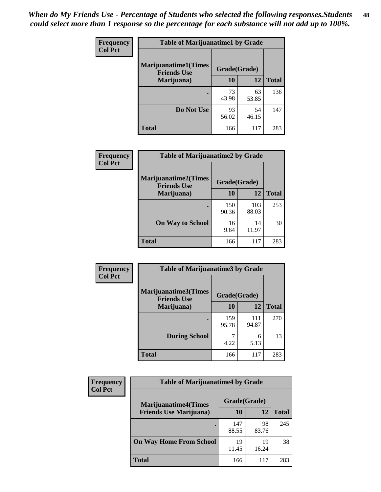| Frequency      | <b>Table of Marijuanatime1 by Grade</b>                           |             |             |              |  |
|----------------|-------------------------------------------------------------------|-------------|-------------|--------------|--|
| <b>Col Pct</b> | <b>Marijuanatime1(Times</b><br>Grade(Grade)<br><b>Friends Use</b> |             |             |              |  |
|                | Marijuana)                                                        | 10          | 12          | <b>Total</b> |  |
|                |                                                                   | 73<br>43.98 | 63<br>53.85 | 136          |  |
|                | Do Not Use                                                        | 93<br>56.02 | 54<br>46.15 | 147          |  |
|                | <b>Total</b>                                                      | 166         | 117         | 283          |  |

| <b>Frequency</b> | <b>Table of Marijuanatime2 by Grade</b>           |              |              |              |
|------------------|---------------------------------------------------|--------------|--------------|--------------|
| <b>Col Pct</b>   | <b>Marijuanatime2(Times</b><br><b>Friends Use</b> | Grade(Grade) |              |              |
|                  | Marijuana)                                        | 10           | 12           | <b>Total</b> |
|                  |                                                   | 150<br>90.36 | 103<br>88.03 | 253          |
|                  | <b>On Way to School</b>                           | 16<br>9.64   | 14<br>11.97  | 30           |
|                  | <b>Total</b>                                      | 166          | 117          | 283          |

| <b>Frequency</b> | <b>Table of Marijuanatime3 by Grade</b>    |              |              |              |
|------------------|--------------------------------------------|--------------|--------------|--------------|
| <b>Col Pct</b>   | Marijuanatime3(Times<br><b>Friends Use</b> | Grade(Grade) |              |              |
|                  | Marijuana)                                 | 10           | 12           | <b>Total</b> |
|                  |                                            | 159<br>95.78 | 111<br>94.87 | 270          |
|                  | <b>During School</b>                       | 4.22         | 6<br>5.13    | 13           |
|                  | <b>Total</b>                               | 166          | 117          | 283          |

| <b>Frequency</b><br><b>Col Pct</b> | <b>Table of Marijuanatime4 by Grade</b> |              |             |              |
|------------------------------------|-----------------------------------------|--------------|-------------|--------------|
|                                    | <b>Marijuanatime4</b> (Times            | Grade(Grade) |             |              |
|                                    | <b>Friends Use Marijuana</b> )          | 10           | 12          | <b>Total</b> |
|                                    |                                         | 147<br>88.55 | 98<br>83.76 | 245          |
|                                    | <b>On Way Home From School</b>          | 19<br>11.45  | 19<br>16.24 | 38           |
|                                    | <b>Total</b>                            | 166          | 117         | 283          |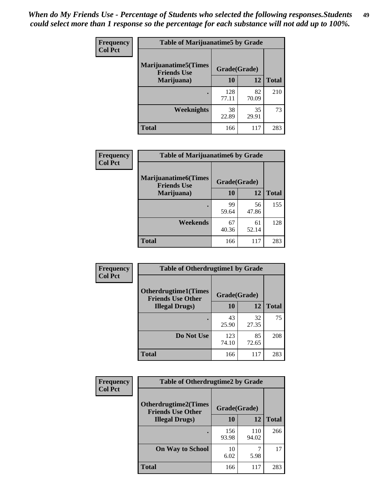| Frequency<br><b>Col Pct</b> | <b>Table of Marijuanatime5 by Grade</b><br><b>Marijuanatime5</b> (Times<br>Grade(Grade)<br><b>Friends Use</b> |              |             |              |
|-----------------------------|---------------------------------------------------------------------------------------------------------------|--------------|-------------|--------------|
|                             |                                                                                                               |              |             |              |
|                             | Marijuana)                                                                                                    | 10           | 12          | <b>Total</b> |
|                             |                                                                                                               | 128<br>77.11 | 82<br>70.09 | 210          |
|                             | Weeknights                                                                                                    | 38<br>22.89  | 35<br>29.91 | 73           |
|                             | <b>Total</b>                                                                                                  | 166          | 117         | 283          |

| Frequency      | <b>Table of Marijuanatime6 by Grade</b>            |              |             |              |
|----------------|----------------------------------------------------|--------------|-------------|--------------|
| <b>Col Pct</b> | <b>Marijuanatime6</b> (Times<br><b>Friends Use</b> | Grade(Grade) |             |              |
|                | Marijuana)                                         | 10           | 12          | <b>Total</b> |
|                |                                                    | 99<br>59.64  | 56<br>47.86 | 155          |
|                | Weekends                                           | 67<br>40.36  | 61<br>52.14 | 128          |
|                | <b>Total</b>                                       | 166          | 117         | 283          |

| Frequency      | <b>Table of Otherdrugtime1 by Grade</b>                 |              |             |              |
|----------------|---------------------------------------------------------|--------------|-------------|--------------|
| <b>Col Pct</b> | <b>Otherdrugtime1(Times</b><br><b>Friends Use Other</b> | Grade(Grade) |             |              |
|                | <b>Illegal Drugs</b> )                                  | 10           | 12          | <b>Total</b> |
|                |                                                         | 43<br>25.90  | 32<br>27.35 | 75           |
|                | Do Not Use                                              | 123<br>74.10 | 85<br>72.65 | 208          |
|                | Total                                                   | 166          | 117         | 283          |

| Frequency      | <b>Table of Otherdrugtime2 by Grade</b>                 |              |              |              |  |  |
|----------------|---------------------------------------------------------|--------------|--------------|--------------|--|--|
| <b>Col Pct</b> | <b>Otherdrugtime2(Times</b><br><b>Friends Use Other</b> | Grade(Grade) |              |              |  |  |
|                | <b>Illegal Drugs</b> )                                  | 10           | 12           | <b>Total</b> |  |  |
|                |                                                         | 156<br>93.98 | 110<br>94.02 | 266          |  |  |
|                | <b>On Way to School</b>                                 | 10<br>6.02   | 5.98         | 17           |  |  |
|                | Total                                                   | 166          | 117          | 283          |  |  |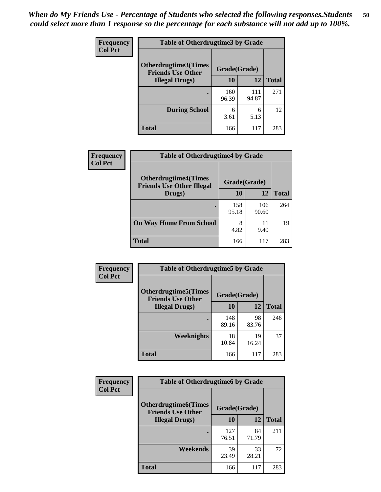| <b>Frequency</b> | <b>Table of Otherdrugtime3 by Grade</b>                 |              |              |              |  |  |
|------------------|---------------------------------------------------------|--------------|--------------|--------------|--|--|
| <b>Col Pct</b>   | <b>Otherdrugtime3(Times</b><br><b>Friends Use Other</b> |              | Grade(Grade) |              |  |  |
|                  | <b>Illegal Drugs</b> )                                  | 10           | 12           | <b>Total</b> |  |  |
|                  |                                                         | 160<br>96.39 | 111<br>94.87 | 271          |  |  |
|                  | <b>During School</b>                                    | 6<br>3.61    | 6<br>5.13    | 12           |  |  |
|                  | <b>Total</b>                                            | 166          | 117          | 283          |  |  |

| <b>Frequency</b> | <b>Table of Otherdrugtime4 by Grade</b>                         |              |              |              |  |  |
|------------------|-----------------------------------------------------------------|--------------|--------------|--------------|--|--|
| <b>Col Pct</b>   | <b>Otherdrugtime4(Times</b><br><b>Friends Use Other Illegal</b> | Grade(Grade) |              |              |  |  |
|                  | Drugs)                                                          | 10           | 12           | <b>Total</b> |  |  |
|                  |                                                                 | 158<br>95.18 | 106<br>90.60 | 264          |  |  |
|                  | <b>On Way Home From School</b>                                  | 8<br>4.82    | 11<br>9.40   | 19           |  |  |
|                  | <b>Total</b>                                                    | 166          | 117          | 283          |  |  |

| <b>Frequency</b> | <b>Table of Otherdrugtime5 by Grade</b>                  |              |             |              |  |  |
|------------------|----------------------------------------------------------|--------------|-------------|--------------|--|--|
| <b>Col Pct</b>   | <b>Otherdrugtime5</b> (Times<br><b>Friends Use Other</b> | Grade(Grade) |             |              |  |  |
|                  | <b>Illegal Drugs</b> )                                   | 10           | 12          | <b>Total</b> |  |  |
|                  |                                                          | 148<br>89.16 | 98<br>83.76 | 246          |  |  |
|                  | <b>Weeknights</b>                                        | 18<br>10.84  | 19<br>16.24 | 37           |  |  |
|                  | Total                                                    | 166          | 117         | 283          |  |  |

| <b>Frequency</b> | <b>Table of Otherdrugtime6 by Grade</b>                                 |              |             |              |  |  |
|------------------|-------------------------------------------------------------------------|--------------|-------------|--------------|--|--|
| <b>Col Pct</b>   | <b>Otherdrugtime6(Times</b><br>Grade(Grade)<br><b>Friends Use Other</b> |              |             |              |  |  |
|                  | <b>Illegal Drugs</b> )                                                  | 10           | 12          | <b>Total</b> |  |  |
|                  |                                                                         | 127<br>76.51 | 84<br>71.79 | 211          |  |  |
|                  | Weekends                                                                | 39<br>23.49  | 33<br>28.21 | 72           |  |  |
|                  | <b>Total</b>                                                            | 166          | 117         | 283          |  |  |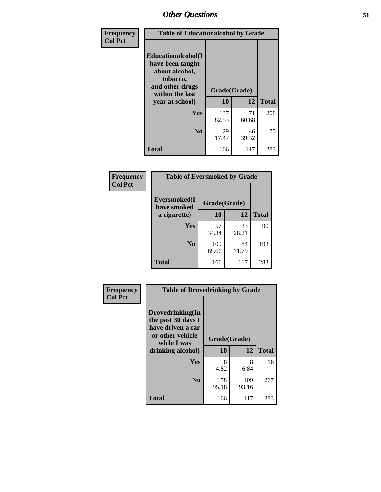| Frequency      | <b>Table of Educationalcohol by Grade</b>                                                                  |              |             |              |  |  |
|----------------|------------------------------------------------------------------------------------------------------------|--------------|-------------|--------------|--|--|
| <b>Col Pct</b> | Educationalcohol(I<br>have been taught<br>about alcohol,<br>tobacco,<br>and other drugs<br>within the last | Grade(Grade) |             |              |  |  |
|                | year at school)                                                                                            | 10           | 12          | <b>Total</b> |  |  |
|                | Yes                                                                                                        | 137<br>82.53 | 71<br>60.68 | 208          |  |  |
|                | N <sub>0</sub>                                                                                             | 29<br>17.47  | 46<br>39.32 | 75           |  |  |
|                | <b>Total</b>                                                                                               | 166          | 117         | 283          |  |  |

| Frequency      | <b>Table of Eversmoked by Grade</b>         |              |             |              |  |  |  |
|----------------|---------------------------------------------|--------------|-------------|--------------|--|--|--|
| <b>Col Pct</b> | Eversmoked(I<br>Grade(Grade)<br>have smoked |              |             |              |  |  |  |
|                | a cigarette)                                | 10           | 12          | <b>Total</b> |  |  |  |
|                | <b>Yes</b>                                  | 57<br>34.34  | 33<br>28.21 | 90           |  |  |  |
|                | N <sub>0</sub>                              | 109<br>65.66 | 84<br>71.79 | 193          |  |  |  |
|                | <b>Total</b>                                | 166          | 117         | 283          |  |  |  |

| Frequency      | <b>Table of Drovedrinking by Grade</b>                                                                              |                    |              |     |  |  |
|----------------|---------------------------------------------------------------------------------------------------------------------|--------------------|--------------|-----|--|--|
| <b>Col Pct</b> | Drovedrinking(In<br>the past 30 days I<br>have driven a car<br>or other vehicle<br>while I was<br>drinking alcohol) | Grade(Grade)<br>10 | <b>Total</b> |     |  |  |
|                | Yes                                                                                                                 | 8                  | 12<br>8      | 16  |  |  |
|                |                                                                                                                     | 4.82               | 6.84         |     |  |  |
|                | N <sub>0</sub>                                                                                                      | 158<br>95.18       | 109<br>93.16 | 267 |  |  |
|                | <b>Total</b>                                                                                                        | 166                | 117          | 283 |  |  |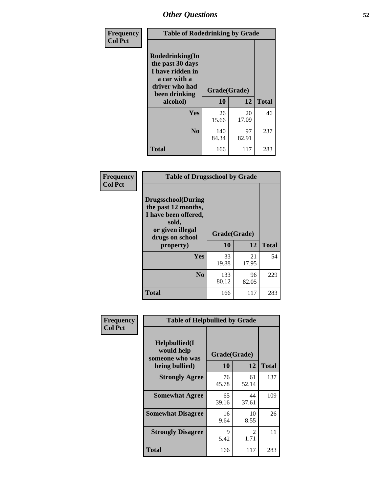| Frequency<br><b>Col Pct</b> | <b>Table of Rodedrinking by Grade</b>                                                                      |              |             |              |  |  |
|-----------------------------|------------------------------------------------------------------------------------------------------------|--------------|-------------|--------------|--|--|
|                             | Rodedrinking(In<br>the past 30 days<br>I have ridden in<br>a car with a<br>driver who had<br>been drinking | Grade(Grade) |             |              |  |  |
|                             | alcohol)                                                                                                   | 10           | 12          | <b>Total</b> |  |  |
|                             | <b>Yes</b>                                                                                                 | 26<br>15.66  | 20<br>17.09 | 46           |  |  |
|                             | N <sub>0</sub>                                                                                             | 140<br>84.34 | 97<br>82.91 | 237          |  |  |
|                             | <b>Total</b>                                                                                               | 166          | 117         | 283          |  |  |

#### **Frequency Col Pct**

| <b>Table of Drugsschool by Grade</b>                                                                                      |              |             |              |  |  |  |  |
|---------------------------------------------------------------------------------------------------------------------------|--------------|-------------|--------------|--|--|--|--|
| <b>Drugsschool</b> (During<br>the past 12 months,<br>I have been offered,<br>sold,<br>or given illegal<br>drugs on school | Grade(Grade) |             |              |  |  |  |  |
| property)                                                                                                                 | 10           | 12          | <b>Total</b> |  |  |  |  |
| Yes                                                                                                                       | 33<br>19.88  | 21<br>17.95 | 54           |  |  |  |  |
| $\bf N_0$                                                                                                                 | 133<br>80.12 | 96<br>82.05 | 229          |  |  |  |  |
| Total                                                                                                                     | 166          | 117         | 283          |  |  |  |  |

| Frequency      | <b>Table of Helpbullied by Grade</b>                 |              |                        |     |  |  |
|----------------|------------------------------------------------------|--------------|------------------------|-----|--|--|
| <b>Col Pct</b> | $Helpb$ ullied $(I$<br>would help<br>someone who was | Grade(Grade) | <b>Total</b>           |     |  |  |
|                | being bullied)                                       | <b>10</b>    | 12                     |     |  |  |
|                | <b>Strongly Agree</b>                                | 76<br>45.78  | 61<br>52.14            | 137 |  |  |
|                | <b>Somewhat Agree</b>                                | 65<br>39.16  | 44<br>37.61            | 109 |  |  |
|                | <b>Somewhat Disagree</b>                             | 16<br>9.64   | 10<br>8.55             | 26  |  |  |
|                | <b>Strongly Disagree</b>                             | 9<br>5.42    | $\mathfrak{D}$<br>1.71 | 11  |  |  |
|                | <b>Total</b>                                         | 166          | 117                    | 283 |  |  |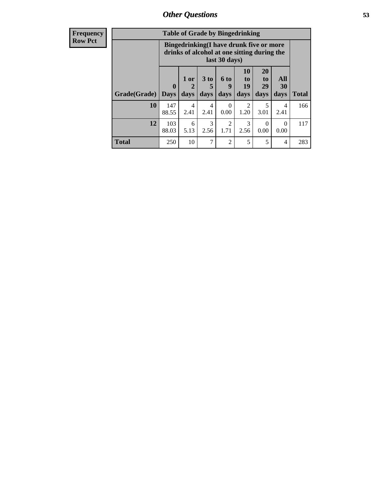| Frequency      |              | <b>Table of Grade by Bingedrinking</b> |              |                         |                              |                                                                                        |                               |                   |              |
|----------------|--------------|----------------------------------------|--------------|-------------------------|------------------------------|----------------------------------------------------------------------------------------|-------------------------------|-------------------|--------------|
| <b>Row Pct</b> |              |                                        |              |                         | last 30 days)                | Bingedrinking(I have drunk five or more<br>drinks of alcohol at one sitting during the |                               |                   |              |
|                | Grade(Grade) | $\bf{0}$<br><b>Days</b>                | 1 or<br>days | 3 <sub>to</sub><br>days | 6 <sub>to</sub><br>9<br>days | 10<br>to<br>19<br>days                                                                 | <b>20</b><br>to<br>29<br>days | All<br>30<br>days | <b>Total</b> |
|                | <b>10</b>    | 147<br>88.55                           | 4<br>2.41    | 4<br>2.41               | $\Omega$<br>0.00             | $\mathfrak{D}$<br>1.20                                                                 | 5<br>3.01                     | 4<br>2.41         | 166          |
|                | 12           | 103<br>88.03                           | 6<br>5.13    | 3<br>2.56               | $\overline{2}$<br>1.71       | 3<br>2.56                                                                              | $\Omega$<br>0.00              | $\Omega$<br>0.00  | 117          |
|                | <b>Total</b> | 250                                    | 10           | 7                       | $\overline{2}$               | 5                                                                                      | 5                             | 4                 | 283          |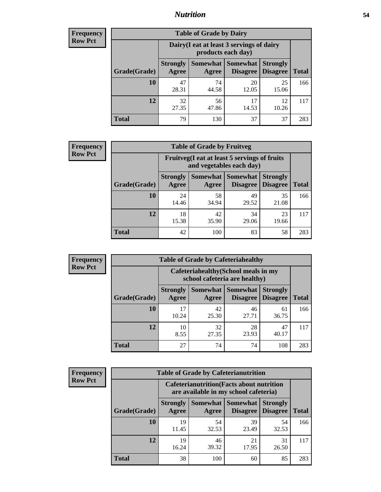### *Nutrition* **54**

| <b>Frequency</b> |
|------------------|
| <b>Row Pct</b>   |

| <b>Table of Grade by Dairy</b> |                          |                                                                 |                                    |                                    |              |  |  |  |
|--------------------------------|--------------------------|-----------------------------------------------------------------|------------------------------------|------------------------------------|--------------|--|--|--|
|                                |                          | Dairy (I eat at least 3 servings of dairy<br>products each day) |                                    |                                    |              |  |  |  |
| Grade(Grade)                   | <b>Strongly</b><br>Agree | <b>Somewhat</b><br>Agree                                        | <b>Somewhat</b><br><b>Disagree</b> | <b>Strongly</b><br><b>Disagree</b> | <b>Total</b> |  |  |  |
| 10                             | 47<br>28.31              | 74<br>44.58                                                     | 20<br>12.05                        | 25<br>15.06                        | 166          |  |  |  |
| 12                             | 32<br>27.35              | 56<br>47.86                                                     | 17<br>14.53                        | 12<br>10.26                        | 117          |  |  |  |
| <b>Total</b>                   | 79                       | 130                                                             | 37                                 | 37                                 | 283          |  |  |  |

| <b>Frequency</b> |  |
|------------------|--|
| <b>Row Pct</b>   |  |

| <b>Table of Grade by Fruitveg</b>                                        |                          |             |                     |                                             |              |  |  |  |
|--------------------------------------------------------------------------|--------------------------|-------------|---------------------|---------------------------------------------|--------------|--|--|--|
| Fruitveg(I eat at least 5 servings of fruits<br>and vegetables each day) |                          |             |                     |                                             |              |  |  |  |
| Grade(Grade)                                                             | <b>Strongly</b><br>Agree | Agree       | Somewhat   Somewhat | <b>Strongly</b><br><b>Disagree</b> Disagree | <b>Total</b> |  |  |  |
| 10                                                                       | 24<br>14.46              | 58<br>34.94 | 49<br>29.52         | 35<br>21.08                                 | 166          |  |  |  |
| 12                                                                       | 18<br>15.38              | 42<br>35.90 | 34<br>29.06         | 23<br>19.66                                 | 117          |  |  |  |
| <b>Total</b>                                                             | 42                       | 100         | 83                  | 58                                          | 283          |  |  |  |

| <b>Frequency</b> | <b>Table of Grade by Cafeteriahealthy</b> |                                                                       |             |                                          |                                    |              |
|------------------|-------------------------------------------|-----------------------------------------------------------------------|-------------|------------------------------------------|------------------------------------|--------------|
| <b>Row Pct</b>   |                                           | Cafeteriahealthy (School meals in my<br>school cafeteria are healthy) |             |                                          |                                    |              |
|                  | Grade(Grade)                              | <b>Strongly</b><br>Agree                                              | Agree       | Somewhat   Somewhat  <br><b>Disagree</b> | <b>Strongly</b><br><b>Disagree</b> | <b>Total</b> |
|                  | 10                                        | 17<br>10.24                                                           | 42<br>25.30 | 46<br>27.71                              | 61<br>36.75                        | 166          |
|                  | 12                                        | 10<br>8.55                                                            | 32<br>27.35 | 28<br>23.93                              | 47<br>40.17                        | 117          |
|                  | <b>Total</b>                              | 27                                                                    | 74          | 74                                       | 108                                | 283          |

| <b>Frequency</b> |  |
|------------------|--|
| <b>Row Pct</b>   |  |

| <b>Table of Grade by Cafeterianutrition</b>                                               |                          |                   |                                    |                                    |              |  |
|-------------------------------------------------------------------------------------------|--------------------------|-------------------|------------------------------------|------------------------------------|--------------|--|
| <b>Cafeterianutrition</b> (Facts about nutrition<br>are available in my school cafeteria) |                          |                   |                                    |                                    |              |  |
| Grade(Grade)                                                                              | <b>Strongly</b><br>Agree | Somewhat<br>Agree | <b>Somewhat</b><br><b>Disagree</b> | <b>Strongly</b><br><b>Disagree</b> | <b>Total</b> |  |
| 10                                                                                        | 19<br>11.45              | 54<br>32.53       | 39<br>23.49                        | 54<br>32.53                        | 166          |  |
| 12                                                                                        | 19<br>16.24              | 46<br>39.32       | 21<br>17.95                        | 31<br>26.50                        | 117          |  |
| <b>Total</b>                                                                              | 38                       | 100               | 60                                 | 85                                 | 283          |  |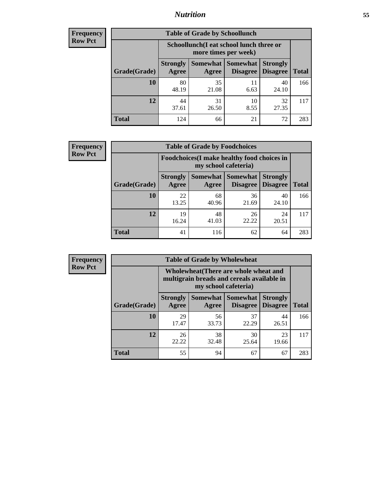### *Nutrition* **55**

| Frequency |
|-----------|
| Row Pct   |

| <b>Table of Grade by Schoollunch</b> |                                                                                                                            |                                                                 |            |             |     |  |  |  |
|--------------------------------------|----------------------------------------------------------------------------------------------------------------------------|-----------------------------------------------------------------|------------|-------------|-----|--|--|--|
|                                      |                                                                                                                            | Schoollunch(I eat school lunch three or<br>more times per week) |            |             |     |  |  |  |
| Grade(Grade)                         | Somewhat   Somewhat<br><b>Strongly</b><br><b>Strongly</b><br><b>Disagree</b><br>Disagree<br><b>Total</b><br>Agree<br>Agree |                                                                 |            |             |     |  |  |  |
| 10                                   | 80<br>48.19                                                                                                                | 35<br>21.08                                                     | 11<br>6.63 | 40<br>24.10 | 166 |  |  |  |
| 12                                   | 44<br>37.61                                                                                                                | 31<br>26.50                                                     | 10<br>8.55 | 32<br>27.35 | 117 |  |  |  |
| <b>Total</b>                         | 124                                                                                                                        | 66                                                              | 21         | 72          | 283 |  |  |  |

| <b>Frequency</b> |  |
|------------------|--|
| <b>Row Pct</b>   |  |

| <b>Table of Grade by Foodchoices</b>                                |                          |             |                                      |                                    |              |  |  |  |
|---------------------------------------------------------------------|--------------------------|-------------|--------------------------------------|------------------------------------|--------------|--|--|--|
| Foodchoices (I make healthy food choices in<br>my school cafeteria) |                          |             |                                      |                                    |              |  |  |  |
| Grade(Grade)                                                        | <b>Strongly</b><br>Agree | Agree       | Somewhat Somewhat<br><b>Disagree</b> | <b>Strongly</b><br><b>Disagree</b> | <b>Total</b> |  |  |  |
| 10                                                                  | 22<br>13.25              | 68<br>40.96 | 36<br>21.69                          | 40<br>24.10                        | 166          |  |  |  |
| 12                                                                  | 19<br>16.24              | 48<br>41.03 | 26<br>22.22                          | 24<br>20.51                        | 117          |  |  |  |
| <b>Total</b>                                                        | 41                       | 116         | 62                                   | 64                                 | 283          |  |  |  |

| <b>Frequency</b> | <b>Table of Grade by Wholewheat</b> |                                                                                                             |             |                                        |                                    |              |  |
|------------------|-------------------------------------|-------------------------------------------------------------------------------------------------------------|-------------|----------------------------------------|------------------------------------|--------------|--|
| <b>Row Pct</b>   |                                     | Wholewheat (There are whole wheat and<br>multigrain breads and cereals available in<br>my school cafeteria) |             |                                        |                                    |              |  |
|                  | Grade(Grade)                        | <b>Strongly</b><br>Agree                                                                                    | Agree       | Somewhat   Somewhat<br><b>Disagree</b> | <b>Strongly</b><br><b>Disagree</b> | <b>Total</b> |  |
|                  | 10                                  | 29<br>17.47                                                                                                 | 56<br>33.73 | 37<br>22.29                            | 44<br>26.51                        | 166          |  |
|                  | 12                                  | 26<br>22.22                                                                                                 | 38<br>32.48 | 30<br>25.64                            | 23<br>19.66                        | 117          |  |
|                  | <b>Total</b>                        | 55                                                                                                          | 94          | 67                                     | 67                                 | 283          |  |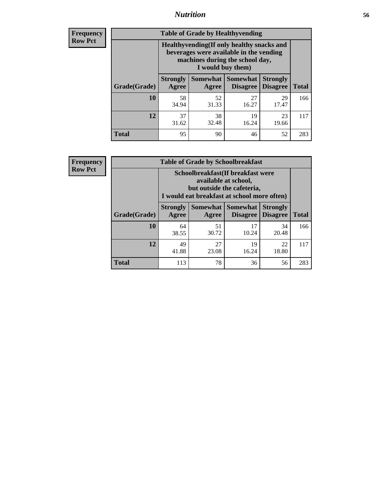### *Nutrition* **56**

**Frequency Row Pct**

| <b>Table of Grade by Healthyvending</b> |                                                                                                                                               |                          |                                    |                                    |              |  |
|-----------------------------------------|-----------------------------------------------------------------------------------------------------------------------------------------------|--------------------------|------------------------------------|------------------------------------|--------------|--|
|                                         | Healthyvending (If only healthy snacks and<br>beverages were available in the vending<br>machines during the school day,<br>I would buy them) |                          |                                    |                                    |              |  |
| Grade(Grade)                            | <b>Strongly</b><br>Agree                                                                                                                      | <b>Somewhat</b><br>Agree | <b>Somewhat</b><br><b>Disagree</b> | <b>Strongly</b><br><b>Disagree</b> | <b>Total</b> |  |
| 10                                      | 58<br>34.94                                                                                                                                   | 52<br>31.33              | 27<br>16.27                        | 29<br>17.47                        | 166          |  |
| 12                                      | 37<br>31.62                                                                                                                                   | 38<br>32.48              | 19<br>16.24                        | 23<br>19.66                        | 117          |  |
| <b>Total</b>                            | 95                                                                                                                                            | 90                       | 46                                 | 52                                 | 283          |  |

**Frequency Row Pct**

| <b>Table of Grade by Schoolbreakfast</b> |                                                                                                                                         |             |                                        |                                    |              |  |
|------------------------------------------|-----------------------------------------------------------------------------------------------------------------------------------------|-------------|----------------------------------------|------------------------------------|--------------|--|
|                                          | Schoolbreakfast (If breakfast were<br>available at school,<br>but outside the cafeteria,<br>I would eat breakfast at school more often) |             |                                        |                                    |              |  |
| Grade(Grade)                             | <b>Strongly</b><br>Agree                                                                                                                | Agree       | Somewhat   Somewhat<br><b>Disagree</b> | <b>Strongly</b><br><b>Disagree</b> | <b>Total</b> |  |
| 10                                       | 64<br>38.55                                                                                                                             | 51<br>30.72 | 17<br>10.24                            | 34<br>20.48                        | 166          |  |
| 12                                       | 49<br>41.88                                                                                                                             | 27<br>23.08 | 19<br>16.24                            | 22<br>18.80                        | 117          |  |
| <b>Total</b>                             | 113                                                                                                                                     | 78          | 36                                     | 56                                 | 283          |  |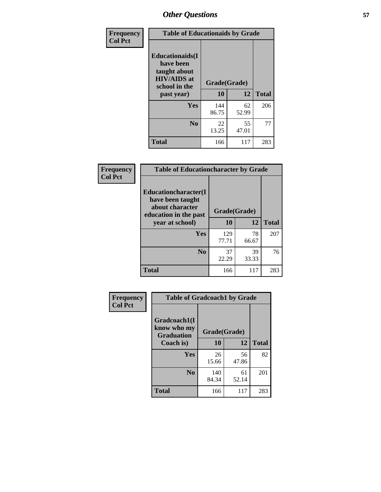| Frequency<br><b>Col Pct</b> | <b>Table of Educationaids by Grade</b>                                                                    |                    |             |              |
|-----------------------------|-----------------------------------------------------------------------------------------------------------|--------------------|-------------|--------------|
|                             | <b>Educationaids</b> (I<br>have been<br>taught about<br><b>HIV/AIDS</b> at<br>school in the<br>past year) | Grade(Grade)<br>10 | 12          | <b>Total</b> |
|                             | Yes                                                                                                       | 144<br>86.75       | 62<br>52.99 | 206          |
|                             | N <sub>0</sub>                                                                                            | 22<br>13.25        | 55<br>47.01 | 77           |
|                             | <b>Total</b>                                                                                              | 166                | 117         | 283          |

| <b>Frequency</b> | <b>Table of Educationcharacter by Grade</b>                                          |              |             |              |
|------------------|--------------------------------------------------------------------------------------|--------------|-------------|--------------|
| <b>Col Pct</b>   | Educationcharacter(I<br>have been taught<br>about character<br>education in the past | Grade(Grade) |             |              |
|                  | year at school)                                                                      | 10           | 12          | <b>Total</b> |
|                  | <b>Yes</b>                                                                           | 129<br>77.71 | 78<br>66.67 | 207          |
|                  | N <sub>0</sub>                                                                       | 37<br>22.29  | 39<br>33.33 | 76           |
|                  | <b>Total</b>                                                                         | 166          | 117         | 283          |

| Frequency      | <b>Table of Gradcoach1 by Grade</b>              |              |             |              |
|----------------|--------------------------------------------------|--------------|-------------|--------------|
| <b>Col Pct</b> | Gradcoach1(I<br>know who my<br><b>Graduation</b> | Grade(Grade) |             |              |
|                | Coach is)                                        | 10           | 12          | <b>Total</b> |
|                | Yes                                              | 26<br>15.66  | 56<br>47.86 | 82           |
|                | N <sub>0</sub>                                   | 140<br>84.34 | 61<br>52.14 | 201          |
|                | <b>Total</b>                                     | 166          | 117         | 283          |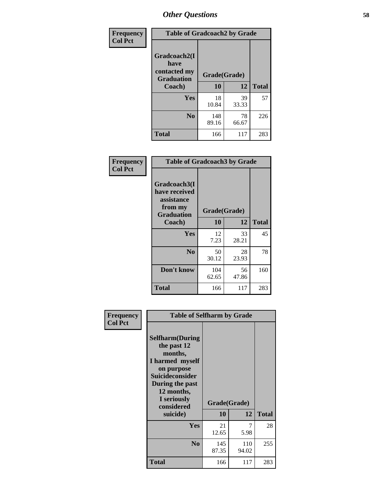| Frequency      | <b>Table of Gradcoach2 by Grade</b> |              |             |              |
|----------------|-------------------------------------|--------------|-------------|--------------|
| <b>Col Pct</b> |                                     |              |             |              |
|                | Gradcoach2(I<br>have                |              |             |              |
|                | contacted my<br><b>Graduation</b>   | Grade(Grade) |             |              |
|                | Coach)                              | 10           | 12          | <b>Total</b> |
|                | Yes                                 | 18<br>10.84  | 39<br>33.33 | 57           |
|                | N <sub>0</sub>                      | 148<br>89.16 | 78<br>66.67 | 226          |
|                | <b>Total</b>                        | 166          | 117         | 283          |

| Frequency<br><b>Col Pct</b> | <b>Table of Gradcoach3 by Grade</b>                    |                    |       |              |  |
|-----------------------------|--------------------------------------------------------|--------------------|-------|--------------|--|
|                             | Gradcoach3(I<br>have received<br>assistance<br>from my |                    |       |              |  |
|                             | <b>Graduation</b><br>Coach)                            | Grade(Grade)<br>10 | 12    | <b>Total</b> |  |
|                             |                                                        |                    |       |              |  |
|                             | <b>Yes</b>                                             | 12                 | 33    | 45           |  |
|                             |                                                        | 7.23               | 28.21 |              |  |
|                             | N <sub>0</sub>                                         | 50                 | 28    | 78           |  |
|                             |                                                        | 30.12              | 23.93 |              |  |
|                             | Don't know                                             | 104                | 56    | 160          |  |
|                             |                                                        | 62.65              | 47.86 |              |  |
|                             | <b>Total</b>                                           | 166                | 117   | 283          |  |

| Frequency      | <b>Table of Selfharm by Grade</b>                                                                                                                                          |              |              |              |
|----------------|----------------------------------------------------------------------------------------------------------------------------------------------------------------------------|--------------|--------------|--------------|
| <b>Col Pct</b> | <b>Selfharm</b> (During<br>the past 12<br>months,<br>I harmed myself<br>on purpose<br><b>Suicideconsider</b><br>During the past<br>12 months,<br>I seriously<br>considered | Grade(Grade) |              |              |
|                | suicide)                                                                                                                                                                   | <b>10</b>    | 12           | <b>Total</b> |
|                | Yes                                                                                                                                                                        | 21<br>12.65  | 5.98         | 28           |
|                | N <sub>0</sub>                                                                                                                                                             | 145<br>87.35 | 110<br>94.02 | 255          |
|                | Total                                                                                                                                                                      | 166          | 117          | 283          |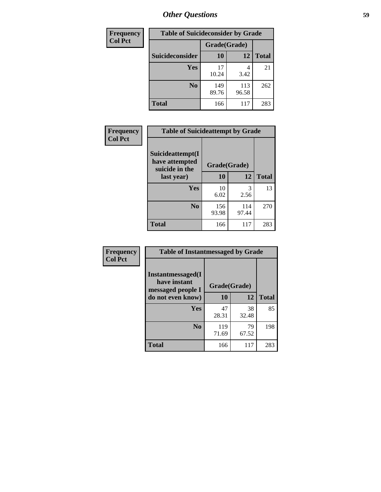| <b>Frequency</b> | <b>Table of Suicideconsider by Grade</b> |              |              |              |
|------------------|------------------------------------------|--------------|--------------|--------------|
| <b>Col Pct</b>   |                                          | Grade(Grade) |              |              |
|                  | Suicideconsider                          | <b>10</b>    | 12           | <b>Total</b> |
|                  | Yes                                      | 17<br>10.24  | 4<br>3.42    | 21           |
|                  | N <sub>0</sub>                           | 149<br>89.76 | 113<br>96.58 | 262          |
|                  | Total                                    | 166          | 117          | 283          |

| Frequency      | <b>Table of Suicideattempt by Grade</b>              |              |                       |              |
|----------------|------------------------------------------------------|--------------|-----------------------|--------------|
| <b>Col Pct</b> | Suicideattempt(I<br>have attempted<br>suicide in the | Grade(Grade) |                       |              |
|                | last year)                                           | 10           | 12                    | <b>Total</b> |
|                | Yes                                                  | 10<br>6.02   | $\mathcal{R}$<br>2.56 | 13           |
|                | N <sub>0</sub>                                       | 156<br>93.98 | 114<br>97.44          | 270          |
|                | <b>Total</b>                                         | 166          | 117                   | 283          |

| Frequency      | <b>Table of Instantmessaged by Grade</b>                       |              |             |              |
|----------------|----------------------------------------------------------------|--------------|-------------|--------------|
| <b>Col Pct</b> | <b>Instantmessaged</b> (I<br>have instant<br>messaged people I | Grade(Grade) |             |              |
|                | do not even know)                                              | 10           | 12          | <b>Total</b> |
|                | Yes                                                            | 47<br>28.31  | 38<br>32.48 | 85           |
|                | N <sub>0</sub>                                                 | 119<br>71.69 | 79<br>67.52 | 198          |
|                | <b>Total</b>                                                   | 166          | 117         | 283          |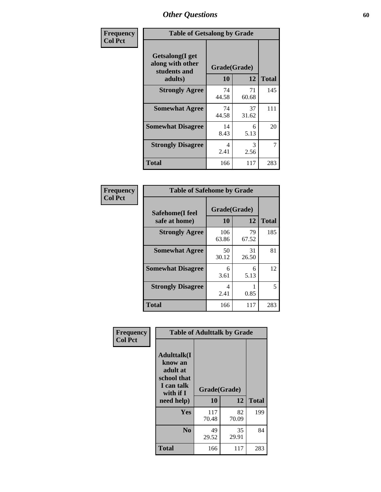| Frequency      | <b>Table of Getsalong by Grade</b>                          |              |             |              |
|----------------|-------------------------------------------------------------|--------------|-------------|--------------|
| <b>Col Pct</b> | <b>Getsalong</b> (I get<br>along with other<br>students and | Grade(Grade) |             |              |
|                | adults)                                                     | 10           | 12          | <b>Total</b> |
|                | <b>Strongly Agree</b>                                       | 74<br>44.58  | 71<br>60.68 | 145          |
|                | <b>Somewhat Agree</b>                                       | 74<br>44.58  | 37<br>31.62 | 111          |
|                | <b>Somewhat Disagree</b>                                    | 14<br>8.43   | 6<br>5.13   | 20           |
|                | <b>Strongly Disagree</b>                                    | 4<br>2.41    | 3<br>2.56   | 7            |
|                | <b>Total</b>                                                | 166          | 117         | 283          |

| Frequency      | <b>Table of Safehome by Grade</b> |                    |             |              |
|----------------|-----------------------------------|--------------------|-------------|--------------|
| <b>Col Pct</b> | Safehome(I feel<br>safe at home)  | Grade(Grade)<br>10 | 12          | <b>Total</b> |
|                | <b>Strongly Agree</b>             | 106<br>63.86       | 79<br>67.52 | 185          |
|                | <b>Somewhat Agree</b>             | 50<br>30.12        | 31<br>26.50 | 81           |
|                | <b>Somewhat Disagree</b>          | 6<br>3.61          | 6<br>5.13   | 12           |
|                | <b>Strongly Disagree</b>          | 4<br>2.41          | 0.85        | 5            |
|                | <b>Total</b>                      | 166                | 117         | 283          |

| Frequency      |                                                                                      | <b>Table of Adulttalk by Grade</b> |             |              |  |  |  |
|----------------|--------------------------------------------------------------------------------------|------------------------------------|-------------|--------------|--|--|--|
| <b>Col Pct</b> | <b>Adulttalk</b> (I<br>know an<br>adult at<br>school that<br>I can talk<br>with if I | Grade(Grade)                       |             |              |  |  |  |
|                | need help)                                                                           | 10                                 | 12          | <b>Total</b> |  |  |  |
|                | Yes                                                                                  | 117<br>70.48                       | 82<br>70.09 | 199          |  |  |  |
|                | N <sub>0</sub>                                                                       | 49<br>29.52                        | 35<br>29.91 | 84           |  |  |  |
|                | <b>Total</b>                                                                         | 166                                | 117         | 283          |  |  |  |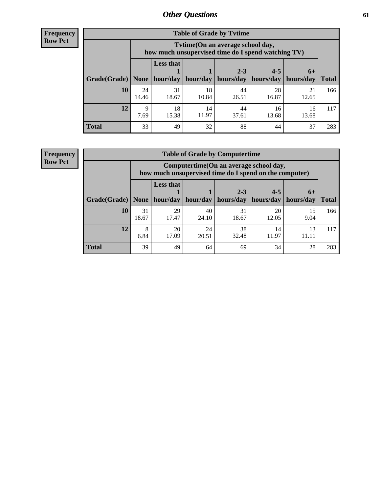**Frequency Row Pct**

| <b>Table of Grade by Tvtime</b> |             |                                                                                         |                     |             |                       |             |              |  |  |  |
|---------------------------------|-------------|-----------------------------------------------------------------------------------------|---------------------|-------------|-----------------------|-------------|--------------|--|--|--|
|                                 |             | Tytime (On an average school day,<br>how much unsupervised time do I spend watching TV) |                     |             |                       |             |              |  |  |  |
|                                 |             | <b>Less that</b><br>$2 - 3$<br>$4 - 5$<br>$6+$                                          |                     |             |                       |             |              |  |  |  |
| Grade(Grade)   None             |             |                                                                                         | hour/day   hour/day | hours/day   | hours/day   hours/day |             | <b>Total</b> |  |  |  |
| 10                              | 24<br>14.46 | 31<br>18.67                                                                             | 18<br>10.84         | 44<br>26.51 | 28<br>16.87           | 21<br>12.65 | 166          |  |  |  |
| 12                              | Q<br>7.69   | 18<br>15.38                                                                             | 14<br>11.97         | 44<br>37.61 | 16<br>13.68           | 16<br>13.68 | 117          |  |  |  |
| <b>Total</b>                    | 33          | 49                                                                                      | 32                  | 88          | 44                    | 37          | 283          |  |  |  |

**Frequency Row Pct**

| <b>Table of Grade by Computertime</b> |             |                                                                                                                               |             |             |             |            |     |  |  |
|---------------------------------------|-------------|-------------------------------------------------------------------------------------------------------------------------------|-------------|-------------|-------------|------------|-----|--|--|
|                                       |             | Computertime (On an average school day,<br>how much unsupervised time do I spend on the computer)                             |             |             |             |            |     |  |  |
| Grade(Grade)                          | None $ $    | <b>Less that</b><br>$4 - 5$<br>$2 - 3$<br>$6+$<br>hours/day<br>hours/day<br>hour/day<br>hour/day<br>hours/day<br><b>Total</b> |             |             |             |            |     |  |  |
| 10                                    | 31<br>18.67 | 29<br>17.47                                                                                                                   | 40<br>24.10 | 31<br>18.67 | 20<br>12.05 | 15<br>9.04 | 166 |  |  |
| 12                                    | 8<br>6.84   | 38<br>20<br>24<br>14<br>13<br>32.48<br>17.09<br>11.97<br>20.51<br>11.11                                                       |             |             |             |            |     |  |  |
| <b>Total</b>                          | 39          | 49                                                                                                                            | 64          | 69          | 34          | 28         | 283 |  |  |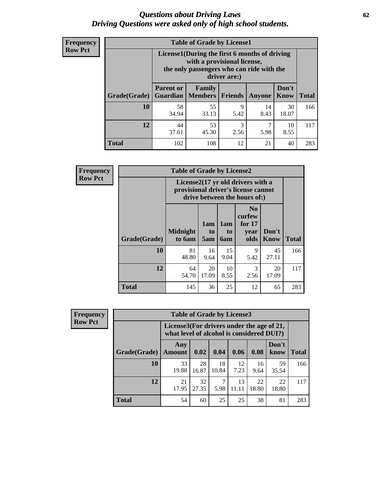#### *Questions about Driving Laws* **62** *Driving Questions were asked only of high school students.*

| <b>Frequency</b> |
|------------------|
| <b>Row Pct</b>   |

| <b>Table of Grade by License1</b> |                                                                    |                                                                                                                                           |                |            |               |              |  |  |  |
|-----------------------------------|--------------------------------------------------------------------|-------------------------------------------------------------------------------------------------------------------------------------------|----------------|------------|---------------|--------------|--|--|--|
|                                   |                                                                    | License1(During the first 6 months of driving<br>with a provisional license,<br>the only passengers who can ride with the<br>driver are:) |                |            |               |              |  |  |  |
| Grade(Grade)                      | <b>Parent or</b><br><b>Guardian</b>                                | Family<br><b>Members</b>                                                                                                                  | <b>Friends</b> | Anyone     | Don't<br>Know | <b>Total</b> |  |  |  |
| 10                                | 58<br>34.94                                                        | 55<br>33.13                                                                                                                               | 9<br>5.42      | 14<br>8.43 | 30<br>18.07   | 166          |  |  |  |
| 12                                | 3<br>44<br>53<br>7<br>10<br>45.30<br>8.55<br>37.61<br>2.56<br>5.98 |                                                                                                                                           |                |            |               |              |  |  |  |
| <b>Total</b>                      | 102                                                                | 108                                                                                                                                       | 12             | 21         | 40            | 283          |  |  |  |

| Frequency      |              | <b>Table of Grade by License2</b>                                                                        |                  |                  |                                                      |                      |              |  |  |  |
|----------------|--------------|----------------------------------------------------------------------------------------------------------|------------------|------------------|------------------------------------------------------|----------------------|--------------|--|--|--|
| <b>Row Pct</b> |              | License2(17 yr old drivers with a<br>provisional driver's license cannot<br>drive between the hours of:) |                  |                  |                                                      |                      |              |  |  |  |
|                | Grade(Grade) | <b>Midnight</b><br>to 6am                                                                                | 1am<br>to<br>5am | 1am<br>to<br>6am | N <sub>0</sub><br>curfew<br>for $17$<br>year<br>olds | Don't<br><b>Know</b> | <b>Total</b> |  |  |  |
|                | 10           | 81<br>48.80                                                                                              | 16<br>9.64       | 15<br>9.04       | 9<br>5.42                                            | 45<br>27.11          | 166          |  |  |  |
|                | 12           | 64<br>54.70                                                                                              | 20<br>17.09      | 10<br>8.55       | 3<br>2.56                                            | 20<br>17.09          | 117          |  |  |  |
|                | <b>Total</b> | 145                                                                                                      | 36               | 25               | 12                                                   | 65                   | 283          |  |  |  |

| <b>Frequency</b> | <b>Table of Grade by License3</b> |                                                                                        |             |             |             |             |               |              |
|------------------|-----------------------------------|----------------------------------------------------------------------------------------|-------------|-------------|-------------|-------------|---------------|--------------|
| <b>Row Pct</b>   |                                   | License3(For drivers under the age of 21,<br>what level of alcohol is considered DUI?) |             |             |             |             |               |              |
|                  | Grade(Grade)                      | Any<br><b>Amount</b>                                                                   | 0.02        | 0.04        | 0.06        | 0.08        | Don't<br>know | <b>Total</b> |
|                  | 10                                | 33<br>19.88                                                                            | 28<br>16.87 | 18<br>10.84 | 12<br>7.23  | 16<br>9.64  | 59<br>35.54   | 166          |
|                  | 12                                | 21<br>17.95                                                                            | 32<br>27.35 | 7<br>5.98   | 13<br>11.11 | 22<br>18.80 | 22<br>18.80   | 117          |
|                  | Total                             | 54                                                                                     | 60          | 25          | 25          | 38          | 81            | 283          |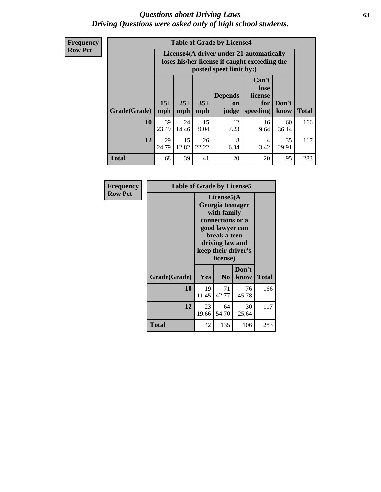#### *Questions about Driving Laws* **63** *Driving Questions were asked only of high school students.*

**Frequency Row Pct**

| <b>Table of Grade by License4</b> |              |                                                                                                                                                      |            |            |            |             |     |  |  |
|-----------------------------------|--------------|------------------------------------------------------------------------------------------------------------------------------------------------------|------------|------------|------------|-------------|-----|--|--|
|                                   |              | License4(A driver under 21 automatically<br>loses his/her license if caught exceeding the<br>posted speet limit by:)                                 |            |            |            |             |     |  |  |
| Grade(Grade)                      | $15+$<br>mph | Can't<br>lose<br><b>Depends</b><br>license<br>$25+$<br>$35+$<br>Don't<br>for<br><b>on</b><br><b>Total</b><br>mph<br>speeding<br>know<br>mph<br>judge |            |            |            |             |     |  |  |
| 10                                | 39<br>23.49  | 24<br>14.46                                                                                                                                          | 15<br>9.04 | 12<br>7.23 | 16<br>9.64 | 60<br>36.14 | 166 |  |  |
| 12                                | 29<br>24.79  | 15<br>8<br>26<br>35<br>4<br>12.82<br>22.22<br>6.84<br>3.42<br>29.91                                                                                  |            |            |            |             |     |  |  |
| <b>Total</b>                      | 68           | 39                                                                                                                                                   | 41         | 20         | 20         | 95          | 283 |  |  |

| Frequency      | <b>Table of Grade by License5</b> |                                                                                                                                                             |                |               |       |
|----------------|-----------------------------------|-------------------------------------------------------------------------------------------------------------------------------------------------------------|----------------|---------------|-------|
| <b>Row Pct</b> |                                   | License5(A)<br>Georgia teenager<br>with family<br>connections or a<br>good lawyer can<br>break a teen<br>driving law and<br>keep their driver's<br>license) |                |               |       |
|                | Grade(Grade)                      | Yes                                                                                                                                                         | N <sub>0</sub> | Don't<br>know | Total |
|                | 10                                | 19<br>11.45                                                                                                                                                 | 71<br>42.77    | 76<br>45.78   | 166   |
|                | 12                                | 23<br>19.66                                                                                                                                                 | 64<br>54.70    | 30<br>25.64   | 117   |
|                | <b>Total</b>                      | 42                                                                                                                                                          | 135            | 106           | 283   |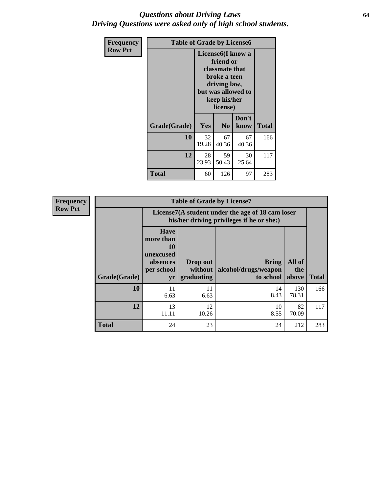#### *Questions about Driving Laws* **64** *Driving Questions were asked only of high school students.*

| <b>Frequency</b> | <b>Table of Grade by License6</b> |                                |                                                                                                               |               |              |  |  |
|------------------|-----------------------------------|--------------------------------|---------------------------------------------------------------------------------------------------------------|---------------|--------------|--|--|
| <b>Row Pct</b>   |                                   | License <sub>6</sub> (I know a | friend or<br>classmate that<br>broke a teen<br>driving law,<br>but was allowed to<br>keep his/her<br>license) |               |              |  |  |
|                  | Grade(Grade)                      | <b>Yes</b>                     | N <sub>0</sub>                                                                                                | Don't<br>know | <b>Total</b> |  |  |
|                  | 10                                | 32<br>19.28                    | 67<br>40.36                                                                                                   | 67<br>40.36   | 166          |  |  |
|                  | 12                                | 28<br>23.93                    | 59<br>50.43                                                                                                   | 30<br>25.64   | 117          |  |  |
|                  | <b>Total</b>                      | 60                             | 126                                                                                                           | 97            | 283          |  |  |

| Frequency      | <b>Table of Grade by License7</b> |                                                                             |                                                                                               |                                                   |                        |              |  |  |
|----------------|-----------------------------------|-----------------------------------------------------------------------------|-----------------------------------------------------------------------------------------------|---------------------------------------------------|------------------------|--------------|--|--|
| <b>Row Pct</b> |                                   |                                                                             | License7(A student under the age of 18 cam loser<br>his/her driving privileges if he or she:) |                                                   |                        |              |  |  |
|                | Grade(Grade)                      | <b>Have</b><br>more than<br>10<br>unexcused<br>absences<br>per school<br>yr | Drop out<br>without  <br>graduating                                                           | <b>Bring</b><br>alcohol/drugs/weapon<br>to school | All of<br>the<br>above | <b>Total</b> |  |  |
|                | 10                                | 11<br>6.63                                                                  | 11<br>6.63                                                                                    | 14<br>8.43                                        | 130<br>78.31           | 166          |  |  |
|                | 12                                | 13<br>11.11                                                                 | 12<br>10.26                                                                                   | 10<br>8.55                                        | 82<br>70.09            | 117          |  |  |
|                | <b>Total</b>                      | 24                                                                          | 23                                                                                            | 24                                                | 212                    | 283          |  |  |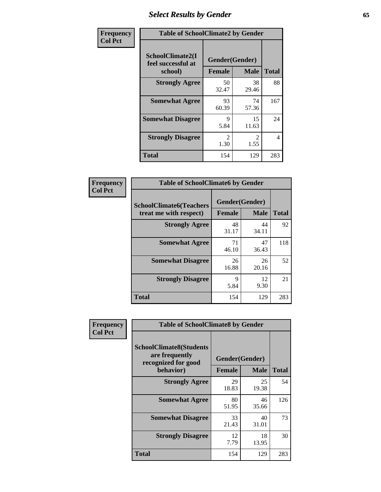# *Select Results by Gender* **65**

| Frequency      | <b>Table of SchoolClimate2 by Gender</b>          |                                 |                       |              |  |
|----------------|---------------------------------------------------|---------------------------------|-----------------------|--------------|--|
| <b>Col Pct</b> | SchoolClimate2(I<br>feel successful at<br>school) | Gender(Gender)<br><b>Female</b> | <b>Male</b>           | <b>Total</b> |  |
|                | <b>Strongly Agree</b>                             | 50<br>32.47                     | 38<br>29.46           | 88           |  |
|                | <b>Somewhat Agree</b>                             | 93<br>60.39                     | 74<br>57.36           | 167          |  |
|                | <b>Somewhat Disagree</b>                          | 9<br>5.84                       | 15<br>11.63           | 24           |  |
|                | <b>Strongly Disagree</b>                          | $\mathcal{L}$<br>1.30           | $\mathcal{L}$<br>1.55 | 4            |  |
|                | <b>Total</b>                                      | 154                             | 129                   | 283          |  |

| <b>Frequency</b> | <b>Table of SchoolClimate6 by Gender</b>                 |                                 |             |              |  |
|------------------|----------------------------------------------------------|---------------------------------|-------------|--------------|--|
| <b>Col Pct</b>   | <b>SchoolClimate6(Teachers</b><br>treat me with respect) | Gender(Gender)<br><b>Female</b> | <b>Male</b> | <b>Total</b> |  |
|                  | <b>Strongly Agree</b>                                    | 48<br>31.17                     | 44<br>34.11 | 92           |  |
|                  | <b>Somewhat Agree</b>                                    | 71<br>46.10                     | 47<br>36.43 | 118          |  |
|                  | <b>Somewhat Disagree</b>                                 | 26<br>16.88                     | 26<br>20.16 | 52           |  |
|                  | <b>Strongly Disagree</b>                                 | 9<br>5.84                       | 12<br>9.30  | 21           |  |
|                  | <b>Total</b>                                             | 154                             | 129         | 283          |  |

| <b>Frequency</b> | <b>Table of SchoolClimate8 by Gender</b>                                             |               |                               |              |  |
|------------------|--------------------------------------------------------------------------------------|---------------|-------------------------------|--------------|--|
| <b>Col Pct</b>   | <b>SchoolClimate8(Students</b><br>are frequently<br>recognized for good<br>behavior) | <b>Female</b> | Gender(Gender)<br><b>Male</b> | <b>Total</b> |  |
|                  | <b>Strongly Agree</b>                                                                | 29<br>18.83   | 25<br>19.38                   | 54           |  |
|                  | <b>Somewhat Agree</b>                                                                | 80<br>51.95   | 46<br>35.66                   | 126          |  |
|                  | <b>Somewhat Disagree</b>                                                             | 33<br>21.43   | 40<br>31.01                   | 73           |  |
|                  | <b>Strongly Disagree</b>                                                             | 12<br>7.79    | 18<br>13.95                   | 30           |  |
|                  | Total                                                                                | 154           | 129                           | 283          |  |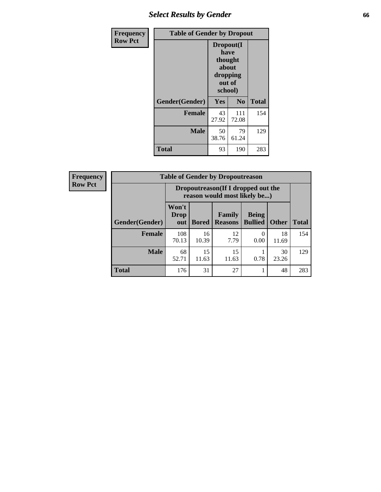# *Select Results by Gender* **66**

| <b>Frequency</b> | <b>Table of Gender by Dropout</b> |                                                                        |              |              |
|------------------|-----------------------------------|------------------------------------------------------------------------|--------------|--------------|
| <b>Row Pct</b>   |                                   | Dropout(I<br>have<br>thought<br>about<br>dropping<br>out of<br>school) |              |              |
|                  | Gender(Gender)                    | Yes                                                                    | No           | <b>Total</b> |
|                  | <b>Female</b>                     | 43<br>27.92                                                            | 111<br>72.08 | 154          |
|                  | <b>Male</b>                       | 50<br>38.76                                                            | 79<br>61.24  | 129          |
|                  | <b>Total</b>                      | 93                                                                     | 190          | 283          |

| <b>Frequency</b> |                | <b>Table of Gender by Dropoutreason</b>                            |              |                          |                                |              |              |
|------------------|----------------|--------------------------------------------------------------------|--------------|--------------------------|--------------------------------|--------------|--------------|
| <b>Row Pct</b>   |                | Dropoutreason(If I dropped out the<br>reason would most likely be) |              |                          |                                |              |              |
|                  | Gender(Gender) | Won't<br><b>Drop</b><br>out                                        | <b>Bored</b> | Family<br><b>Reasons</b> | <b>Being</b><br><b>Bullied</b> | <b>Other</b> | <b>Total</b> |
|                  | Female         | 108<br>70.13                                                       | 16<br>10.39  | 12<br>7.79               | 0.00                           | 18<br>11.69  | 154          |
|                  | <b>Male</b>    | 68<br>52.71                                                        | 15<br>11.63  | 15<br>11.63              | 0.78                           | 30<br>23.26  | 129          |
|                  | <b>Total</b>   | 176                                                                | 31           | 27                       |                                | 48           | 283          |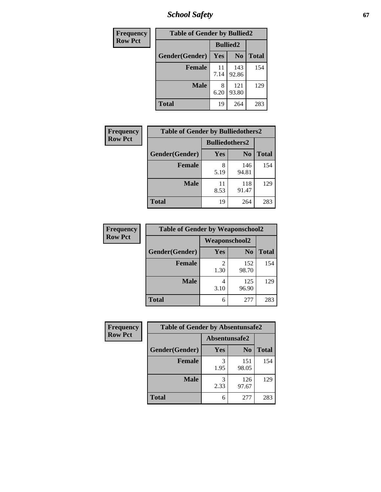*School Safety* **67**

| Frequency      | <b>Table of Gender by Bullied2</b> |                 |                |              |
|----------------|------------------------------------|-----------------|----------------|--------------|
| <b>Row Pct</b> |                                    | <b>Bullied2</b> |                |              |
|                | Gender(Gender)                     | Yes             | N <sub>0</sub> | <b>Total</b> |
|                | <b>Female</b>                      | 11<br>7.14      | 143<br>92.86   | 154          |
|                | <b>Male</b>                        | 8<br>6.20       | 121<br>93.80   | 129          |
|                | <b>Total</b>                       | 19              | 264            | 283          |

| <b>Frequency</b> | <b>Table of Gender by Bulliedothers2</b> |                       |                |       |
|------------------|------------------------------------------|-----------------------|----------------|-------|
| <b>Row Pct</b>   |                                          | <b>Bulliedothers2</b> |                |       |
|                  | Gender(Gender)                           | <b>Yes</b>            | N <sub>0</sub> | Total |
|                  | <b>Female</b>                            | 8<br>5.19             | 146<br>94.81   | 154   |
|                  | <b>Male</b>                              | 11<br>8.53            | 118<br>91.47   | 129   |
|                  | <b>Total</b>                             | 19                    | 264            | 283   |

| Frequency      | <b>Table of Gender by Weaponschool2</b> |               |                |              |
|----------------|-----------------------------------------|---------------|----------------|--------------|
| <b>Row Pct</b> |                                         | Weaponschool2 |                |              |
|                | Gender(Gender)                          | Yes           | N <sub>0</sub> | <b>Total</b> |
|                | <b>Female</b>                           | 1.30          | 152<br>98.70   | 154          |
|                | <b>Male</b>                             | 3.10          | 125<br>96.90   | 129          |
|                | <b>Total</b>                            | 6             | 277            | 283          |

| <b>Frequency</b> | <b>Table of Gender by Absentunsafe2</b> |               |                |              |
|------------------|-----------------------------------------|---------------|----------------|--------------|
| <b>Row Pct</b>   |                                         | Absentunsafe2 |                |              |
|                  | Gender(Gender)                          | Yes           | N <sub>0</sub> | <b>Total</b> |
|                  | <b>Female</b>                           | 1.95          | 151<br>98.05   | 154          |
|                  | <b>Male</b>                             | 2.33          | 126<br>97.67   | 129          |
|                  | <b>Total</b>                            | 6             | 277            | 283          |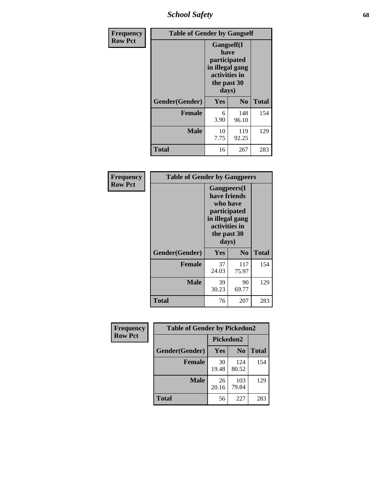*School Safety* **68**

| Frequency      |                                                                                                | <b>Table of Gender by Gangself</b> |                |              |
|----------------|------------------------------------------------------------------------------------------------|------------------------------------|----------------|--------------|
| <b>Row Pct</b> | Gangself(I<br>have<br>participated<br>in illegal gang<br>activities in<br>the past 30<br>days) |                                    |                |              |
|                | Gender(Gender)                                                                                 | Yes                                | N <sub>0</sub> | <b>Total</b> |
|                | <b>Female</b>                                                                                  | 6<br>3.90                          | 148<br>96.10   | 154          |
|                | <b>Male</b>                                                                                    | 10<br>7.75                         | 119<br>92.25   | 129          |
|                | <b>Total</b>                                                                                   | 16                                 | 267            | 283          |

| Frequency      |                | <b>Table of Gender by Gangpeers</b>                                                                                         |                |              |
|----------------|----------------|-----------------------------------------------------------------------------------------------------------------------------|----------------|--------------|
| <b>Row Pct</b> |                | <b>Gangpeers</b> (I<br>have friends<br>who have<br>participated<br>in illegal gang<br>activities in<br>the past 30<br>days) |                |              |
|                | Gender(Gender) | <b>Yes</b>                                                                                                                  | N <sub>0</sub> | <b>Total</b> |
|                | <b>Female</b>  | 37<br>24.03                                                                                                                 | 117<br>75.97   | 154          |
|                | <b>Male</b>    | 39<br>30.23                                                                                                                 | 90<br>69.77    | 129          |
|                | Total          | 76                                                                                                                          | 207            | 283          |

| Frequency      | <b>Table of Gender by Pickedon2</b> |             |                |              |
|----------------|-------------------------------------|-------------|----------------|--------------|
| <b>Row Pct</b> |                                     | Pickedon2   |                |              |
|                | Gender(Gender)                      | Yes         | N <sub>0</sub> | <b>Total</b> |
|                | <b>Female</b>                       | 30<br>19.48 | 124<br>80.52   | 154          |
|                | <b>Male</b>                         | 26<br>20.16 | 103<br>79.84   | 129          |
|                | <b>Total</b>                        | 56          | 227            | 283          |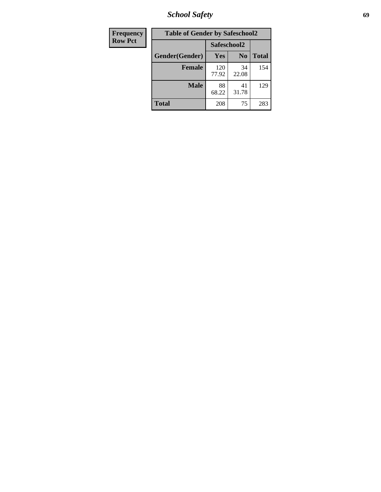*School Safety* **69**

| Frequency      | <b>Table of Gender by Safeschool2</b> |              |                |              |  |  |
|----------------|---------------------------------------|--------------|----------------|--------------|--|--|
| <b>Row Pct</b> |                                       | Safeschool2  |                |              |  |  |
|                | Gender(Gender)                        | Yes          | N <sub>0</sub> | <b>Total</b> |  |  |
|                | <b>Female</b>                         | 120<br>77.92 | 34<br>22.08    | 154          |  |  |
|                | <b>Male</b>                           | 88<br>68.22  | 41<br>31.78    | 129          |  |  |
|                | <b>Total</b>                          | 208          | 75             | 283          |  |  |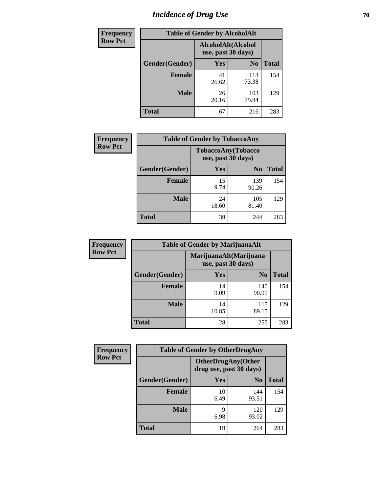# *Incidence of Drug Use* **70**

| <b>Frequency</b> | <b>Table of Gender by AlcoholAlt</b>     |             |                |              |  |
|------------------|------------------------------------------|-------------|----------------|--------------|--|
| <b>Row Pct</b>   | AlcoholAlt(Alcohol<br>use, past 30 days) |             |                |              |  |
|                  | Gender(Gender)                           | <b>Yes</b>  | N <sub>0</sub> | <b>Total</b> |  |
|                  | <b>Female</b>                            | 41<br>26.62 | 113<br>73.38   | 154          |  |
|                  | <b>Male</b>                              | 26<br>20.16 | 103<br>79.84   | 129          |  |
|                  | <b>Total</b>                             | 67          | 216            | 283          |  |

| Frequency      | <b>Table of Gender by TobaccoAny</b> |                    |                    |              |  |
|----------------|--------------------------------------|--------------------|--------------------|--------------|--|
| <b>Row Pct</b> |                                      | use, past 30 days) | TobaccoAny(Tobacco |              |  |
|                | Gender(Gender)                       | Yes                | N <sub>0</sub>     | <b>Total</b> |  |
|                | <b>Female</b>                        | 15<br>9.74         | 139<br>90.26       | 154          |  |
|                | <b>Male</b>                          | 24<br>18.60        | 105<br>81.40       | 129          |  |
|                | Total                                | 39                 | 244                | 283          |  |

| <b>Frequency</b> | <b>Table of Gender by MarijuanaAlt</b> |             |                                              |              |  |
|------------------|----------------------------------------|-------------|----------------------------------------------|--------------|--|
| <b>Row Pct</b>   |                                        |             | MarijuanaAlt(Marijuana<br>use, past 30 days) |              |  |
|                  | Gender(Gender)                         | <b>Yes</b>  | N <sub>0</sub>                               | <b>Total</b> |  |
|                  | <b>Female</b>                          | 14<br>9.09  | 140<br>90.91                                 | 154          |  |
|                  | <b>Male</b>                            | 14<br>10.85 | 115<br>89.15                                 | 129          |  |
|                  | <b>Total</b>                           | 28          | 255                                          | 283          |  |

| <b>Frequency</b> | <b>Table of Gender by OtherDrugAny</b> |                         |                            |              |  |
|------------------|----------------------------------------|-------------------------|----------------------------|--------------|--|
| <b>Row Pct</b>   |                                        | drug use, past 30 days) | <b>OtherDrugAny</b> (Other |              |  |
|                  | Gender(Gender)                         | <b>Yes</b>              | N <sub>0</sub>             | <b>Total</b> |  |
|                  | <b>Female</b>                          | 10<br>6.49              | 144<br>93.51               | 154          |  |
|                  | <b>Male</b>                            | 9<br>6.98               | 120<br>93.02               | 129          |  |
|                  | <b>Total</b>                           | 19                      | 264                        | 283          |  |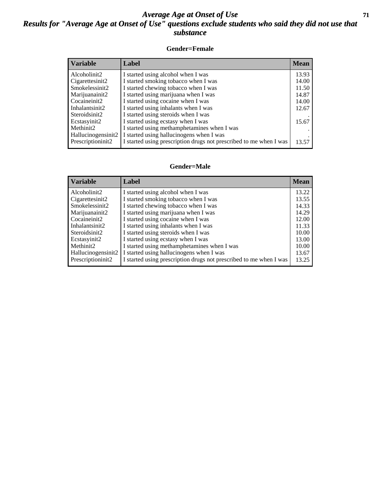#### *Average Age at Onset of Use* **71** *Results for "Average Age at Onset of Use" questions exclude students who said they did not use that substance*

#### **Gender=Female**

| <b>Variable</b>    | <b>Label</b>                                                       | <b>Mean</b> |
|--------------------|--------------------------------------------------------------------|-------------|
| Alcoholinit2       | I started using alcohol when I was                                 | 13.93       |
| Cigarettesinit2    | I started smoking tobacco when I was                               | 14.00       |
| Smokelessinit2     | I started chewing tobacco when I was                               | 11.50       |
| Marijuanainit2     | I started using marijuana when I was                               | 14.87       |
| Cocaineinit2       | I started using cocaine when I was                                 | 14.00       |
| Inhalantsinit2     | I started using inhalants when I was                               | 12.67       |
| Steroidsinit2      | I started using steroids when I was                                |             |
| Ecstasyinit2       | I started using ecstasy when I was                                 | 15.67       |
| Methinit2          | I started using methamphetamines when I was                        |             |
| Hallucinogensinit2 | I started using hallucinogens when I was                           |             |
| Prescription in t2 | I started using prescription drugs not prescribed to me when I was | 13.57       |

#### **Gender=Male**

| <b>Variable</b>                 | Label                                                              | <b>Mean</b> |
|---------------------------------|--------------------------------------------------------------------|-------------|
| Alcoholinit2                    | I started using alcohol when I was                                 | 13.22       |
| Cigarettesinit2                 | I started smoking tobacco when I was                               | 13.55       |
| Smokelessinit2                  | I started chewing tobacco when I was                               | 14.33       |
| Marijuanainit2                  | I started using marijuana when I was                               | 14.29       |
| Cocaineinit2                    | I started using cocaine when I was                                 | 12.00       |
| Inhalantsinit2                  | I started using inhalants when I was                               | 11.33       |
| Steroidsinit2                   | I started using steroids when I was                                | 10.00       |
| Ecstasyinit2                    | I started using ecstasy when I was                                 | 13.00       |
| Methinit2                       | I started using methamphetamines when I was                        | 10.00       |
| Hallucinogensinit2              | I started using hallucinogens when I was                           | 13.67       |
| Prescription in it <sub>2</sub> | I started using prescription drugs not prescribed to me when I was | 13.25       |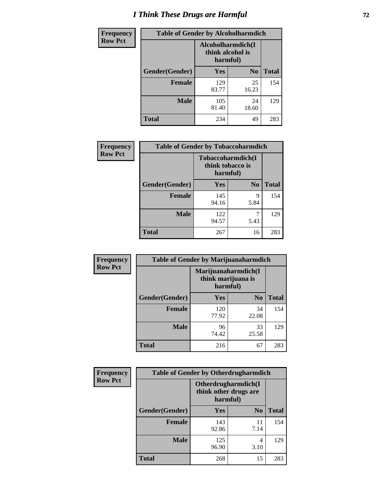# *I Think These Drugs are Harmful* **72**

| <b>Frequency</b> | <b>Table of Gender by Alcoholharmdich</b> |                                                   |                |              |  |
|------------------|-------------------------------------------|---------------------------------------------------|----------------|--------------|--|
| <b>Row Pct</b>   |                                           | Alcoholharmdich(I<br>think alcohol is<br>harmful) |                |              |  |
|                  | Gender(Gender)                            | Yes                                               | N <sub>0</sub> | <b>Total</b> |  |
|                  | <b>Female</b>                             | 129<br>83.77                                      | 25<br>16.23    | 154          |  |
|                  | <b>Male</b>                               | 105<br>81.40                                      | 24<br>18.60    | 129          |  |
|                  | <b>Total</b>                              | 234                                               | 49             | 283          |  |

| Frequency      | <b>Table of Gender by Tobaccoharmdich</b> |                                       |                |              |  |
|----------------|-------------------------------------------|---------------------------------------|----------------|--------------|--|
| <b>Row Pct</b> |                                           | Tobaccoharmdich(I<br>think tobacco is | harmful)       |              |  |
|                | Gender(Gender)                            | Yes                                   | N <sub>0</sub> | <b>Total</b> |  |
|                | <b>Female</b>                             | 145<br>94.16                          | 9<br>5.84      | 154          |  |
|                | <b>Male</b>                               | 122<br>94.57                          | 5.43           | 129          |  |
|                | <b>Total</b>                              | 267                                   | 16             | 283          |  |

| Frequency      | <b>Table of Gender by Marijuanaharmdich</b> |                                                       |                |              |  |
|----------------|---------------------------------------------|-------------------------------------------------------|----------------|--------------|--|
| <b>Row Pct</b> |                                             | Marijuanaharmdich(I<br>think marijuana is<br>harmful) |                |              |  |
|                | Gender(Gender)                              | <b>Yes</b>                                            | N <sub>0</sub> | <b>Total</b> |  |
|                | <b>Female</b>                               | 120<br>77.92                                          | 34<br>22.08    | 154          |  |
|                | <b>Male</b>                                 | 96<br>74.42                                           | 33<br>25.58    | 129          |  |
|                | <b>Total</b>                                | 216                                                   | 67             | 283          |  |

| Frequency      | <b>Table of Gender by Otherdrugharmdich</b> |                                                          |                |              |  |
|----------------|---------------------------------------------|----------------------------------------------------------|----------------|--------------|--|
| <b>Row Pct</b> |                                             | Otherdrugharmdich(I<br>think other drugs are<br>harmful) |                |              |  |
|                | Gender(Gender)                              | <b>Yes</b>                                               | N <sub>0</sub> | <b>Total</b> |  |
|                | <b>Female</b>                               | 143<br>92.86                                             | 11<br>7.14     | 154          |  |
|                | <b>Male</b>                                 | 125<br>96.90                                             | 4<br>3.10      | 129          |  |
|                | <b>Total</b>                                | 268                                                      | 15             | 283          |  |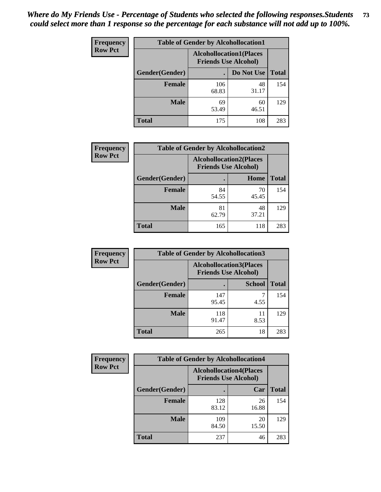| <b>Frequency</b> | <b>Table of Gender by Alcohollocation1</b> |                                                               |             |              |
|------------------|--------------------------------------------|---------------------------------------------------------------|-------------|--------------|
| <b>Row Pct</b>   |                                            | <b>Alcohollocation1(Places</b><br><b>Friends Use Alcohol)</b> |             |              |
|                  | Gender(Gender)                             |                                                               | Do Not Use  | <b>Total</b> |
|                  | <b>Female</b>                              | 106<br>68.83                                                  | 48<br>31.17 | 154          |
|                  | <b>Male</b>                                | 69<br>53.49                                                   | 60<br>46.51 | 129          |
|                  | <b>Total</b>                               | 175                                                           | 108         | 283          |

| <b>Frequency</b> | <b>Table of Gender by Alcohollocation2</b> |                                                               |             |              |
|------------------|--------------------------------------------|---------------------------------------------------------------|-------------|--------------|
| <b>Row Pct</b>   |                                            | <b>Alcohollocation2(Places</b><br><b>Friends Use Alcohol)</b> |             |              |
|                  | Gender(Gender)                             |                                                               | Home        | <b>Total</b> |
|                  | <b>Female</b>                              | 84<br>54.55                                                   | 70<br>45.45 | 154          |
|                  | <b>Male</b>                                | 81<br>62.79                                                   | 48<br>37.21 | 129          |
|                  | <b>Total</b>                               | 165                                                           | 118         | 283          |

| Frequency      | <b>Table of Gender by Alcohollocation3</b> |                                                               |               |              |
|----------------|--------------------------------------------|---------------------------------------------------------------|---------------|--------------|
| <b>Row Pct</b> |                                            | <b>Alcohollocation3(Places</b><br><b>Friends Use Alcohol)</b> |               |              |
|                | Gender(Gender)                             |                                                               | <b>School</b> | <b>Total</b> |
|                | <b>Female</b>                              | 147<br>95.45                                                  | 4.55          | 154          |
|                | <b>Male</b>                                | 118<br>91.47                                                  | 11<br>8.53    | 129          |
|                | <b>Total</b>                               | 265                                                           | 18            | 283          |

| Frequency      | <b>Table of Gender by Alcohollocation4</b> |                                                               |             |              |
|----------------|--------------------------------------------|---------------------------------------------------------------|-------------|--------------|
| <b>Row Pct</b> |                                            | <b>Alcohollocation4(Places</b><br><b>Friends Use Alcohol)</b> |             |              |
|                | Gender(Gender)                             |                                                               | Car         | <b>Total</b> |
|                | Female                                     | 128<br>83.12                                                  | 26<br>16.88 | 154          |
|                | <b>Male</b>                                | 109<br>84.50                                                  | 20<br>15.50 | 129          |
|                | <b>Total</b>                               | 237                                                           | 46          | 283          |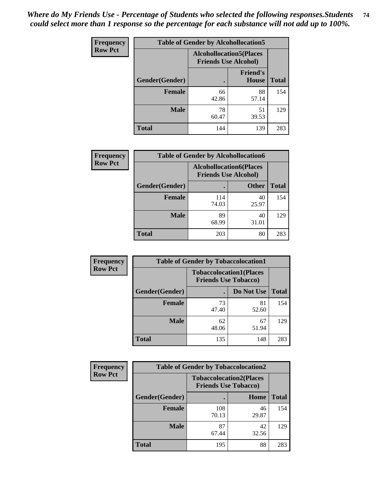| <b>Frequency</b> | <b>Table of Gender by Alcohollocation5</b> |                                                                |                                 |              |
|------------------|--------------------------------------------|----------------------------------------------------------------|---------------------------------|--------------|
| <b>Row Pct</b>   |                                            | <b>Alcohollocation5</b> (Places<br><b>Friends Use Alcohol)</b> |                                 |              |
|                  | Gender(Gender)                             | $\bullet$                                                      | <b>Friend's</b><br><b>House</b> | <b>Total</b> |
|                  | <b>Female</b>                              | 66<br>42.86                                                    | 88<br>57.14                     | 154          |
|                  | <b>Male</b>                                | 78<br>60.47                                                    | 51<br>39.53                     | 129          |
|                  | <b>Total</b>                               | 144                                                            | 139                             | 283          |

| Frequency      | <b>Table of Gender by Alcohollocation6</b> |                                                               |              |              |  |
|----------------|--------------------------------------------|---------------------------------------------------------------|--------------|--------------|--|
| <b>Row Pct</b> |                                            | <b>Alcohollocation6(Places</b><br><b>Friends Use Alcohol)</b> |              |              |  |
|                | <b>Gender</b> (Gender)                     |                                                               | <b>Other</b> | <b>Total</b> |  |
|                | Female                                     | 114<br>74.03                                                  | 40<br>25.97  | 154          |  |
|                | <b>Male</b>                                | 89<br>68.99                                                   | 40<br>31.01  | 129          |  |
|                | <b>Total</b>                               | 203                                                           | 80           | 283          |  |

| Frequency      | <b>Table of Gender by Tobaccolocation1</b> |                                                               |             |              |  |
|----------------|--------------------------------------------|---------------------------------------------------------------|-------------|--------------|--|
| <b>Row Pct</b> |                                            | <b>Tobaccolocation1(Places</b><br><b>Friends Use Tobacco)</b> |             |              |  |
|                | Gender(Gender)                             |                                                               | Do Not Use  | <b>Total</b> |  |
|                | Female                                     | 73<br>47.40                                                   | 81<br>52.60 | 154          |  |
|                | <b>Male</b>                                | 62<br>48.06                                                   | 67<br>51.94 | 129          |  |
|                | <b>Total</b>                               | 135                                                           | 148         | 283          |  |

| <b>Frequency</b> |                | <b>Table of Gender by Tobaccolocation2</b>                    |             |              |
|------------------|----------------|---------------------------------------------------------------|-------------|--------------|
| <b>Row Pct</b>   |                | <b>Tobaccolocation2(Places</b><br><b>Friends Use Tobacco)</b> |             |              |
|                  | Gender(Gender) |                                                               | Home        | <b>Total</b> |
|                  | Female         | 108<br>70.13                                                  | 46<br>29.87 | 154          |
|                  | <b>Male</b>    | 87<br>67.44                                                   | 42<br>32.56 | 129          |
|                  | <b>Total</b>   | 195                                                           | 88          | 283          |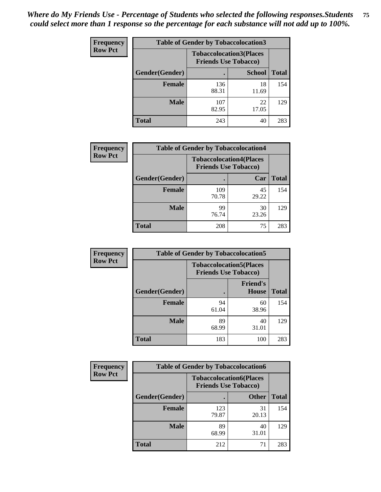| <b>Frequency</b> | <b>Table of Gender by Tobaccolocation3</b> |              |                                                               |              |
|------------------|--------------------------------------------|--------------|---------------------------------------------------------------|--------------|
| <b>Row Pct</b>   |                                            |              | <b>Tobaccolocation3(Places</b><br><b>Friends Use Tobacco)</b> |              |
|                  | Gender(Gender)                             |              | <b>School</b>                                                 | <b>Total</b> |
|                  | <b>Female</b>                              | 136<br>88.31 | 18<br>11.69                                                   | 154          |
|                  | <b>Male</b>                                | 107<br>82.95 | 22<br>17.05                                                   | 129          |
|                  | Total                                      | 243          | 40                                                            | 283          |

| <b>Frequency</b> | <b>Table of Gender by Tobaccolocation4</b> |                                                               |             |              |
|------------------|--------------------------------------------|---------------------------------------------------------------|-------------|--------------|
| <b>Row Pct</b>   |                                            | <b>Tobaccolocation4(Places</b><br><b>Friends Use Tobacco)</b> |             |              |
|                  | Gender(Gender)                             |                                                               | Car         | <b>Total</b> |
|                  | Female                                     | 109<br>70.78                                                  | 45<br>29.22 | 154          |
|                  | <b>Male</b>                                | 99<br>76.74                                                   | 30<br>23.26 | 129          |
|                  | <b>Total</b>                               | 208                                                           | 75          | 283          |

| <b>Frequency</b> | <b>Table of Gender by Tobaccolocation5</b> |                                                               |                          |              |
|------------------|--------------------------------------------|---------------------------------------------------------------|--------------------------|--------------|
| <b>Row Pct</b>   |                                            | <b>Tobaccolocation5(Places</b><br><b>Friends Use Tobacco)</b> |                          |              |
|                  | <b>Gender(Gender)</b>                      |                                                               | <b>Friend's</b><br>House | <b>Total</b> |
|                  | <b>Female</b>                              | 94<br>61.04                                                   | 60<br>38.96              | 154          |
|                  | <b>Male</b>                                | 89<br>68.99                                                   | 40<br>31.01              | 129          |
|                  | <b>Total</b>                               | 183                                                           | 100                      | 283          |

| <b>Frequency</b> | <b>Table of Gender by Tobaccolocation6</b> |                                                               |              |              |
|------------------|--------------------------------------------|---------------------------------------------------------------|--------------|--------------|
| <b>Row Pct</b>   |                                            | <b>Tobaccolocation6(Places</b><br><b>Friends Use Tobacco)</b> |              |              |
|                  | Gender(Gender)                             |                                                               | <b>Other</b> | <b>Total</b> |
|                  | Female                                     | 123<br>79.87                                                  | 31<br>20.13  | 154          |
|                  | <b>Male</b>                                | 89<br>68.99                                                   | 40<br>31.01  | 129          |
|                  | <b>Total</b>                               | 212                                                           | 71           | 283          |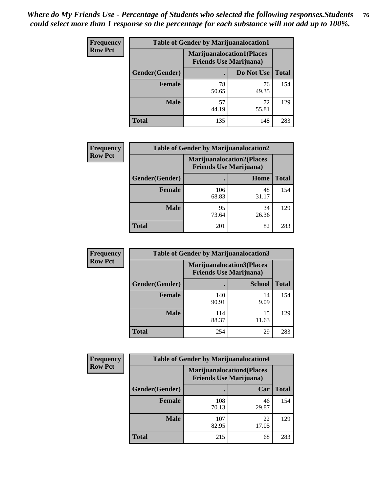| <b>Frequency</b> | <b>Table of Gender by Marijuanalocation1</b> |                                                                    |             |              |
|------------------|----------------------------------------------|--------------------------------------------------------------------|-------------|--------------|
| <b>Row Pct</b>   |                                              | <b>Marijuanalocation1(Places</b><br><b>Friends Use Marijuana</b> ) |             |              |
|                  | Gender(Gender)                               |                                                                    | Do Not Use  | <b>Total</b> |
|                  | <b>Female</b>                                | 78<br>50.65                                                        | 76<br>49.35 | 154          |
|                  | <b>Male</b>                                  | 57<br>44.19                                                        | 72<br>55.81 | 129          |
|                  | Total                                        | 135                                                                | 148         | 283          |

| <b>Frequency</b> | <b>Table of Gender by Marijuanalocation2</b> |                                                                    |             |              |
|------------------|----------------------------------------------|--------------------------------------------------------------------|-------------|--------------|
| <b>Row Pct</b>   |                                              | <b>Marijuanalocation2(Places</b><br><b>Friends Use Marijuana</b> ) |             |              |
|                  | Gender(Gender)                               |                                                                    | Home        | <b>Total</b> |
|                  | Female                                       | 106<br>68.83                                                       | 48<br>31.17 | 154          |
|                  | <b>Male</b>                                  | 95<br>73.64                                                        | 34<br>26.36 | 129          |
|                  | <b>Total</b>                                 | 201                                                                | 82          | 283          |

| <b>Frequency</b> | <b>Table of Gender by Marijuanalocation3</b> |              |                                                                    |              |
|------------------|----------------------------------------------|--------------|--------------------------------------------------------------------|--------------|
| <b>Row Pct</b>   |                                              |              | <b>Marijuanalocation3(Places</b><br><b>Friends Use Marijuana</b> ) |              |
|                  | Gender(Gender)                               |              | <b>School</b>                                                      | <b>Total</b> |
|                  | Female                                       | 140<br>90.91 | 14<br>9.09                                                         | 154          |
|                  | <b>Male</b>                                  | 114<br>88.37 | 15<br>11.63                                                        | 129          |
|                  | <b>Total</b>                                 | 254          | 29                                                                 | 283          |

| <b>Frequency</b> | <b>Table of Gender by Marijuanalocation4</b> |                                                                    |             |              |  |
|------------------|----------------------------------------------|--------------------------------------------------------------------|-------------|--------------|--|
| <b>Row Pct</b>   |                                              | <b>Marijuanalocation4(Places</b><br><b>Friends Use Marijuana</b> ) |             |              |  |
|                  | Gender(Gender)                               |                                                                    | Car         | <b>Total</b> |  |
|                  | <b>Female</b>                                | 108<br>70.13                                                       | 46<br>29.87 | 154          |  |
|                  | <b>Male</b>                                  | 107<br>82.95                                                       | 22<br>17.05 | 129          |  |
|                  | <b>Total</b>                                 | 215                                                                | 68          | 283          |  |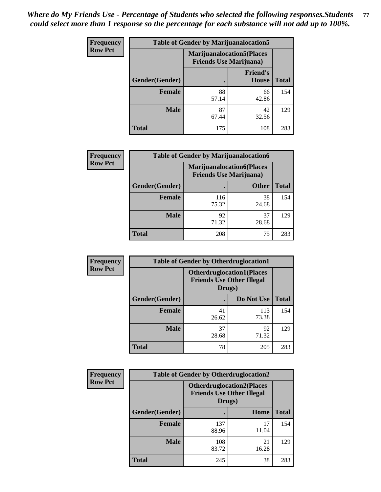| <b>Frequency</b> | <b>Table of Gender by Marijuanalocation5</b> |                                                                     |                          |              |
|------------------|----------------------------------------------|---------------------------------------------------------------------|--------------------------|--------------|
| <b>Row Pct</b>   |                                              | <b>Marijuanalocation5</b> (Places<br><b>Friends Use Marijuana</b> ) |                          |              |
|                  | Gender(Gender)                               |                                                                     | <b>Friend's</b><br>House | <b>Total</b> |
|                  | <b>Female</b>                                | 88<br>57.14                                                         | 66<br>42.86              | 154          |
|                  | <b>Male</b>                                  | 87<br>67.44                                                         | 42<br>32.56              | 129          |
|                  | <b>Total</b>                                 | 175                                                                 | 108                      | 283          |

| <b>Frequency</b> | <b>Table of Gender by Marijuanalocation6</b> |                                |                                  |              |
|------------------|----------------------------------------------|--------------------------------|----------------------------------|--------------|
| <b>Row Pct</b>   |                                              | <b>Friends Use Marijuana</b> ) | <b>Marijuanalocation6(Places</b> |              |
|                  | <b>Gender</b> (Gender)                       |                                | <b>Other</b>                     | <b>Total</b> |
|                  | Female                                       | 116<br>75.32                   | 38<br>24.68                      | 154          |
|                  | <b>Male</b>                                  | 92<br>71.32                    | 37<br>28.68                      | 129          |
|                  | Total                                        | 208                            | 75                               | 283          |

| Frequency      | <b>Table of Gender by Otherdruglocation1</b> |                                                                                |              |              |
|----------------|----------------------------------------------|--------------------------------------------------------------------------------|--------------|--------------|
| <b>Row Pct</b> |                                              | <b>Otherdruglocation1(Places</b><br><b>Friends Use Other Illegal</b><br>Drugs) |              |              |
|                | Gender(Gender)                               |                                                                                | Do Not Use   | <b>Total</b> |
|                | <b>Female</b>                                | 41<br>26.62                                                                    | 113<br>73.38 | 154          |
|                | <b>Male</b>                                  | 37<br>28.68                                                                    | 92<br>71.32  | 129          |
|                | <b>Total</b>                                 | 78                                                                             | 205          | 283          |

| <b>Frequency</b> | <b>Table of Gender by Otherdruglocation2</b> |                                            |                                  |              |
|------------------|----------------------------------------------|--------------------------------------------|----------------------------------|--------------|
| <b>Row Pct</b>   |                                              | <b>Friends Use Other Illegal</b><br>Drugs) | <b>Otherdruglocation2(Places</b> |              |
|                  | Gender(Gender)                               |                                            | Home                             | <b>Total</b> |
|                  | Female                                       | 137<br>88.96                               | 17<br>11.04                      | 154          |
|                  | <b>Male</b>                                  | 108<br>83.72                               | 21<br>16.28                      | 129          |
|                  | <b>Total</b>                                 | 245                                        | 38                               | 283          |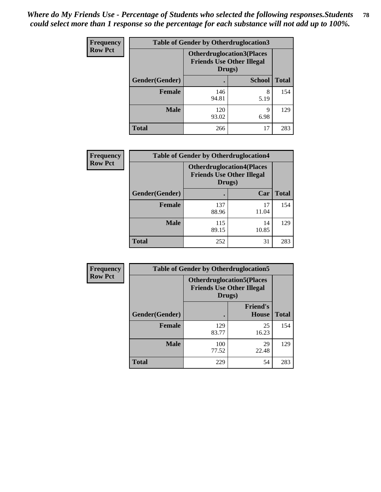| Frequency      | <b>Table of Gender by Otherdruglocation3</b> |                                                                                |               |              |
|----------------|----------------------------------------------|--------------------------------------------------------------------------------|---------------|--------------|
| <b>Row Pct</b> |                                              | <b>Otherdruglocation3(Places</b><br><b>Friends Use Other Illegal</b><br>Drugs) |               |              |
|                | Gender(Gender)                               |                                                                                | <b>School</b> | <b>Total</b> |
|                | Female                                       | 146<br>94.81                                                                   | 8<br>5.19     | 154          |
|                | <b>Male</b>                                  | 120<br>93.02                                                                   | q<br>6.98     | 129          |
|                | <b>Total</b>                                 | 266                                                                            | 17            | 283          |

| Frequency      | <b>Table of Gender by Otherdruglocation4</b> |                                                                                |             |              |
|----------------|----------------------------------------------|--------------------------------------------------------------------------------|-------------|--------------|
| <b>Row Pct</b> |                                              | <b>Otherdruglocation4(Places</b><br><b>Friends Use Other Illegal</b><br>Drugs) |             |              |
|                | Gender(Gender)                               |                                                                                | Car         | <b>Total</b> |
|                | <b>Female</b>                                | 137<br>88.96                                                                   | 17<br>11.04 | 154          |
|                | <b>Male</b>                                  | 115<br>89.15                                                                   | 14<br>10.85 | 129          |
|                | <b>Total</b>                                 | 252                                                                            | 31          | 283          |

| Frequency      | <b>Table of Gender by Otherdruglocation5</b> |                                                                                |                                 |              |
|----------------|----------------------------------------------|--------------------------------------------------------------------------------|---------------------------------|--------------|
| <b>Row Pct</b> |                                              | <b>Otherdruglocation5(Places</b><br><b>Friends Use Other Illegal</b><br>Drugs) |                                 |              |
|                | Gender(Gender)                               |                                                                                | <b>Friend's</b><br><b>House</b> | <b>Total</b> |
|                | <b>Female</b>                                | 129<br>83.77                                                                   | 25<br>16.23                     | 154          |
|                | <b>Male</b>                                  | 100<br>77.52                                                                   | 29<br>22.48                     | 129          |
|                | <b>Total</b>                                 | 229                                                                            | 54                              | 283          |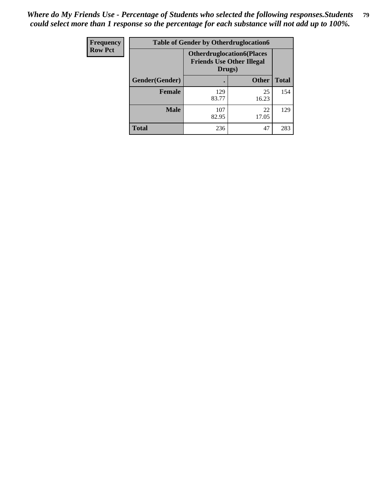| Frequency      | <b>Table of Gender by Otherdruglocation6</b> |                                                                                |              |              |
|----------------|----------------------------------------------|--------------------------------------------------------------------------------|--------------|--------------|
| <b>Row Pct</b> |                                              | <b>Otherdruglocation6(Places</b><br><b>Friends Use Other Illegal</b><br>Drugs) |              |              |
|                | Gender(Gender)                               |                                                                                | <b>Other</b> | <b>Total</b> |
|                | <b>Female</b>                                | 129<br>83.77                                                                   | 25<br>16.23  | 154          |
|                | <b>Male</b>                                  | 107<br>82.95                                                                   | 22<br>17.05  | 129          |
|                | <b>Total</b>                                 | 236                                                                            | 47           | 283          |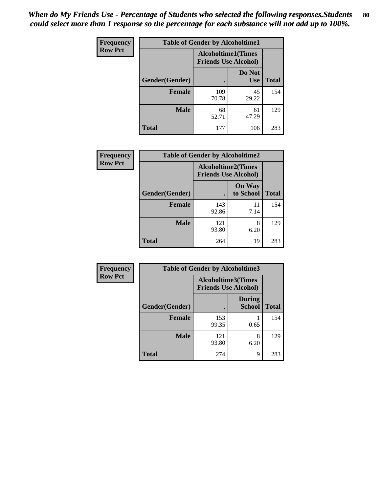| <b>Frequency</b> | <b>Table of Gender by Alcoholtime1</b> |                                                          |                      |              |
|------------------|----------------------------------------|----------------------------------------------------------|----------------------|--------------|
| <b>Row Pct</b>   |                                        | <b>Alcoholtime1(Times</b><br><b>Friends Use Alcohol)</b> |                      |              |
|                  | Gender(Gender)                         | ٠                                                        | Do Not<br><b>Use</b> | <b>Total</b> |
|                  | <b>Female</b>                          | 109<br>70.78                                             | 45<br>29.22          | 154          |
|                  | <b>Male</b>                            | 68<br>52.71                                              | 61<br>47.29          | 129          |
|                  | <b>Total</b>                           | 177                                                      | 106                  | 283          |

| <b>Frequency</b> | <b>Table of Gender by Alcoholtime2</b> |                                                          |                            |              |
|------------------|----------------------------------------|----------------------------------------------------------|----------------------------|--------------|
| <b>Row Pct</b>   |                                        | <b>Alcoholtime2(Times</b><br><b>Friends Use Alcohol)</b> |                            |              |
|                  | Gender(Gender)                         |                                                          | <b>On Way</b><br>to School | <b>Total</b> |
|                  | <b>Female</b>                          | 143<br>92.86                                             | 11<br>7.14                 | 154          |
|                  | <b>Male</b>                            | 121<br>93.80                                             | 8<br>6.20                  | 129          |
|                  | <b>Total</b>                           | 264                                                      | 19                         | 283          |

| Frequency      | <b>Table of Gender by Alcoholtime3</b> |                           |                                |              |
|----------------|----------------------------------------|---------------------------|--------------------------------|--------------|
| <b>Row Pct</b> |                                        | <b>Alcoholtime3(Times</b> | <b>Friends Use Alcohol)</b>    |              |
|                | Gender(Gender)                         |                           | <b>During</b><br><b>School</b> | <b>Total</b> |
|                | Female                                 | 153<br>99.35              | 0.65                           | 154          |
|                | <b>Male</b>                            | 121<br>93.80              | 8<br>6.20                      | 129          |
|                | <b>Total</b>                           | 274                       | 9                              | 283          |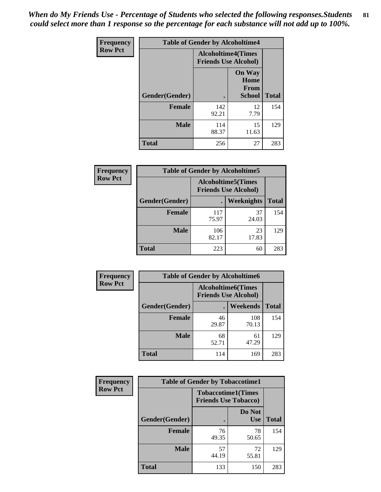*When do My Friends Use - Percentage of Students who selected the following responses.Students could select more than 1 response so the percentage for each substance will not add up to 100%.* **81**

| <b>Frequency</b> | <b>Table of Gender by Alcoholtime4</b> |                                                          |                                                |              |
|------------------|----------------------------------------|----------------------------------------------------------|------------------------------------------------|--------------|
| <b>Row Pct</b>   |                                        | <b>Alcoholtime4(Times</b><br><b>Friends Use Alcohol)</b> |                                                |              |
|                  | Gender(Gender)                         |                                                          | <b>On Way</b><br>Home<br>From<br><b>School</b> | <b>Total</b> |
|                  | <b>Female</b>                          | 142<br>92.21                                             | 12<br>7.79                                     | 154          |
|                  | <b>Male</b>                            | 114<br>88.37                                             | 15<br>11.63                                    | 129          |
|                  | <b>Total</b>                           | 256                                                      | 27                                             | 283          |

| <b>Frequency</b> | <b>Table of Gender by Alcoholtime5</b> |                                                           |             |              |
|------------------|----------------------------------------|-----------------------------------------------------------|-------------|--------------|
| <b>Row Pct</b>   |                                        | <b>Alcoholtime5</b> (Times<br><b>Friends Use Alcohol)</b> |             |              |
|                  | Gender(Gender)                         |                                                           | Weeknights  | <b>Total</b> |
|                  | <b>Female</b>                          | 117<br>75.97                                              | 37<br>24.03 | 154          |
|                  | <b>Male</b>                            | 106<br>82.17                                              | 23<br>17.83 | 129          |
|                  | <b>Total</b>                           | 223                                                       | 60          | 283          |

| <b>Frequency</b> | <b>Table of Gender by Alcoholtime6</b> |             |                                                           |              |  |
|------------------|----------------------------------------|-------------|-----------------------------------------------------------|--------------|--|
| <b>Row Pct</b>   |                                        |             | <b>Alcoholtime6</b> (Times<br><b>Friends Use Alcohol)</b> |              |  |
|                  | Gender(Gender)                         |             | Weekends                                                  | <b>Total</b> |  |
|                  | Female                                 | 46<br>29.87 | 108<br>70.13                                              | 154          |  |
|                  | <b>Male</b>                            | 68<br>52.71 | 61<br>47.29                                               | 129          |  |
|                  | <b>Total</b>                           | 114         | 169                                                       | 283          |  |

| <b>Frequency</b> | <b>Table of Gender by Tobaccotime1</b> |                                                          |                      |              |
|------------------|----------------------------------------|----------------------------------------------------------|----------------------|--------------|
| <b>Row Pct</b>   |                                        | <b>Tobaccotime1(Times</b><br><b>Friends Use Tobacco)</b> |                      |              |
|                  | Gender(Gender)                         |                                                          | Do Not<br><b>Use</b> | <b>Total</b> |
|                  | <b>Female</b>                          | 76<br>49.35                                              | 78<br>50.65          | 154          |
|                  | <b>Male</b>                            | 57<br>44.19                                              | 72<br>55.81          | 129          |
|                  | <b>Total</b>                           | 133                                                      | 150                  | 283          |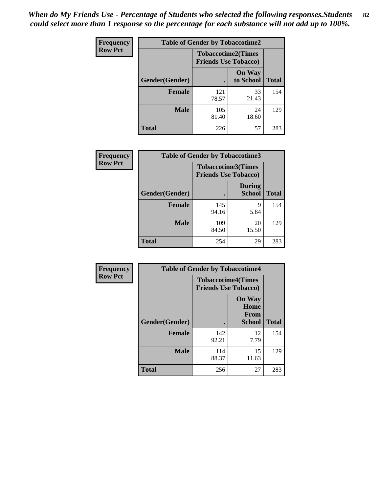*When do My Friends Use - Percentage of Students who selected the following responses.Students could select more than 1 response so the percentage for each substance will not add up to 100%.* **82**

| Frequency      |                | <b>Table of Gender by Tobaccotime2</b>                   |                            |              |  |
|----------------|----------------|----------------------------------------------------------|----------------------------|--------------|--|
| <b>Row Pct</b> |                | <b>Tobaccotime2(Times</b><br><b>Friends Use Tobacco)</b> |                            |              |  |
|                | Gender(Gender) |                                                          | <b>On Way</b><br>to School | <b>Total</b> |  |
|                | <b>Female</b>  | 121<br>78.57                                             | 33<br>21.43                | 154          |  |
|                | <b>Male</b>    | 105<br>81.40                                             | 24<br>18.60                | 129          |  |
|                | <b>Total</b>   | 226                                                      | 57                         | 283          |  |

| Frequency      | <b>Table of Gender by Tobaccotime3</b> |                                                          |                                |              |
|----------------|----------------------------------------|----------------------------------------------------------|--------------------------------|--------------|
| <b>Row Pct</b> |                                        | <b>Tobaccotime3(Times</b><br><b>Friends Use Tobacco)</b> |                                |              |
|                | Gender(Gender)                         |                                                          | <b>During</b><br><b>School</b> | <b>Total</b> |
|                | <b>Female</b>                          | 145<br>94.16                                             | 9<br>5.84                      | 154          |
|                | <b>Male</b>                            | 109<br>84.50                                             | 20<br>15.50                    | 129          |
|                | <b>Total</b>                           | 254                                                      | 29                             | 283          |

| <b>Frequency</b> | <b>Table of Gender by Tobaccotime4</b> |                                                          |                                                |              |
|------------------|----------------------------------------|----------------------------------------------------------|------------------------------------------------|--------------|
| <b>Row Pct</b>   |                                        | <b>Tobaccotime4(Times</b><br><b>Friends Use Tobacco)</b> |                                                |              |
|                  | Gender(Gender)                         |                                                          | <b>On Way</b><br>Home<br>From<br><b>School</b> | <b>Total</b> |
|                  | <b>Female</b>                          | 142<br>92.21                                             | 12<br>7.79                                     | 154          |
|                  | <b>Male</b>                            | 114<br>88.37                                             | 15<br>11.63                                    | 129          |
|                  | <b>Total</b>                           | 256                                                      | 27                                             | 283          |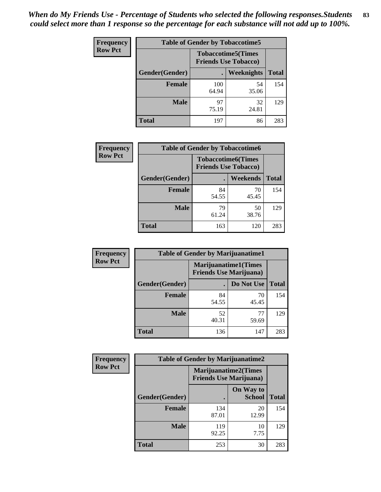| Frequency      | <b>Table of Gender by Tobaccotime5</b> |              |                                                          |              |  |
|----------------|----------------------------------------|--------------|----------------------------------------------------------|--------------|--|
| <b>Row Pct</b> |                                        |              | <b>Tobaccotime5(Times</b><br><b>Friends Use Tobacco)</b> |              |  |
|                | <b>Gender</b> (Gender)                 |              | Weeknights                                               | <b>Total</b> |  |
|                | <b>Female</b>                          | 100<br>64.94 | 54<br>35.06                                              | 154          |  |
|                | <b>Male</b>                            | 97<br>75.19  | 32<br>24.81                                              | 129          |  |
|                | <b>Total</b>                           | 197          | 86                                                       | 283          |  |

| Frequency      |                | <b>Table of Gender by Tobaccotime6</b>                   |             |              |
|----------------|----------------|----------------------------------------------------------|-------------|--------------|
| <b>Row Pct</b> |                | <b>Tobaccotime6(Times</b><br><b>Friends Use Tobacco)</b> |             |              |
|                | Gender(Gender) |                                                          | Weekends    | <b>Total</b> |
|                | Female         | 84<br>54.55                                              | 70<br>45.45 | 154          |
|                | <b>Male</b>    | 79<br>61.24                                              | 50<br>38.76 | 129          |
|                | <b>Total</b>   | 163                                                      | 120         | 283          |

| Frequency      | <b>Table of Gender by Marijuanatime1</b> |                                                               |             |              |
|----------------|------------------------------------------|---------------------------------------------------------------|-------------|--------------|
| <b>Row Pct</b> |                                          | <b>Marijuanatime1(Times</b><br><b>Friends Use Marijuana</b> ) |             |              |
|                | Gender(Gender)                           |                                                               | Do Not Use  | <b>Total</b> |
|                | <b>Female</b>                            | 84<br>54.55                                                   | 70<br>45.45 | 154          |
|                | <b>Male</b>                              | 52<br>40.31                                                   | 77<br>59.69 | 129          |
|                | <b>Total</b>                             | 136                                                           | 147         | 283          |

| <b>Frequency</b> | <b>Table of Gender by Marijuanatime2</b> |                                                               |                            |              |
|------------------|------------------------------------------|---------------------------------------------------------------|----------------------------|--------------|
| <b>Row Pct</b>   |                                          | <b>Marijuanatime2(Times</b><br><b>Friends Use Marijuana</b> ) |                            |              |
|                  | Gender(Gender)                           |                                                               | On Way to<br><b>School</b> | <b>Total</b> |
|                  | <b>Female</b>                            | 134<br>87.01                                                  | 20<br>12.99                | 154          |
|                  | <b>Male</b>                              | 119<br>92.25                                                  | 10<br>7.75                 | 129          |
|                  | <b>Total</b>                             | 253                                                           | 30                         | 283          |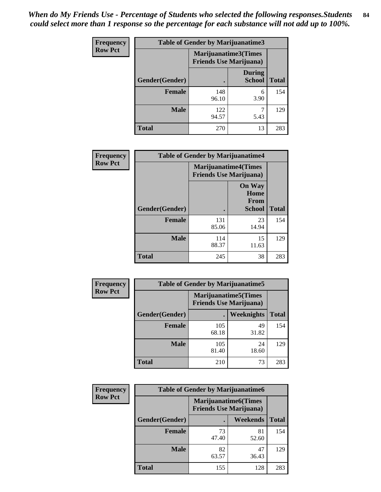*When do My Friends Use - Percentage of Students who selected the following responses.Students could select more than 1 response so the percentage for each substance will not add up to 100%.* **84**

| <b>Frequency</b> | Table of Gender by Marijuanatime3 |                                                                |                                |              |
|------------------|-----------------------------------|----------------------------------------------------------------|--------------------------------|--------------|
| <b>Row Pct</b>   |                                   | <b>Marijuanatime3</b> (Times<br><b>Friends Use Marijuana</b> ) |                                |              |
|                  | Gender(Gender)                    |                                                                | <b>During</b><br><b>School</b> | <b>Total</b> |
|                  | <b>Female</b>                     | 148<br>96.10                                                   | 6<br>3.90                      | 154          |
|                  | <b>Male</b>                       | 122<br>94.57                                                   | 5.43                           | 129          |
|                  | <b>Total</b>                      | 270                                                            | 13                             | 283          |

| Frequency      | <b>Table of Gender by Marijuanatime4</b> |                                |                                                       |              |
|----------------|------------------------------------------|--------------------------------|-------------------------------------------------------|--------------|
| <b>Row Pct</b> |                                          | <b>Friends Use Marijuana</b> ) | <b>Marijuanatime4</b> (Times                          |              |
|                | <b>Gender</b> (Gender)                   |                                | <b>On Way</b><br>Home<br><b>From</b><br><b>School</b> | <b>Total</b> |
|                |                                          |                                |                                                       |              |
|                | <b>Female</b>                            | 131<br>85.06                   | 23<br>14.94                                           | 154          |
|                | <b>Male</b>                              | 114<br>88.37                   | 15<br>11.63                                           | 129          |
|                | <b>Total</b>                             | 245                            | 38                                                    | 283          |

| Frequency      | <b>Table of Gender by Marijuanatime5</b> |                                                                |             |              |  |
|----------------|------------------------------------------|----------------------------------------------------------------|-------------|--------------|--|
| <b>Row Pct</b> |                                          | <b>Marijuanatime5</b> (Times<br><b>Friends Use Marijuana</b> ) |             |              |  |
|                | Gender(Gender)                           |                                                                | Weeknights  | <b>Total</b> |  |
|                | <b>Female</b>                            | 105<br>68.18                                                   | 49<br>31.82 | 154          |  |
|                | <b>Male</b>                              | 105<br>81.40                                                   | 24<br>18.60 | 129          |  |
|                | <b>Total</b>                             | 210                                                            | 73          | 283          |  |

| Frequency      | <b>Table of Gender by Marijuanatime6</b> |                                                                |                 |              |  |
|----------------|------------------------------------------|----------------------------------------------------------------|-----------------|--------------|--|
| <b>Row Pct</b> |                                          | <b>Marijuanatime6</b> (Times<br><b>Friends Use Marijuana</b> ) |                 |              |  |
|                | Gender(Gender)                           |                                                                | <b>Weekends</b> | <b>Total</b> |  |
|                | <b>Female</b>                            | 73<br>47.40                                                    | 81<br>52.60     | 154          |  |
|                | <b>Male</b>                              | 82<br>63.57                                                    | 47<br>36.43     | 129          |  |
|                | <b>Total</b>                             | 155                                                            | 128             | 283          |  |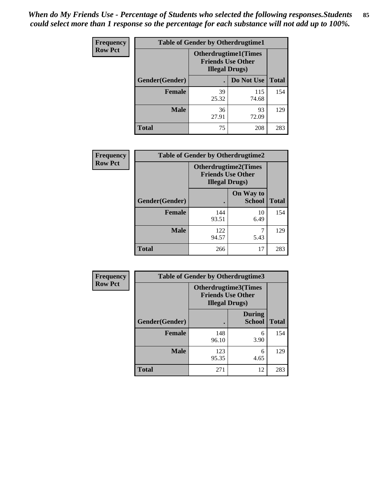*When do My Friends Use - Percentage of Students who selected the following responses.Students could select more than 1 response so the percentage for each substance will not add up to 100%.* **85**

| <b>Frequency</b> | <b>Table of Gender by Otherdrugtime1</b> |                                                    |                             |     |
|------------------|------------------------------------------|----------------------------------------------------|-----------------------------|-----|
| <b>Row Pct</b>   |                                          | <b>Friends Use Other</b><br><b>Illegal Drugs</b> ) | <b>Otherdrugtime1(Times</b> |     |
|                  | Gender(Gender)                           |                                                    | Do Not Use   Total          |     |
|                  | <b>Female</b>                            | 39<br>25.32                                        | 115<br>74.68                | 154 |
|                  | <b>Male</b>                              | 36<br>27.91                                        | 93<br>72.09                 | 129 |
|                  | <b>Total</b>                             | 75                                                 | 208                         | 283 |

| Frequency      | <b>Table of Gender by Otherdrugtime2</b> |                                                                                   |                            |              |
|----------------|------------------------------------------|-----------------------------------------------------------------------------------|----------------------------|--------------|
| <b>Row Pct</b> |                                          | <b>Otherdrugtime2(Times</b><br><b>Friends Use Other</b><br><b>Illegal Drugs</b> ) |                            |              |
|                | Gender(Gender)                           |                                                                                   | On Way to<br><b>School</b> | <b>Total</b> |
|                | <b>Female</b>                            | 144<br>93.51                                                                      | 10<br>6.49                 | 154          |
|                | <b>Male</b>                              | 122<br>94.57                                                                      | 5.43                       | 129          |
|                | <b>Total</b>                             | 266                                                                               | 17                         | 283          |

| Frequency      | <b>Table of Gender by Otherdrugtime3</b> |                        |                                                  |              |  |
|----------------|------------------------------------------|------------------------|--------------------------------------------------|--------------|--|
| <b>Row Pct</b> |                                          | <b>Illegal Drugs</b> ) | Otherdrugtime3(Times<br><b>Friends Use Other</b> |              |  |
|                | Gender(Gender)                           |                        | <b>During</b><br><b>School</b>                   | <b>Total</b> |  |
|                | <b>Female</b>                            | 148<br>96.10           | 6<br>3.90                                        | 154          |  |
|                | <b>Male</b>                              | 123<br>95.35           | 6<br>4.65                                        | 129          |  |
|                | <b>Total</b>                             | 271                    | 12                                               | 283          |  |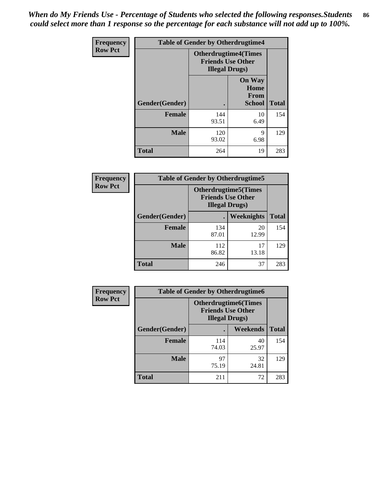*When do My Friends Use - Percentage of Students who selected the following responses.Students could select more than 1 response so the percentage for each substance will not add up to 100%.* **86**

| <b>Frequency</b> | <b>Table of Gender by Otherdrugtime4</b> |                                                    |                                                       |              |
|------------------|------------------------------------------|----------------------------------------------------|-------------------------------------------------------|--------------|
| <b>Row Pct</b>   |                                          | <b>Friends Use Other</b><br><b>Illegal Drugs</b> ) | <b>Otherdrugtime4(Times</b>                           |              |
|                  | Gender(Gender)                           |                                                    | <b>On Way</b><br>Home<br><b>From</b><br><b>School</b> | <b>Total</b> |
|                  | <b>Female</b>                            | 144<br>93.51                                       | 10<br>6.49                                            | 154          |
|                  | <b>Male</b>                              | 120<br>93.02                                       | 9<br>6.98                                             | 129          |
|                  | <b>Total</b>                             | 264                                                | 19                                                    | 283          |

| Frequency      | <b>Table of Gender by Otherdrugtime5</b> |                                                                                    |             |              |
|----------------|------------------------------------------|------------------------------------------------------------------------------------|-------------|--------------|
| <b>Row Pct</b> |                                          | <b>Otherdrugtime5</b> (Times<br><b>Friends Use Other</b><br><b>Illegal Drugs</b> ) |             |              |
|                | Gender(Gender)                           |                                                                                    | Weeknights  | <b>Total</b> |
|                | <b>Female</b>                            | 134<br>87.01                                                                       | 20<br>12.99 | 154          |
|                | <b>Male</b>                              | 112<br>86.82                                                                       | 17<br>13.18 | 129          |
|                | <b>Total</b>                             | 246                                                                                | 37          | 283          |

| <b>Frequency</b> | <b>Table of Gender by Otherdrugtime6</b> |                                                                                   |             |              |
|------------------|------------------------------------------|-----------------------------------------------------------------------------------|-------------|--------------|
| <b>Row Pct</b>   |                                          | <b>Otherdrugtime6(Times</b><br><b>Friends Use Other</b><br><b>Illegal Drugs</b> ) |             |              |
|                  | Gender(Gender)                           |                                                                                   | Weekends    | <b>Total</b> |
|                  | <b>Female</b>                            | 114<br>74.03                                                                      | 40<br>25.97 | 154          |
|                  | <b>Male</b>                              | 97<br>75.19                                                                       | 32<br>24.81 | 129          |
|                  | <b>Total</b>                             | 211                                                                               | 72          | 283          |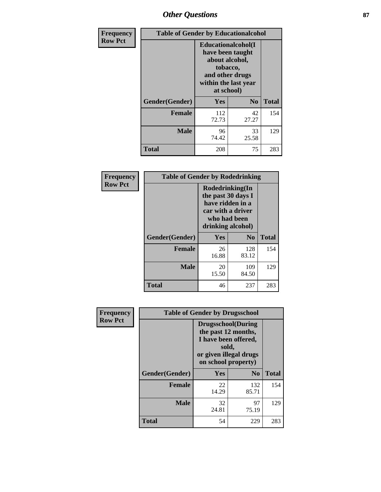# *Other Questions* **87**

| <b>Frequency</b> | <b>Table of Gender by Educationalcohol</b> |                                                                                                                                       |                |              |  |
|------------------|--------------------------------------------|---------------------------------------------------------------------------------------------------------------------------------------|----------------|--------------|--|
| <b>Row Pct</b>   |                                            | <b>Educationalcohol</b> (I<br>have been taught<br>about alcohol,<br>tobacco,<br>and other drugs<br>within the last year<br>at school) |                |              |  |
|                  | Gender(Gender)                             | <b>Yes</b>                                                                                                                            | N <sub>0</sub> | <b>Total</b> |  |
|                  | <b>Female</b>                              | 112<br>72.73                                                                                                                          | 42<br>27.27    | 154          |  |
|                  | <b>Male</b>                                | 96<br>74.42                                                                                                                           | 33<br>25.58    | 129          |  |
|                  | <b>Total</b>                               | 208                                                                                                                                   | 75             | 283          |  |

| Frequency      | <b>Table of Gender by Rodedrinking</b> |                                                                                                                     |                |              |  |
|----------------|----------------------------------------|---------------------------------------------------------------------------------------------------------------------|----------------|--------------|--|
| <b>Row Pct</b> |                                        | Rodedrinking(In<br>the past 30 days I<br>have ridden in a<br>car with a driver<br>who had been<br>drinking alcohol) |                |              |  |
|                | Gender(Gender)                         | Yes                                                                                                                 | N <sub>0</sub> | <b>Total</b> |  |
|                | <b>Female</b>                          | 26<br>16.88                                                                                                         | 128<br>83.12   | 154          |  |
|                | <b>Male</b>                            | 20<br>15.50                                                                                                         | 109<br>84.50   | 129          |  |
|                | <b>Total</b>                           | 46                                                                                                                  | 237            | 283          |  |

| Frequency      | <b>Table of Gender by Drugsschool</b> |                                                                                                                                     |                |              |  |
|----------------|---------------------------------------|-------------------------------------------------------------------------------------------------------------------------------------|----------------|--------------|--|
| <b>Row Pct</b> |                                       | <b>Drugsschool</b> (During<br>the past 12 months,<br>I have been offered,<br>sold,<br>or given illegal drugs<br>on school property) |                |              |  |
|                | Gender(Gender)                        | <b>Yes</b>                                                                                                                          | N <sub>0</sub> | <b>Total</b> |  |
|                | <b>Female</b>                         | 22<br>14.29                                                                                                                         | 132<br>85.71   | 154          |  |
|                | <b>Male</b>                           | 32<br>24.81                                                                                                                         | 97<br>75.19    | 129          |  |
|                | <b>Total</b>                          | 54                                                                                                                                  | 229            | 283          |  |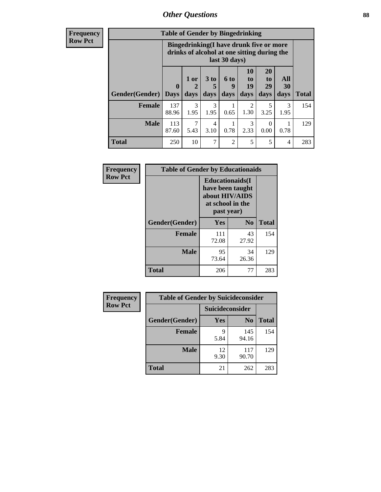# *Other Questions* **88**

**Frequency Row Pct**

| <b>Table of Gender by Bingedrinking</b> |                         |                                                                                                         |                   |                   |                        |                               |                   |              |
|-----------------------------------------|-------------------------|---------------------------------------------------------------------------------------------------------|-------------------|-------------------|------------------------|-------------------------------|-------------------|--------------|
|                                         |                         | Bingedrinking(I have drunk five or more<br>drinks of alcohol at one sitting during the<br>last 30 days) |                   |                   |                        |                               |                   |              |
| <b>Gender</b> (Gender)                  | $\bf{0}$<br><b>Days</b> | 1 or<br>days                                                                                            | 3 to<br>5<br>days | 6 to<br>9<br>days | 10<br>to<br>19<br>days | <b>20</b><br>to<br>29<br>days | All<br>30<br>days | <b>Total</b> |
| <b>Female</b>                           | 137<br>88.96            | 3<br>1.95                                                                                               | 3<br>1.95         | 0.65              | $\mathfrak{D}$<br>1.30 | 5<br>3.25                     | 3<br>1.95         | 154          |
| <b>Male</b>                             | 113<br>87.60            | 7<br>5.43                                                                                               | 4<br>3.10         | 0.78              | 3<br>2.33              | $\Omega$<br>0.00              | 0.78              | 129          |
| <b>Total</b>                            | 250                     | 10                                                                                                      | $\overline{7}$    | $\mathfrak{D}$    | 5                      | 5                             | 4                 | 283          |

| Frequency      | <b>Table of Gender by Educationaids</b> |                                                                                                 |                |              |  |
|----------------|-----------------------------------------|-------------------------------------------------------------------------------------------------|----------------|--------------|--|
| <b>Row Pct</b> |                                         | <b>Educationaids</b> (I<br>have been taught<br>about HIV/AIDS<br>at school in the<br>past year) |                |              |  |
|                | Gender(Gender)                          | Yes                                                                                             | N <sub>0</sub> | <b>Total</b> |  |
|                | <b>Female</b>                           | 111<br>72.08                                                                                    | 43<br>27.92    | 154          |  |
|                | <b>Male</b>                             | 95<br>73.64                                                                                     | 34<br>26.36    | 129          |  |
|                | <b>Total</b>                            | 206                                                                                             | 77             | 283          |  |

| <b>Frequency</b> | <b>Table of Gender by Suicideconsider</b> |                        |                |              |
|------------------|-------------------------------------------|------------------------|----------------|--------------|
| <b>Row Pct</b>   |                                           | <b>Suicideconsider</b> |                |              |
|                  | Gender(Gender)                            | Yes                    | N <sub>0</sub> | <b>Total</b> |
|                  | <b>Female</b>                             | Q<br>5.84              | 145<br>94.16   | 154          |
|                  | <b>Male</b>                               | 12<br>9.30             | 117<br>90.70   | 129          |
|                  | <b>Total</b>                              | 21                     | 262            | 283          |